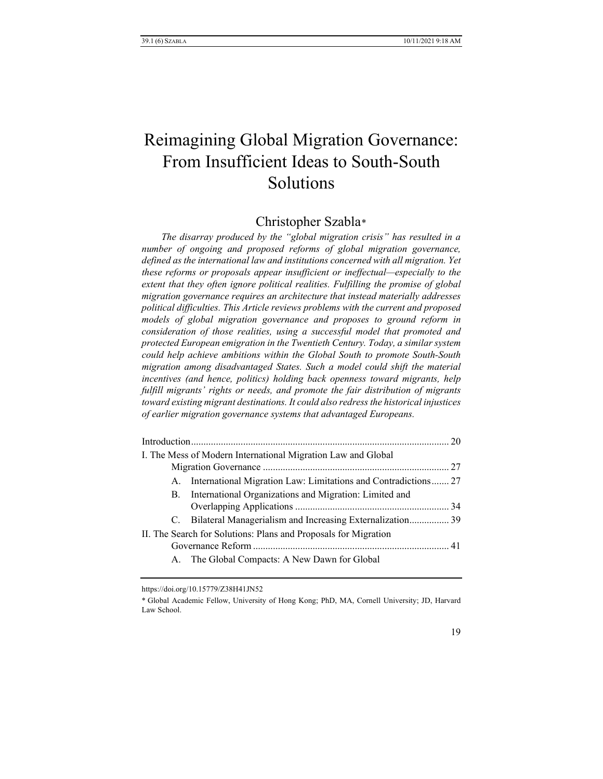# Reimagining Global Migration Governance: From Insufficient Ideas to South-South Solutions

## Christopher Szabla[\\*](#page-0-0)

*The disarray produced by the "global migration crisis" has resulted in a number of ongoing and proposed reforms of global migration governance, defined as the international law and institutions concerned with all migration. Yet these reforms or proposals appear insufficient or ineffectual—especially to the extent that they often ignore political realities. Fulfilling the promise of global migration governance requires an architecture that instead materially addresses political difficulties. This Article reviews problems with the current and proposed models of global migration governance and proposes to ground reform in consideration of those realities, using a successful model that promoted and protected European emigration in the Twentieth Century. Today, a similar system could help achieve ambitions within the Global South to promote South-South migration among disadvantaged States. Such a model could shift the material incentives (and hence, politics) holding back openness toward migrants, help*  fulfill migrants' rights or needs, and promote the fair distribution of migrants *toward existing migrant destinations. It could also redress the historical injustices of earlier migration governance systems that advantaged Europeans.*

|                                                                 | I. The Mess of Modern International Migration Law and Global      |  |  |
|-----------------------------------------------------------------|-------------------------------------------------------------------|--|--|
|                                                                 |                                                                   |  |  |
|                                                                 | A. International Migration Law: Limitations and Contradictions 27 |  |  |
|                                                                 | B. International Organizations and Migration: Limited and         |  |  |
|                                                                 |                                                                   |  |  |
|                                                                 | C. Bilateral Managerialism and Increasing Externalization 39      |  |  |
| II. The Search for Solutions: Plans and Proposals for Migration |                                                                   |  |  |
|                                                                 |                                                                   |  |  |
|                                                                 | A. The Global Compacts: A New Dawn for Global                     |  |  |

<span id="page-0-0"></span>https://doi.org/10.15779/Z38H41JN52

\* Global Academic Fellow, University of Hong Kong; PhD, MA, Cornell University; JD, Harvard Law School.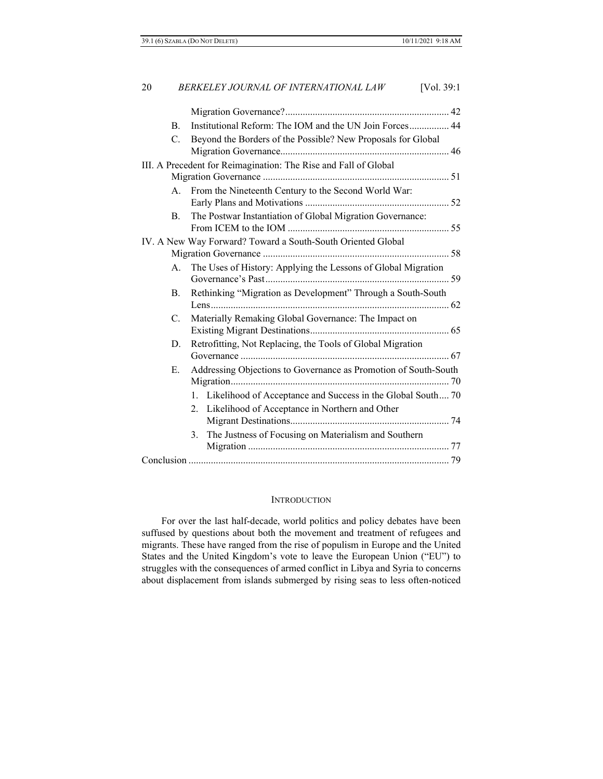| 20                                                              |             | BERKELEY JOURNAL OF INTERNATIONAL LAW<br>[Vol. $39:1$ ]         |  |  |
|-----------------------------------------------------------------|-------------|-----------------------------------------------------------------|--|--|
|                                                                 |             |                                                                 |  |  |
|                                                                 | <b>B.</b>   | Institutional Reform: The IOM and the UN Join Forces 44         |  |  |
|                                                                 | $C_{\cdot}$ | Beyond the Borders of the Possible? New Proposals for Global    |  |  |
|                                                                 |             |                                                                 |  |  |
| III. A Precedent for Reimagination: The Rise and Fall of Global |             |                                                                 |  |  |
|                                                                 |             |                                                                 |  |  |
|                                                                 | $A_{\cdot}$ | From the Nineteenth Century to the Second World War:            |  |  |
|                                                                 |             |                                                                 |  |  |
|                                                                 | B.          | The Postwar Instantiation of Global Migration Governance:       |  |  |
|                                                                 |             |                                                                 |  |  |
|                                                                 |             | IV. A New Way Forward? Toward a South-South Oriented Global     |  |  |
|                                                                 |             |                                                                 |  |  |
|                                                                 | $A_{\cdot}$ | The Uses of History: Applying the Lessons of Global Migration   |  |  |
|                                                                 | B.          | Rethinking "Migration as Development" Through a South-South     |  |  |
|                                                                 |             |                                                                 |  |  |
|                                                                 | C.          | Materially Remaking Global Governance: The Impact on            |  |  |
|                                                                 |             |                                                                 |  |  |
|                                                                 | D.          | Retrofitting, Not Replacing, the Tools of Global Migration      |  |  |
|                                                                 |             |                                                                 |  |  |
|                                                                 | E.          | Addressing Objections to Governance as Promotion of South-South |  |  |
|                                                                 |             |                                                                 |  |  |
|                                                                 |             | 1. Likelihood of Acceptance and Success in the Global South 70  |  |  |
|                                                                 |             | Likelihood of Acceptance in Northern and Other<br>$2^{1}$       |  |  |
|                                                                 |             |                                                                 |  |  |
|                                                                 |             | The Justness of Focusing on Materialism and Southern<br>3.      |  |  |
|                                                                 |             |                                                                 |  |  |
|                                                                 |             |                                                                 |  |  |

## **INTRODUCTION**

For over the last half-decade, world politics and policy debates have been suffused by questions about both the movement and treatment of refugees and migrants. These have ranged from the rise of populism in Europe and the United States and the United Kingdom's vote to leave the European Union ("EU") to struggles with the consequences of armed conflict in Libya and Syria to concerns about displacement from islands submerged by rising seas to less often-noticed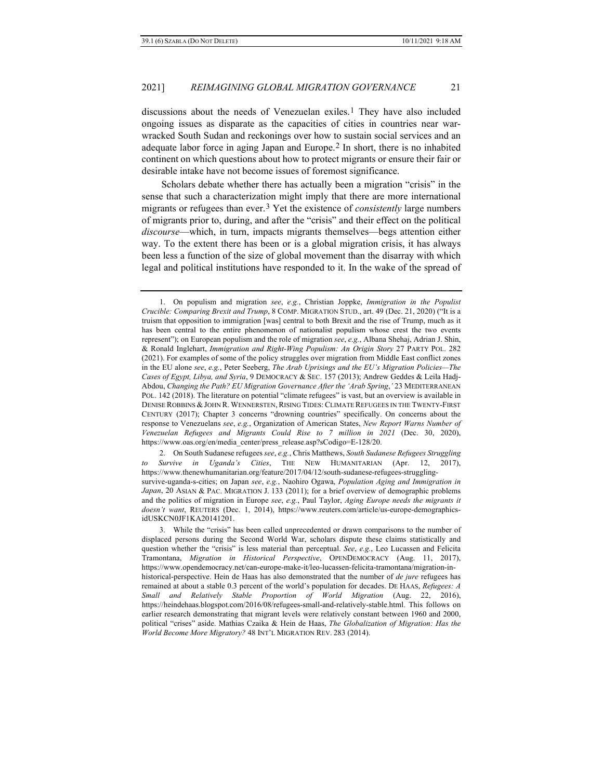discussions about the needs of Venezuelan exiles.[1](#page-2-0) They have also included ongoing issues as disparate as the capacities of cities in countries near warwracked South Sudan and reckonings over how to sustain social services and an adequate labor force in aging Japan and Europe.[2](#page-2-1) In short, there is no inhabited continent on which questions about how to protect migrants or ensure their fair or desirable intake have not become issues of foremost significance.

Scholars debate whether there has actually been a migration "crisis" in the sense that such a characterization might imply that there are more international migrants or refugees than ever.[3](#page-2-2) Yet the existence of *consistently* large numbers of migrants prior to, during, and after the "crisis" and their effect on the political *discourse*—which, in turn, impacts migrants themselves—begs attention either way. To the extent there has been or is a global migration crisis, it has always been less a function of the size of global movement than the disarray with which legal and political institutions have responded to it. In the wake of the spread of

<span id="page-2-1"></span>2. On South Sudanese refugees *see*, *e.g.*, Chris Matthews, *South Sudanese Refugees Struggling to Survive in Uganda's Cities*, THE NEW HUMANITARIAN (Apr. 12, 2017), https://www.thenewhumanitarian.org/feature/2017/04/12/south-sudanese-refugees-strugglingsurvive-uganda-s-cities; on Japan *see*, *e.g.*, Naohiro Ogawa, *Population Aging and Immigration in Japan*, 20 ASIAN & PAC. MIGRATION J. 133 (2011); for a brief overview of demographic problems and the politics of migration in Europe *see*, *e.g.*, Paul Taylor, *Aging Europe needs the migrants it doesn't want*, REUTERS (Dec. 1, 2014), https://www.reuters.com/article/us-europe-demographicsidUSKCN0JF1KA20141201.

<span id="page-2-0"></span><sup>1.</sup> On populism and migration *see*, *e.g.*, Christian Joppke, *Immigration in the Populist Crucible: Comparing Brexit and Trump*, 8 COMP. MIGRATION STUD., art. 49 (Dec. 21, 2020) ("It is a truism that opposition to immigration [was] central to both Brexit and the rise of Trump, much as it has been central to the entire phenomenon of nationalist populism whose crest the two events represent"); on European populism and the role of migration *see*, *e.g.*, Albana Shehaj, Adrian J. Shin, & Ronald Inglehart, *Immigration and Right-Wing Populism: An Origin Story* 27 PARTY POL. 282 (2021). For examples of some of the policy struggles over migration from Middle East conflict zones in the EU alone *see*, *e.g.*, Peter Seeberg, *The Arab Uprisings and the EU's Migration Policies—The Cases of Egypt, Libya, and Syria*, 9 DEMOCRACY & SEC. 157 (2013); Andrew Geddes & Leila Hadj-Abdou, *Changing the Path? EU Migration Governance After the 'Arab Spring*,*'* 23 MEDITERRANEAN POL. 142 (2018). The literature on potential "climate refugees" is vast, but an overview is available in DENISE ROBBINS & JOHN R. WENNERSTEN, RISING TIDES: CLIMATE REFUGEES IN THE TWENTY-FIRST CENTURY (2017); Chapter 3 concerns "drowning countries" specifically. On concerns about the response to Venezuelans *see*, *e.g.*, Organization of American States, *New Report Warns Number of Venezuelan Refugees and Migrants Could Rise to 7 million in 2021* (Dec. 30, 2020), https://www.oas.org/en/media\_center/press\_release.asp?sCodigo=E-128/20.

<span id="page-2-2"></span><sup>3.</sup> While the "crisis" has been called unprecedented or drawn comparisons to the number of displaced persons during the Second World War, scholars dispute these claims statistically and question whether the "crisis" is less material than perceptual. *See*, *e.g.*, Leo Lucassen and Felicita Tramontana, *Migration in Historical Perspective*, OPENDEMOCRACY (Aug. 11, 2017), https://www.opendemocracy.net/can-europe-make-it/leo-lucassen-felicita-tramontana/migration-inhistorical-perspective. Hein de Haas has also demonstrated that the number of *de jure* refugees has remained at about a stable 0.3 percent of the world's population for decades. DE HAAS, *Refugees: A Small and Relatively Stable Proportion of World Migration* (Aug. 22, 2016), https://heindehaas.blogspot.com/2016/08/refugees-small-and-relatively-stable.html. This follows on earlier research demonstrating that migrant levels were relatively constant between 1960 and 2000, political "crises" aside. Mathias Czaika & Hein de Haas, *The Globalization of Migration: Has the World Become More Migratory?* 48 INT'L MIGRATION REV. 283 (2014).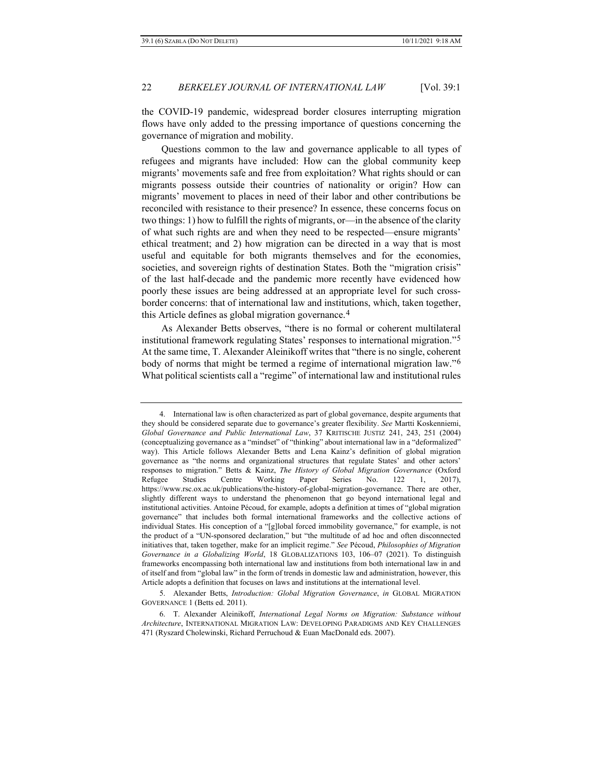the COVID-19 pandemic, widespread border closures interrupting migration flows have only added to the pressing importance of questions concerning the governance of migration and mobility.

Questions common to the law and governance applicable to all types of refugees and migrants have included: How can the global community keep migrants' movements safe and free from exploitation? What rights should or can migrants possess outside their countries of nationality or origin? How can migrants' movement to places in need of their labor and other contributions be reconciled with resistance to their presence? In essence, these concerns focus on two things: 1) how to fulfill the rights of migrants, or—in the absence of the clarity of what such rights are and when they need to be respected—ensure migrants' ethical treatment; and 2) how migration can be directed in a way that is most useful and equitable for both migrants themselves and for the economies, societies, and sovereign rights of destination States. Both the "migration crisis" of the last half-decade and the pandemic more recently have evidenced how poorly these issues are being addressed at an appropriate level for such crossborder concerns: that of international law and institutions, which, taken together, this Article defines as global migration governance.[4](#page-3-0)

<span id="page-3-4"></span><span id="page-3-3"></span>As Alexander Betts observes, "there is no formal or coherent multilateral institutional framework regulating States' responses to international migration."[5](#page-3-1) At the same time, T. Alexander Aleinikoff writes that "there is no single, coherent body of norms that might be termed a regime of international migration law."[6](#page-3-2) What political scientists call a "regime" of international law and institutional rules

<span id="page-3-1"></span>5. Alexander Betts, *Introduction: Global Migration Governance*, *in* GLOBAL MIGRATION GOVERNANCE 1 (Betts ed. 2011).

<span id="page-3-0"></span><sup>4.</sup> International law is often characterized as part of global governance, despite arguments that they should be considered separate due to governance's greater flexibility. *See* Martti Koskenniemi, *Global Governance and Public International Law*, 37 KRITISCHE JUSTIZ 241, 243, 251 (2004) (conceptualizing governance as a "mindset" of "thinking" about international law in a "deformalized" way). This Article follows Alexander Betts and Lena Kainz's definition of global migration governance as "the norms and organizational structures that regulate States' and other actors' responses to migration." Betts & Kainz, *The History of Global Migration Governance* (Oxford Refugee Studies Centre Working Paper Series No. 122 1, 2017), https://www.rsc.ox.ac.uk/publications/the-history-of-global-migration-governance. There are other, slightly different ways to understand the phenomenon that go beyond international legal and institutional activities. Antoine Pécoud, for example, adopts a definition at times of "global migration governance" that includes both formal international frameworks and the collective actions of individual States. His conception of a "[g]lobal forced immobility governance," for example, is not the product of a "UN-sponsored declaration," but "the multitude of ad hoc and often disconnected initiatives that, taken together, make for an implicit regime." *See* Pécoud, *Philosophies of Migration Governance in a Globalizing World*, 18 GLOBALIZATIONS 103, 106–07 (2021). To distinguish frameworks encompassing both international law and institutions from both international law in and of itself and from "global law" in the form of trends in domestic law and administration, however, this Article adopts a definition that focuses on laws and institutions at the international level.

<span id="page-3-2"></span><sup>6.</sup> T. Alexander Aleinikoff, *International Legal Norms on Migration: Substance without Architecture*, INTERNATIONAL MIGRATION LAW: DEVELOPING PARADIGMS AND KEY CHALLENGES 471 (Ryszard Cholewinski, Richard Perruchoud & Euan MacDonald eds. 2007).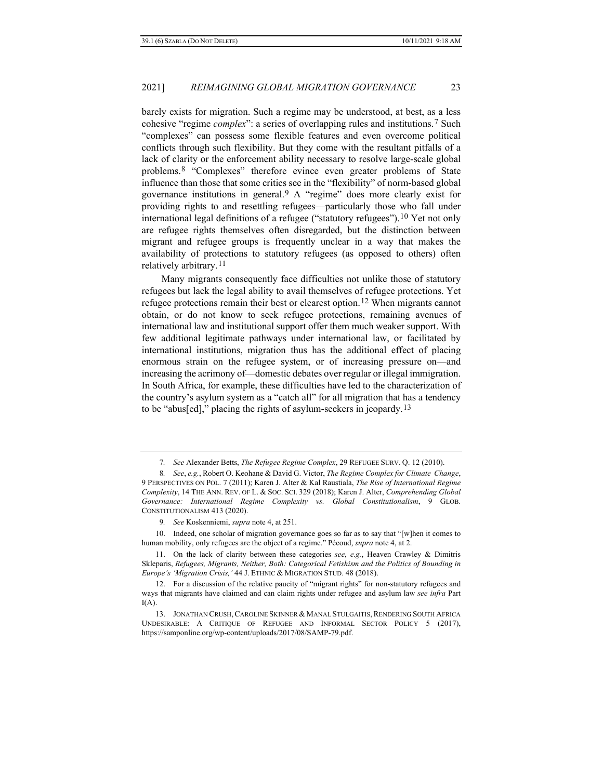barely exists for migration. Such a regime may be understood, at best, as a less cohesive "regime *complex*": a series of overlapping rules and institutions.[7](#page-4-0) Such "complexes" can possess some flexible features and even overcome political conflicts through such flexibility. But they come with the resultant pitfalls of a lack of clarity or the enforcement ability necessary to resolve large-scale global problems.[8](#page-4-1) "Complexes" therefore evince even greater problems of State influence than those that some critics see in the "flexibility" of norm-based global governance institutions in general.[9](#page-4-2) A "regime" does more clearly exist for providing rights to and resettling refugees—particularly those who fall under international legal definitions of a refugee ("statutory refugees")[.10](#page-4-3) Yet not only are refugee rights themselves often disregarded, but the distinction between migrant and refugee groups is frequently unclear in a way that makes the availability of protections to statutory refugees (as opposed to others) often relatively arbitrary.[11](#page-4-4)

Many migrants consequently face difficulties not unlike those of statutory refugees but lack the legal ability to avail themselves of refugee protections. Yet refugee protections remain their best or clearest option.<sup>[12](#page-4-5)</sup> When migrants cannot obtain, or do not know to seek refugee protections, remaining avenues of international law and institutional support offer them much weaker support. With few additional legitimate pathways under international law, or facilitated by international institutions, migration thus has the additional effect of placing enormous strain on the refugee system, or of increasing pressure on—and increasing the acrimony of—domestic debates over regular or illegal immigration. In South Africa, for example, these difficulties have led to the characterization of the country's asylum system as a "catch all" for all migration that has a tendency to be "abus[ed]," placing the rights of asylum-seekers in jeopardy.[13](#page-4-6)

<sup>7</sup>*. See* Alexander Betts, *The Refugee Regime Complex*, 29 REFUGEE SURV. Q. 12 (2010).

<span id="page-4-1"></span><span id="page-4-0"></span><sup>8</sup>*. See*, *e.g.*, Robert O. Keohane & David G. Victor, *The Regime Complex for Climate Change*, 9 PERSPECTIVES ON POL. 7 (2011); Karen J. Alter & Kal Raustiala, *The Rise of International Regime Complexity*, 14 THE ANN. REV. OF L. & SOC. SCI. 329 (2018); Karen J. Alter, *Comprehending Global Governance: International Regime Complexity vs. Global Constitutionalism*, 9 GLOB. CONSTITUTIONALISM 413 (2020).

<sup>9</sup>*. See* Koskenniemi, *supra* note [4,](#page-3-3) at 251.

<span id="page-4-3"></span><span id="page-4-2"></span><sup>10.</sup> Indeed, one scholar of migration governance goes so far as to say that "[w]hen it comes to human mobility, only refugees are the object of a regime." Pécoud, *supra* note [4,](#page-3-3) at 2.

<span id="page-4-4"></span><sup>11.</sup> On the lack of clarity between these categories *see*, *e.g.*, Heaven Crawley & Dimitris Skleparis, *Refugees, Migrants, Neither, Both: Categorical Fetishism and the Politics of Bounding in Europe's 'Migration Crisis,'* 44 J. ETHNIC & MIGRATION STUD. 48 (2018).

<span id="page-4-5"></span><sup>12.</sup> For a discussion of the relative paucity of "migrant rights" for non-statutory refugees and ways that migrants have claimed and can claim rights under refugee and asylum law *see infra* Part  $I(A)$  $I(A)$ .

<span id="page-4-6"></span><sup>13.</sup> JONATHAN CRUSH, CAROLINE SKINNER & MANAL STULGAITIS, RENDERING SOUTH AFRICA UNDESIRABLE: A CRITIQUE OF REFUGEE AND INFORMAL SECTOR POLICY 5 (2017), https://samponline.org/wp-content/uploads/2017/08/SAMP-79.pdf.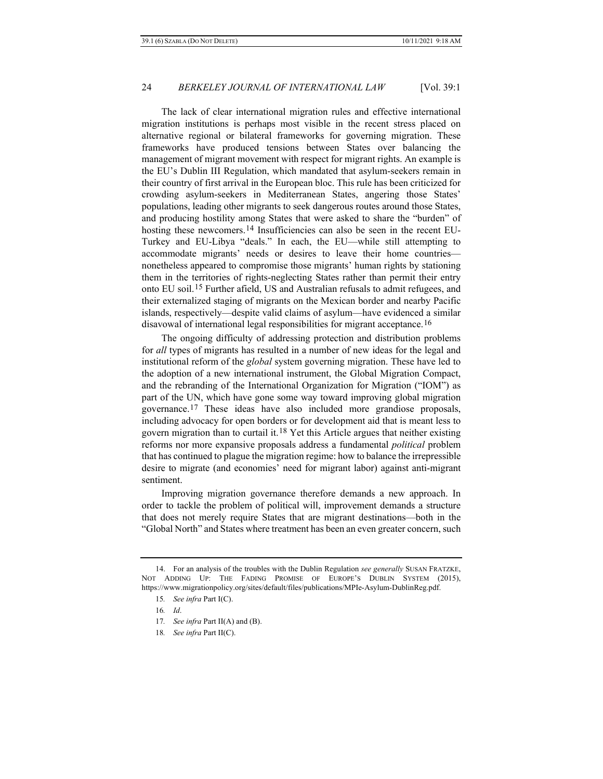The lack of clear international migration rules and effective international migration institutions is perhaps most visible in the recent stress placed on alternative regional or bilateral frameworks for governing migration. These frameworks have produced tensions between States over balancing the management of migrant movement with respect for migrant rights. An example is the EU's Dublin III Regulation, which mandated that asylum-seekers remain in their country of first arrival in the European bloc. This rule has been criticized for crowding asylum-seekers in Mediterranean States, angering those States' populations, leading other migrants to seek dangerous routes around those States, and producing hostility among States that were asked to share the "burden" of hosting these newcomers.<sup>[14](#page-5-0)</sup> Insufficiencies can also be seen in the recent EU-Turkey and EU-Libya "deals." In each, the EU—while still attempting to accommodate migrants' needs or desires to leave their home countries nonetheless appeared to compromise those migrants' human rights by stationing them in the territories of rights-neglecting States rather than permit their entry onto EU soil.[15](#page-5-1) Further afield, US and Australian refusals to admit refugees, and their externalized staging of migrants on the Mexican border and nearby Pacific islands, respectively—despite valid claims of asylum—have evidenced a similar disavowal of international legal responsibilities for migrant acceptance[.16](#page-5-2)

The ongoing difficulty of addressing protection and distribution problems for *all* types of migrants has resulted in a number of new ideas for the legal and institutional reform of the *global* system governing migration. These have led to the adoption of a new international instrument, the Global Migration Compact, and the rebranding of the International Organization for Migration ("IOM") as part of the UN, which have gone some way toward improving global migration governance.[17](#page-5-3) These ideas have also included more grandiose proposals, including advocacy for open borders or for development aid that is meant less to govern migration than to curtail it.<sup>[18](#page-5-4)</sup> Yet this Article argues that neither existing reforms nor more expansive proposals address a fundamental *political* problem that has continued to plague the migration regime: how to balance the irrepressible desire to migrate (and economies' need for migrant labor) against anti-migrant sentiment.

Improving migration governance therefore demands a new approach. In order to tackle the problem of political will, improvement demands a structure that does not merely require States that are migrant destinations—both in the "Global North" and States where treatment has been an even greater concern, such

<span id="page-5-4"></span><span id="page-5-3"></span><span id="page-5-2"></span><span id="page-5-1"></span><span id="page-5-0"></span><sup>14.</sup> For an analysis of the troubles with the Dublin Regulation *see generally* SUSAN FRATZKE, NOT ADDING UP: THE FADING PROMISE OF EUROPE'S DUBLIN SYSTEM (2015), https://www.migrationpolicy.org/sites/default/files/publications/MPIe-Asylum-DublinReg.pdf.

<sup>15</sup>*. See infra* Part I[\(C\)](#page-27-0).

<sup>16</sup>*. Id*.

<sup>17</sup>*. See infra* Part II[\(A\)](#page-33-0) and [\(B\)](#page-36-0).

<sup>18</sup>*. See infra* Part II[\(C\)](#page-27-0).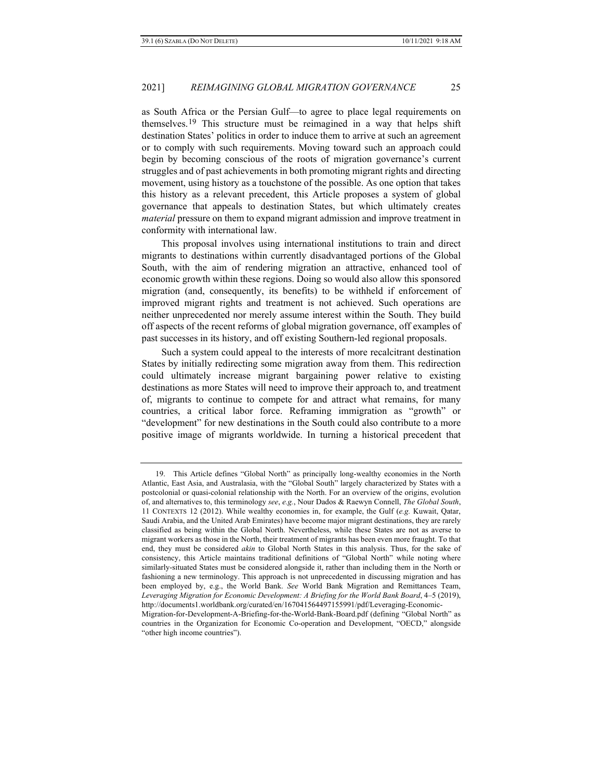<span id="page-6-1"></span>as South Africa or the Persian Gulf—to agree to place legal requirements on themselves.[19](#page-6-0) This structure must be reimagined in a way that helps shift destination States' politics in order to induce them to arrive at such an agreement or to comply with such requirements. Moving toward such an approach could begin by becoming conscious of the roots of migration governance's current struggles and of past achievements in both promoting migrant rights and directing movement, using history as a touchstone of the possible. As one option that takes this history as a relevant precedent, this Article proposes a system of global governance that appeals to destination States, but which ultimately creates *material* pressure on them to expand migrant admission and improve treatment in conformity with international law.

This proposal involves using international institutions to train and direct migrants to destinations within currently disadvantaged portions of the Global South, with the aim of rendering migration an attractive, enhanced tool of economic growth within these regions. Doing so would also allow this sponsored migration (and, consequently, its benefits) to be withheld if enforcement of improved migrant rights and treatment is not achieved. Such operations are neither unprecedented nor merely assume interest within the South. They build off aspects of the recent reforms of global migration governance, off examples of past successes in its history, and off existing Southern-led regional proposals.

Such a system could appeal to the interests of more recalcitrant destination States by initially redirecting some migration away from them. This redirection could ultimately increase migrant bargaining power relative to existing destinations as more States will need to improve their approach to, and treatment of, migrants to continue to compete for and attract what remains, for many countries, a critical labor force. Reframing immigration as "growth" or "development" for new destinations in the South could also contribute to a more positive image of migrants worldwide. In turning a historical precedent that

<span id="page-6-0"></span><sup>19.</sup> This Article defines "Global North" as principally long-wealthy economies in the North Atlantic, East Asia, and Australasia, with the "Global South" largely characterized by States with a postcolonial or quasi-colonial relationship with the North. For an overview of the origins, evolution of, and alternatives to, this terminology *see*, *e.g.*, Nour Dados & Raewyn Connell, *The Global South*, 11 CONTEXTS 12 (2012). While wealthy economies in, for example, the Gulf (*e.g.* Kuwait, Qatar, Saudi Arabia, and the United Arab Emirates) have become major migrant destinations, they are rarely classified as being within the Global North. Nevertheless, while these States are not as averse to migrant workers as those in the North, their treatment of migrants has been even more fraught. To that end, they must be considered *akin* to Global North States in this analysis. Thus, for the sake of consistency, this Article maintains traditional definitions of "Global North" while noting where similarly-situated States must be considered alongside it, rather than including them in the North or fashioning a new terminology. This approach is not unprecedented in discussing migration and has been employed by, e.g., the World Bank. *See* World Bank Migration and Remittances Team, *Leveraging Migration for Economic Development: A Briefing for the World Bank Board*, 4–5 (2019), http://documents1.worldbank.org/curated/en/167041564497155991/pdf/Leveraging-Economic-

Migration-for-Development-A-Briefing-for-the-World-Bank-Board.pdf (defining "Global North" as countries in the Organization for Economic Co-operation and Development, "OECD," alongside "other high income countries").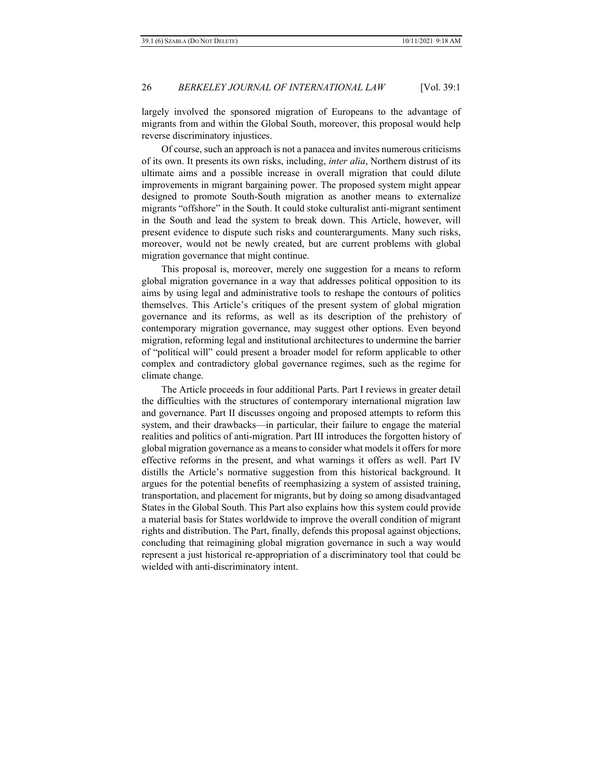largely involved the sponsored migration of Europeans to the advantage of migrants from and within the Global South, moreover, this proposal would help reverse discriminatory injustices.

Of course, such an approach is not a panacea and invites numerous criticisms of its own. It presents its own risks, including, *inter alia*, Northern distrust of its ultimate aims and a possible increase in overall migration that could dilute improvements in migrant bargaining power. The proposed system might appear designed to promote South-South migration as another means to externalize migrants "offshore" in the South. It could stoke culturalist anti-migrant sentiment in the South and lead the system to break down. This Article, however, will present evidence to dispute such risks and counterarguments. Many such risks, moreover, would not be newly created, but are current problems with global migration governance that might continue.

This proposal is, moreover, merely one suggestion for a means to reform global migration governance in a way that addresses political opposition to its aims by using legal and administrative tools to reshape the contours of politics themselves. This Article's critiques of the present system of global migration governance and its reforms, as well as its description of the prehistory of contemporary migration governance, may suggest other options. Even beyond migration, reforming legal and institutional architectures to undermine the barrier of "political will" could present a broader model for reform applicable to other complex and contradictory global governance regimes, such as the regime for climate change.

The Article proceeds in four additional Parts. Part I reviews in greater detail the difficulties with the structures of contemporary international migration law and governance. Part II discusses ongoing and proposed attempts to reform this system, and their drawbacks—in particular, their failure to engage the material realities and politics of anti-migration. Part III introduces the forgotten history of global migration governance as a means to consider what models it offers for more effective reforms in the present, and what warnings it offers as well. Part IV distills the Article's normative suggestion from this historical background. It argues for the potential benefits of reemphasizing a system of assisted training, transportation, and placement for migrants, but by doing so among disadvantaged States in the Global South. This Part also explains how this system could provide a material basis for States worldwide to improve the overall condition of migrant rights and distribution. The Part, finally, defends this proposal against objections, concluding that reimagining global migration governance in such a way would represent a just historical re-appropriation of a discriminatory tool that could be wielded with anti-discriminatory intent.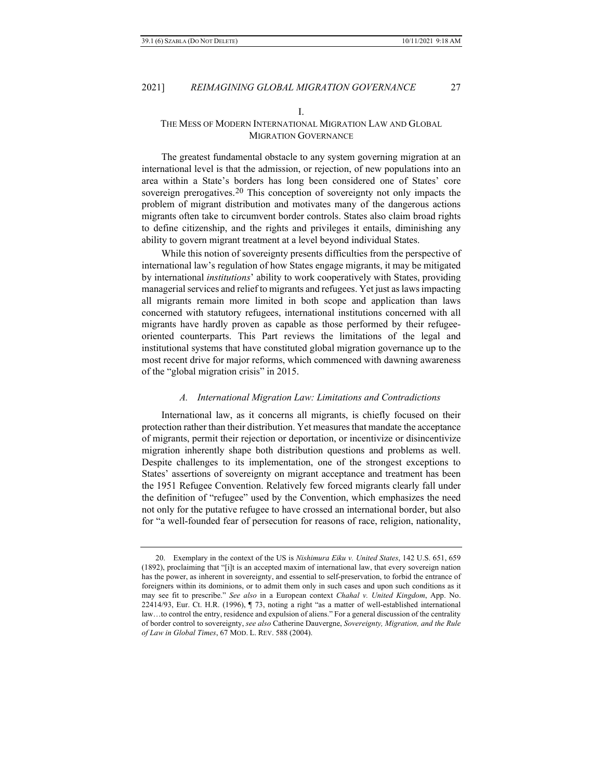## I.

## THE MESS OF MODERN INTERNATIONAL MIGRATION LAW AND GLOBAL MIGRATION GOVERNANCE

The greatest fundamental obstacle to any system governing migration at an international level is that the admission, or rejection, of new populations into an area within a State's borders has long been considered one of States' core sovereign prerogatives.<sup>[20](#page-8-0)</sup> This conception of sovereignty not only impacts the problem of migrant distribution and motivates many of the dangerous actions migrants often take to circumvent border controls. States also claim broad rights to define citizenship, and the rights and privileges it entails, diminishing any ability to govern migrant treatment at a level beyond individual States.

While this notion of sovereignty presents difficulties from the perspective of international law's regulation of how States engage migrants, it may be mitigated by international *institutions*' ability to work cooperatively with States, providing managerial services and relief to migrants and refugees. Yet just aslaws impacting all migrants remain more limited in both scope and application than laws concerned with statutory refugees, international institutions concerned with all migrants have hardly proven as capable as those performed by their refugeeoriented counterparts. This Part reviews the limitations of the legal and institutional systems that have constituted global migration governance up to the most recent drive for major reforms, which commenced with dawning awareness of the "global migration crisis" in 2015.

#### *A. International Migration Law: Limitations and Contradictions*

International law, as it concerns all migrants, is chiefly focused on their protection rather than their distribution. Yet measures that mandate the acceptance of migrants, permit their rejection or deportation, or incentivize or disincentivize migration inherently shape both distribution questions and problems as well. Despite challenges to its implementation, one of the strongest exceptions to States' assertions of sovereignty on migrant acceptance and treatment has been the 1951 Refugee Convention. Relatively few forced migrants clearly fall under the definition of "refugee" used by the Convention, which emphasizes the need not only for the putative refugee to have crossed an international border, but also for "a well-founded fear of persecution for reasons of race, religion, nationality,

<span id="page-8-0"></span><sup>20.</sup> Exemplary in the context of the US is *Nishimura Eiku v. United States*, 142 U.S. 651, 659 (1892), proclaiming that "[i]t is an accepted maxim of international law, that every sovereign nation has the power, as inherent in sovereignty, and essential to self-preservation, to forbid the entrance of foreigners within its dominions, or to admit them only in such cases and upon such conditions as it may see fit to prescribe." *See also* in a European context *Chahal v. United Kingdom*, App. No. 22414/93, Eur. Ct. H.R. (1996), ¶ 73, noting a right "as a matter of well-established international law…to control the entry, residence and expulsion of aliens." For a general discussion of the centrality of border control to sovereignty, *see also* Catherine Dauvergne, *Sovereignty, Migration, and the Rule of Law in Global Times*, 67 MOD. L. REV. 588 (2004).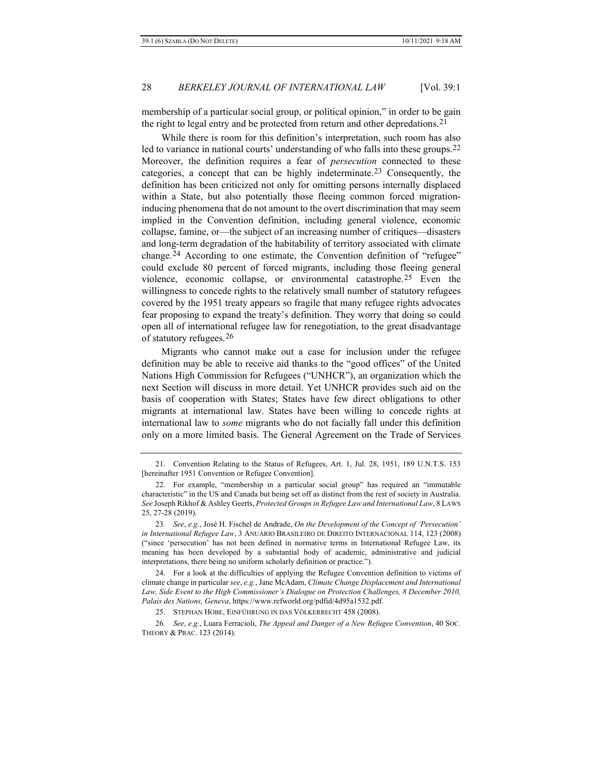<span id="page-9-6"></span>membership of a particular social group, or political opinion," in order to be gain the right to legal entry and be protected from return and other depredations.<sup>[21](#page-9-0)</sup>

While there is room for this definition's interpretation, such room has also led to variance in national courts' understanding of who falls into these groups.<sup>[22](#page-9-1)</sup> Moreover, the definition requires a fear of *persecution* connected to these categories, a concept that can be highly indeterminate.[23](#page-9-2) Consequently, the definition has been criticized not only for omitting persons internally displaced within a State, but also potentially those fleeing common forced migrationinducing phenomena that do not amount to the overt discrimination that may seem implied in the Convention definition, including general violence, economic collapse, famine, or—the subject of an increasing number of critiques—disasters and long-term degradation of the habitability of territory associated with climate change.[24](#page-9-3) According to one estimate, the Convention definition of "refugee" could exclude 80 percent of forced migrants, including those fleeing general violence, economic collapse, or environmental catastrophe.[25](#page-9-4) Even the willingness to concede rights to the relatively small number of statutory refugees covered by the 1951 treaty appears so fragile that many refugee rights advocates fear proposing to expand the treaty's definition. They worry that doing so could open all of international refugee law for renegotiation, to the great disadvantage of statutory refugees.[26](#page-9-5)

<span id="page-9-7"></span>Migrants who cannot make out a case for inclusion under the refugee definition may be able to receive aid thanks to the "good offices" of the United Nations High Commission for Refugees ("UNHCR"), an organization which the next Section will discuss in more detail. Yet UNHCR provides such aid on the basis of cooperation with States; States have few direct obligations to other migrants at international law. States have been willing to concede rights at international law to *some* migrants who do not facially fall under this definition only on a more limited basis. The General Agreement on the Trade of Services

<span id="page-9-0"></span><sup>21.</sup> Convention Relating to the Status of Refugees, Art. 1, Jul. 28, 1951, 189 U.N.T.S. 153 [hereinafter 1951 Convention or Refugee Convention].

<span id="page-9-1"></span><sup>22.</sup> For example, "membership in a particular social group" has required an "immutable characteristic" in the US and Canada but being set off as distinct from the rest of society in Australia. *See* Joseph Rikhof & Ashley Geerts, *Protected Groups in Refugee Law and International Law*, 8 LAWS 25, 27-28 (2019).

<span id="page-9-2"></span><sup>23</sup>*. See*, *e.g.*, José H. Fischel de Andrade, *On the Development of the Concept of 'Persecution' in International Refugee Law*, 3 ANUÁRIO BRASILEIRO DE DIREITO INTERNACIONAL 114, 123 (2008) ("since 'persecution' has not been defined in normative terms in International Refugee Law, its meaning has been developed by a substantial body of academic, administrative and judicial interpretations, there being no uniform scholarly definition or practice.").

<span id="page-9-3"></span><sup>24.</sup> For a look at the difficulties of applying the Refugee Convention definition to victims of climate change in particular *see*, *e.g.*, Jane McAdam, *Climate Change Displacement and International Law, Side Event to the High Commissioner's Dialogue on Protection Challenges, 8 December 2010, Palais des Nations, Geneva*, https://www.refworld.org/pdfid/4d95a1532.pdf.

<sup>25.</sup> STEPHAN HOBE, EINFÜHRUNG IN DAS VÖLKERRECHT 458 (2008).

<span id="page-9-5"></span><span id="page-9-4"></span><sup>26</sup>*. See*, *e.g.*, Luara Ferracioli, *The Appeal and Danger of a New Refugee Convention*, 40 SOC. THEORY & PRAC. 123 (2014).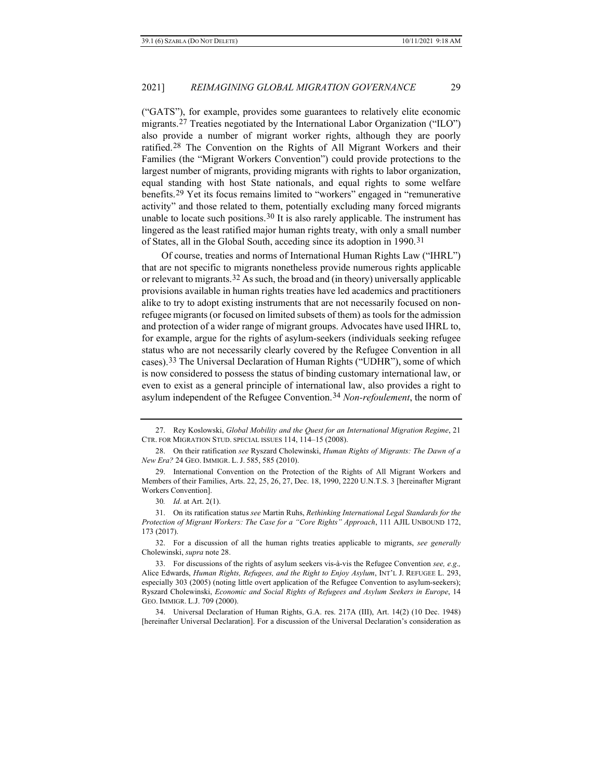<span id="page-10-10"></span><span id="page-10-0"></span>("GATS"), for example, provides some guarantees to relatively elite economic migrants.[27](#page-10-1) Treaties negotiated by the International Labor Organization ("ILO") also provide a number of migrant worker rights, although they are poorly ratified.[28](#page-10-2) The Convention on the Rights of All Migrant Workers and their Families (the "Migrant Workers Convention") could provide protections to the largest number of migrants, providing migrants with rights to labor organization, equal standing with host State nationals, and equal rights to some welfare benefits.[29](#page-10-3) Yet its focus remains limited to "workers" engaged in "remunerative activity" and those related to them, potentially excluding many forced migrants unable to locate such positions.[30](#page-10-4) It is also rarely applicable. The instrument has lingered as the least ratified major human rights treaty, with only a small number of States, all in the Global South, acceding since its adoption in 1990.[31](#page-10-5)

Of course, treaties and norms of International Human Rights Law ("IHRL") that are not specific to migrants nonetheless provide numerous rights applicable or relevant to migrants.[32](#page-10-6) As such, the broad and (in theory) universally applicable provisions available in human rights treaties have led academics and practitioners alike to try to adopt existing instruments that are not necessarily focused on nonrefugee migrants (or focused on limited subsets of them) as tools for the admission and protection of a wider range of migrant groups. Advocates have used IHRL to, for example, argue for the rights of asylum-seekers (individuals seeking refugee status who are not necessarily clearly covered by the Refugee Convention in all cases).[33](#page-10-7) The Universal Declaration of Human Rights ("UDHR"), some of which is now considered to possess the status of binding customary international law, or even to exist as a general principle of international law, also provides a right to asylum independent of the Refugee Convention.[34](#page-10-8) *Non-refoulement*, the norm of

<span id="page-10-6"></span>32. For a discussion of all the human rights treaties applicable to migrants, *see generally* Cholewinski, *supra* not[e 28.](#page-10-0)

<span id="page-10-9"></span><span id="page-10-1"></span><sup>27.</sup> Rey Koslowski, *Global Mobility and the Quest for an International Migration Regime*, 21 CTR. FOR MIGRATION STUD. SPECIAL ISSUES 114, 114–15 (2008).

<span id="page-10-2"></span><sup>28.</sup> On their ratification *see* Ryszard Cholewinski, *Human Rights of Migrants: The Dawn of a New Era?* 24 GEO. IMMIGR. L. J. 585, 585 (2010).

<span id="page-10-3"></span><sup>29.</sup> International Convention on the Protection of the Rights of All Migrant Workers and Members of their Families, Arts. 22, 25, 26, 27, Dec. 18, 1990, 2220 U.N.T.S. 3 [hereinafter Migrant Workers Convention].

<sup>30</sup>*. Id*. at Art. 2(1).

<span id="page-10-5"></span><span id="page-10-4"></span><sup>31.</sup> On its ratification status *see* Martin Ruhs, *Rethinking International Legal Standards for the Protection of Migrant Workers: The Case for a "Core Rights" Approach*, 111 AJIL UNBOUND 172, 173 (2017).

<span id="page-10-7"></span><sup>33.</sup> For discussions of the rights of asylum seekers vis-à-vis the Refugee Convention *see, e.g*.*,*  Alice Edwards, *Human Rights, Refugees, and the Right to Enjoy Asylum*, INT'L J. REFUGEE L. 293, especially 303 (2005) (noting little overt application of the Refugee Convention to asylum-seekers); Ryszard Cholewinski, *Economic and Social Rights of Refugees and Asylum Seekers in Europe*, 14 GEO. IMMIGR. L.J. 709 (2000).

<span id="page-10-8"></span><sup>34.</sup> Universal Declaration of Human Rights, G.A. res. 217A (III), Art. 14(2) (10 Dec. 1948) [hereinafter Universal Declaration]. For a discussion of the Universal Declaration's consideration as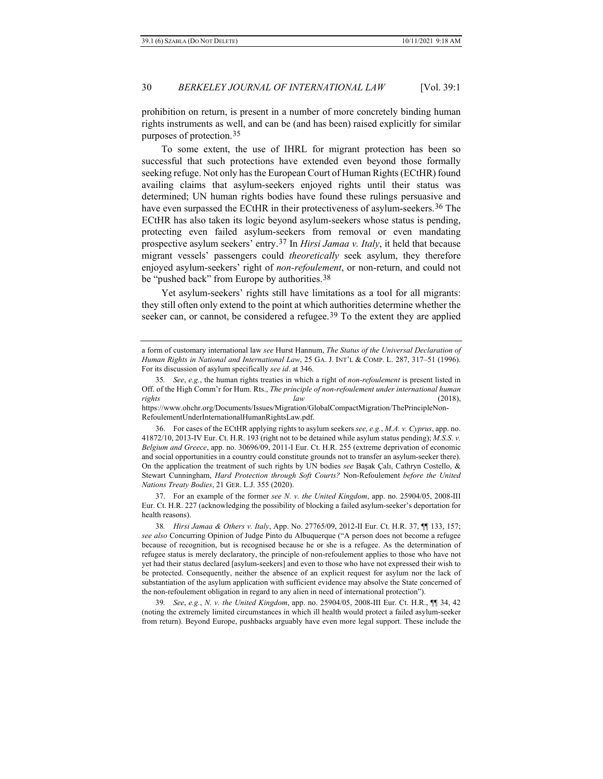prohibition on return, is present in a number of more concretely binding human rights instruments as well, and can be (and has been) raised explicitly for similar purposes of protection.[35](#page-11-0)

To some extent, the use of IHRL for migrant protection has been so successful that such protections have extended even beyond those formally seeking refuge. Not only has the European Court of Human Rights (ECtHR) found availing claims that asylum-seekers enjoyed rights until their status was determined; UN human rights bodies have found these rulings persuasive and have even surpassed the ECtHR in their protectiveness of asylum-seekers.<sup>[36](#page-11-1)</sup> The ECtHR has also taken its logic beyond asylum-seekers whose status is pending, protecting even failed asylum-seekers from removal or even mandating prospective asylum seekers' entry.[37](#page-11-2) In *Hirsi Jamaa v. Italy*, it held that because migrant vessels' passengers could *theoretically* seek asylum, they therefore enjoyed asylum-seekers' right of *non-refoulement*, or non-return, and could not be "pushed back" from Europe by authorities.<sup>[38](#page-11-3)</sup>

<span id="page-11-5"></span>Yet asylum-seekers' rights still have limitations as a tool for all migrants: they still often only extend to the point at which authorities determine whether the seeker can, or cannot, be considered a refugee.<sup>[39](#page-11-4)</sup> To the extent they are applied

https://www.ohchr.org/Documents/Issues/Migration/GlobalCompactMigration/ThePrincipleNon-RefoulementUnderInternationalHumanRightsLaw.pdf.

<span id="page-11-2"></span>37. For an example of the former *see N. v. the United Kingdom*, app. no. 25904/05, 2008-III Eur. Ct. H.R. 227 (acknowledging the possibility of blocking a failed asylum-seeker's deportation for health reasons).

a form of customary international law *see* Hurst Hannum, *The Status of the Universal Declaration of Human Rights in National and International Law*, 25 GA. J. INT'L & COMP. L. 287, 317–51 (1996). For its discussion of asylum specifically *see id*. at 346.

<span id="page-11-0"></span><sup>35</sup>*. See*, *e.g.*, the human rights treaties in which a right of *non-refoulement* is present listed in Off. of the High Comm'r for Hum. Rts., *The principle of non-refoulement under international human rights law* (2018),

<span id="page-11-1"></span><sup>36.</sup> For cases of the ECtHR applying rights to asylum seekers *see, e.g.*, *M.A. v. Cyprus*, app. no. 41872/10, 2013-IV Eur. Ct. H.R. 193 (right not to be detained while asylum status pending); *M.S.S. v. Belgium and Greece*, app. no. 30696/09, 2011-I Eur. Ct. H.R. 255 (extreme deprivation of economic and social opportunities in a country could constitute grounds not to transfer an asylum-seeker there). On the application the treatment of such rights by UN bodies *see* Başak Çalı, Cathryn Costello, & Stewart Cunningham, *Hard Protection through Soft Courts?* Non-Refoulement *before the United Nations Treaty Bodies*, 21 GER. L.J. 355 (2020).

<span id="page-11-3"></span><sup>38</sup>*. Hirsi Jamaa & Others v. Italy*, App. No. 27765/09, 2012-II Eur. Ct. H.R. 37, ¶¶ 133, 157; *see also* Concurring Opinion of Judge Pinto du Albuquerque ("A person does not become a refugee because of recognition, but is recognised because he or she is a refugee. As the determination of refugee status is merely declaratory, the principle of non-refoulement applies to those who have not yet had their status declared [asylum-seekers] and even to those who have not expressed their wish to be protected. Consequently, neither the absence of an explicit request for asylum nor the lack of substantiation of the asylum application with sufficient evidence may absolve the State concerned of the non-refoulement obligation in regard to any alien in need of international protection").

<span id="page-11-4"></span><sup>39</sup>*. See*, *e.g.*, *N. v. the United Kingdom*, app. no. 25904/05, 2008-III Eur. Ct. H.R., ¶¶ 34, 42 (noting the extremely limited circumstances in which ill health would protect a failed asylum-seeker from return). Beyond Europe, pushbacks arguably have even more legal support. These include the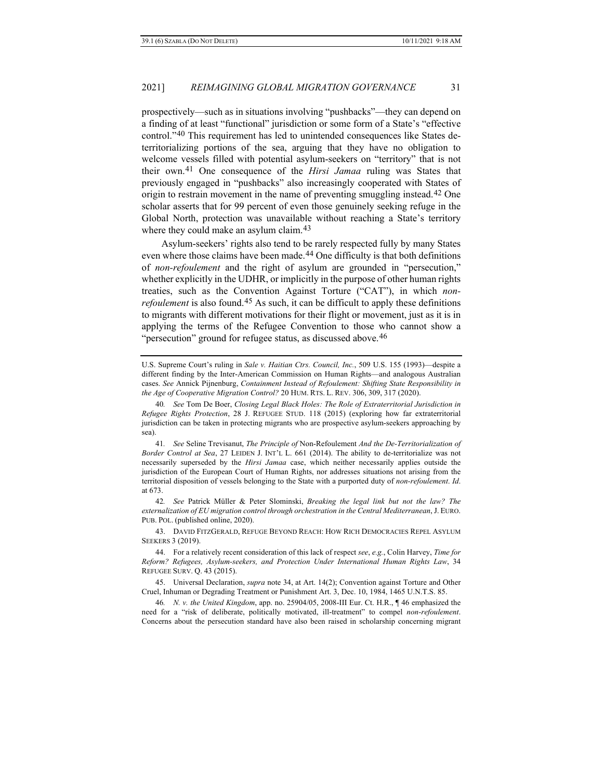prospectively—such as in situations involving "pushbacks"—they can depend on a finding of at least "functional" jurisdiction or some form of a State's "effective control."[40](#page-12-0) This requirement has led to unintended consequences like States deterritorializing portions of the sea, arguing that they have no obligation to welcome vessels filled with potential asylum-seekers on "territory" that is not their own.[41](#page-12-1) One consequence of the *Hirsi Jamaa* ruling was States that previously engaged in "pushbacks" also increasingly cooperated with States of origin to restrain movement in the name of preventing smuggling instead.[42](#page-12-2) One scholar asserts that for 99 percent of even those genuinely seeking refuge in the Global North, protection was unavailable without reaching a State's territory where they could make an asylum claim.<sup>[43](#page-12-3)</sup>

<span id="page-12-7"></span>Asylum-seekers' rights also tend to be rarely respected fully by many States even where those claims have been made.<sup>44</sup> One difficulty is that both definitions of *non-refoulement* and the right of asylum are grounded in "persecution," whether explicitly in the UDHR, or implicitly in the purpose of other human rights treaties, such as the Convention Against Torture ("CAT"), in which *nonrefoulement* is also found.<sup>[45](#page-12-5)</sup> As such, it can be difficult to apply these definitions to migrants with different motivations for their flight or movement, just as it is in applying the terms of the Refugee Convention to those who cannot show a "persecution" ground for refugee status, as discussed above.<sup>[46](#page-12-6)</sup>

U.S. Supreme Court's ruling in *Sale v. Haitian Ctrs. Council, Inc.*, 509 U.S. 155 (1993)—despite a different finding by the Inter-American Commission on Human Rights—and analogous Australian cases. *See* Annick Pijnenburg, *Containment Instead of Refoulement: Shifting State Responsibility in the Age of Cooperative Migration Control?* 20 HUM. RTS. L. REV. 306, 309, 317 (2020).

<span id="page-12-0"></span><sup>40</sup>*. See* Tom De Boer, *Closing Legal Black Holes: The Role of Extraterritorial Jurisdiction in Refugee Rights Protection*, 28 J. REFUGEE STUD. 118 (2015) (exploring how far extraterritorial jurisdiction can be taken in protecting migrants who are prospective asylum-seekers approaching by sea).

<span id="page-12-1"></span><sup>41</sup>*. See* Seline Trevisanut, *The Principle of* Non-Refoulement *And the De-Territorialization of Border Control at Sea*, 27 LEIDEN J. INT'L L. 661 (2014). The ability to de-territorialize was not necessarily superseded by the *Hirsi Jamaa* case, which neither necessarily applies outside the jurisdiction of the European Court of Human Rights, nor addresses situations not arising from the territorial disposition of vessels belonging to the State with a purported duty of *non-refoulement*. *Id*. at 673.

<span id="page-12-2"></span><sup>42</sup>*. See* Patrick Müller & Peter Slominski, *Breaking the legal link but not the law? The externalization of EU migration control through orchestration in the Central Mediterranean*, J. EURO. PUB. POL. (published online, 2020).

<span id="page-12-3"></span><sup>43.</sup> DAVID FITZGERALD, REFUGE BEYOND REACH: HOW RICH DEMOCRACIES REPEL ASYLUM SEEKERS 3 (2019).

<span id="page-12-4"></span><sup>44.</sup> For a relatively recent consideration of this lack of respect *see*, *e.g.*, Colin Harvey, *Time for Reform? Refugees, Asylum-seekers, and Protection Under International Human Rights Law*, 34 REFUGEE SURV. Q. 43 (2015).

<span id="page-12-5"></span><sup>45.</sup> Universal Declaration, *supra* not[e 34,](#page-10-9) at Art. 14(2); Convention against Torture and Other Cruel, Inhuman or Degrading Treatment or Punishment Art. 3, Dec. 10, 1984, 1465 U.N.T.S. 85.

<span id="page-12-6"></span><sup>46</sup>*. N. v. the United Kingdom*, app. no. 25904/05, 2008-III Eur. Ct. H.R., ¶ 46 emphasized the need for a "risk of deliberate, politically motivated, ill-treatment" to compel *non-refoulement*. Concerns about the persecution standard have also been raised in scholarship concerning migrant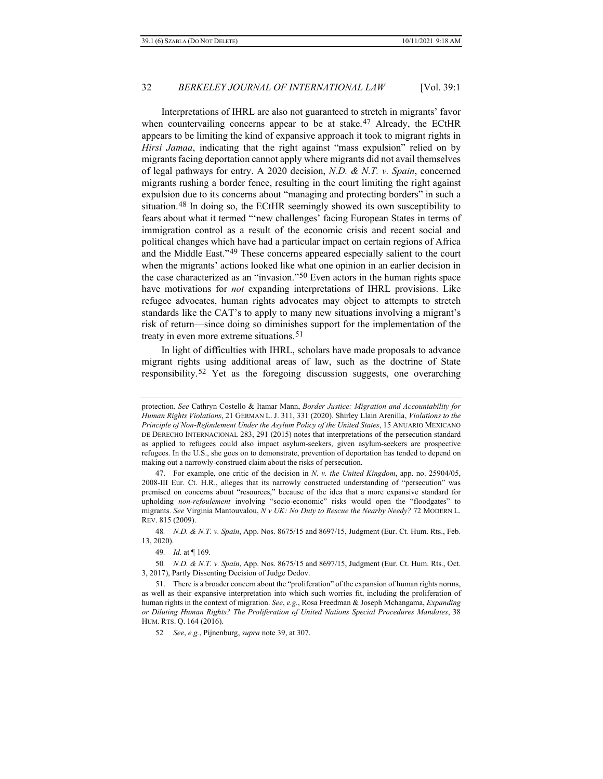Interpretations of IHRL are also not guaranteed to stretch in migrants' favor when countervailing concerns appear to be at stake.[47](#page-13-0) Already, the ECtHR appears to be limiting the kind of expansive approach it took to migrant rights in *Hirsi Jamaa*, indicating that the right against "mass expulsion" relied on by migrants facing deportation cannot apply where migrants did not avail themselves of legal pathways for entry. A 2020 decision, *N.D. & N.T. v. Spain*, concerned migrants rushing a border fence, resulting in the court limiting the right against expulsion due to its concerns about "managing and protecting borders" in such a situation[.48](#page-13-1) In doing so, the ECtHR seemingly showed its own susceptibility to fears about what it termed "'new challenges' facing European States in terms of immigration control as a result of the economic crisis and recent social and political changes which have had a particular impact on certain regions of Africa and the Middle East."[49](#page-13-2) These concerns appeared especially salient to the court when the migrants' actions looked like what one opinion in an earlier decision in the case characterized as an "invasion."[50](#page-13-3) Even actors in the human rights space have motivations for *not* expanding interpretations of IHRL provisions. Like refugee advocates, human rights advocates may object to attempts to stretch standards like the CAT's to apply to many new situations involving a migrant's risk of return—since doing so diminishes support for the implementation of the treaty in even more extreme situations.<sup>[51](#page-13-4)</sup>

In light of difficulties with IHRL, scholars have made proposals to advance migrant rights using additional areas of law, such as the doctrine of State responsibility.[52](#page-13-5) Yet as the foregoing discussion suggests, one overarching

protection. *See* Cathryn Costello & Itamar Mann, *Border Justice: Migration and Accountability for Human Rights Violations*, 21 GERMAN L. J. 311, 331 (2020). Shirley Llain Arenilla, *Violations to the Principle of Non-Refoulement Under the Asylum Policy of the United States*, 15 ANUARIO MEXICANO DE DERECHO INTERNACIONAL 283, 291 (2015) notes that interpretations of the persecution standard as applied to refugees could also impact asylum-seekers, given asylum-seekers are prospective refugees. In the U.S., she goes on to demonstrate, prevention of deportation has tended to depend on making out a narrowly-construed claim about the risks of persecution.

<span id="page-13-0"></span><sup>47.</sup> For example, one critic of the decision in *N. v. the United Kingdom*, app. no. 25904/05, 2008-III Eur. Ct. H.R., alleges that its narrowly constructed understanding of "persecution" was premised on concerns about "resources," because of the idea that a more expansive standard for upholding *non-refoulement* involving "socio-economic" risks would open the "floodgates" to migrants. *See* Virginia Mantouvalou, *N v UK: No Duty to Rescue the Nearby Needy?* 72 MODERN L. REV. 815 (2009).

<span id="page-13-1"></span><sup>48</sup>*. N.D. & N.T. v. Spain*, App. Nos. 8675/15 and 8697/15, Judgment (Eur. Ct. Hum. Rts., Feb. 13, 2020).

<sup>49</sup>*. Id*. at ¶ 169.

<span id="page-13-3"></span><span id="page-13-2"></span><sup>50</sup>*. N.D. & N.T. v. Spain*, App. Nos. 8675/15 and 8697/15, Judgment (Eur. Ct. Hum. Rts., Oct. 3, 2017), Partly Dissenting Decision of Judge Dedov.

<span id="page-13-5"></span><span id="page-13-4"></span><sup>51.</sup> There is a broader concern about the "proliferation" of the expansion of human rights norms, as well as their expansive interpretation into which such worries fit, including the proliferation of human rights in the context of migration. *See*, *e.g.*, Rosa Freedman & Joseph Mchangama, *Expanding or Diluting Human Rights? The Proliferation of United Nations Special Procedures Mandates*, 38 HUM. RTS. Q. 164 (2016).

<sup>52</sup>*. See*, *e.g.*, Pijnenburg, *supra* note [39,](#page-11-5) at 307.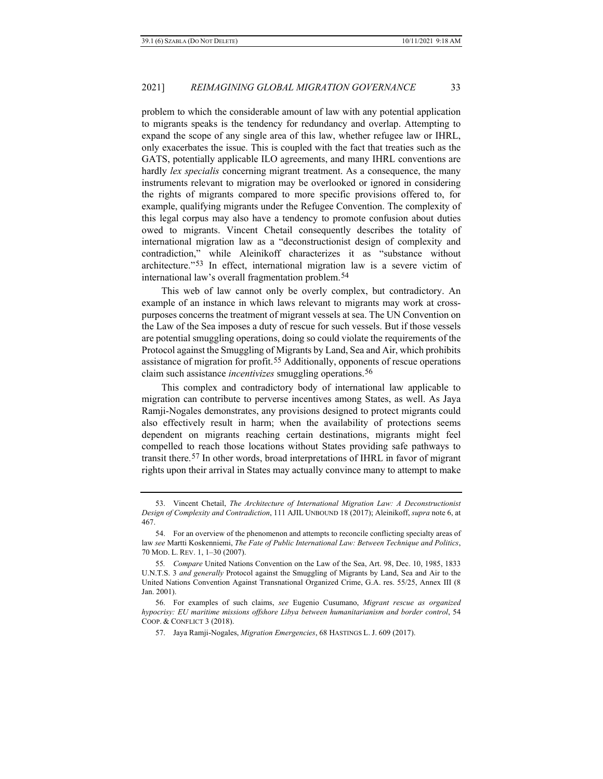problem to which the considerable amount of law with any potential application to migrants speaks is the tendency for redundancy and overlap. Attempting to expand the scope of any single area of this law, whether refugee law or IHRL, only exacerbates the issue. This is coupled with the fact that treaties such as the GATS, potentially applicable ILO agreements, and many IHRL conventions are hardly *lex specialis* concerning migrant treatment. As a consequence, the many instruments relevant to migration may be overlooked or ignored in considering the rights of migrants compared to more specific provisions offered to, for example, qualifying migrants under the Refugee Convention. The complexity of this legal corpus may also have a tendency to promote confusion about duties owed to migrants. Vincent Chetail consequently describes the totality of international migration law as a "deconstructionist design of complexity and contradiction," while Aleinikoff characterizes it as "substance without architecture."[53](#page-14-0) In effect, international migration law is a severe victim of international law's overall fragmentation problem.[54](#page-14-1)

This web of law cannot only be overly complex, but contradictory. An example of an instance in which laws relevant to migrants may work at crosspurposes concerns the treatment of migrant vessels at sea. The UN Convention on the Law of the Sea imposes a duty of rescue for such vessels. But if those vessels are potential smuggling operations, doing so could violate the requirements of the Protocol against the Smuggling of Migrants by Land, Sea and Air, which prohibits assistance of migration for profit.[55](#page-14-2) Additionally, opponents of rescue operations claim such assistance *incentivizes* smuggling operations.[56](#page-14-3)

This complex and contradictory body of international law applicable to migration can contribute to perverse incentives among States, as well. As Jaya Ramji-Nogales demonstrates, any provisions designed to protect migrants could also effectively result in harm; when the availability of protections seems dependent on migrants reaching certain destinations, migrants might feel compelled to reach those locations without States providing safe pathways to transit there.[57](#page-14-4) In other words, broad interpretations of IHRL in favor of migrant rights upon their arrival in States may actually convince many to attempt to make

<span id="page-14-0"></span><sup>53.</sup> Vincent Chetail, *The Architecture of International Migration Law: A Deconstructionist Design of Complexity and Contradiction*, 111 AJIL UNBOUND 18 (2017); Aleinikoff, *supra* note 6, at 467.

<span id="page-14-1"></span><sup>54.</sup> For an overview of the phenomenon and attempts to reconcile conflicting specialty areas of law *see* Martti Koskenniemi, *The Fate of Public International Law: Between Technique and Politics*, 70 MOD. L. REV. 1, 1–30 (2007).

<span id="page-14-2"></span><sup>55</sup>*. Compare* United Nations Convention on the Law of the Sea, Art. 98, Dec. 10, 1985, 1833 U.N.T.S. 3 *and generally* Protocol against the Smuggling of Migrants by Land, Sea and Air to the United Nations Convention Against Transnational Organized Crime, G.A. res. 55/25, Annex III (8 Jan. 2001).

<span id="page-14-4"></span><span id="page-14-3"></span><sup>56.</sup> For examples of such claims, *see* Eugenio Cusumano, *Migrant rescue as organized hypocrisy: EU maritime missions offshore Libya between humanitarianism and border control*, 54 COOP. & CONFLICT 3 (2018).

<sup>57.</sup> Jaya Ramji-Nogales, *Migration Emergencies*, 68 HASTINGS L. J. 609 (2017).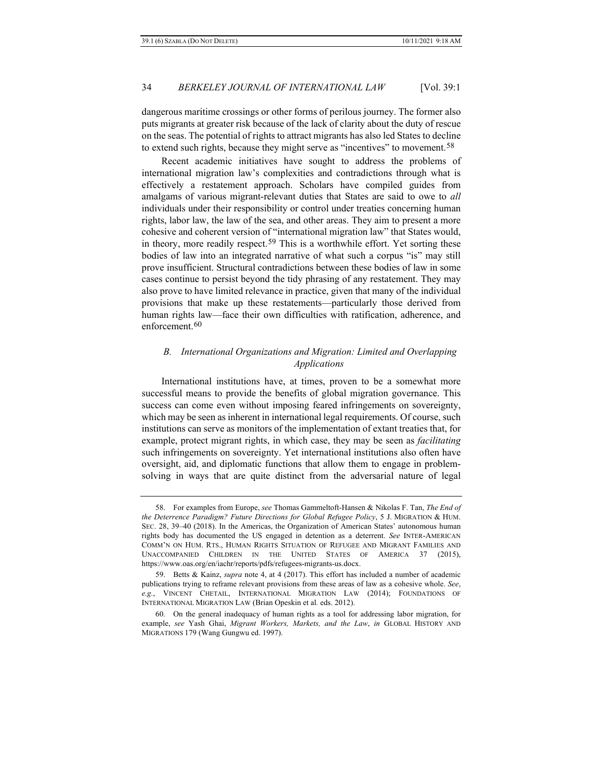dangerous maritime crossings or other forms of perilous journey. The former also puts migrants at greater risk because of the lack of clarity about the duty of rescue on the seas. The potential of rights to attract migrants has also led States to decline to extend such rights, because they might serve as "incentives" to movement.[58](#page-15-0)

Recent academic initiatives have sought to address the problems of international migration law's complexities and contradictions through what is effectively a restatement approach. Scholars have compiled guides from amalgams of various migrant-relevant duties that States are said to owe to *all* individuals under their responsibility or control under treaties concerning human rights, labor law, the law of the sea, and other areas. They aim to present a more cohesive and coherent version of "international migration law" that States would, in theory, more readily respect.<sup>[59](#page-15-1)</sup> This is a worthwhile effort. Yet sorting these bodies of law into an integrated narrative of what such a corpus "is" may still prove insufficient. Structural contradictions between these bodies of law in some cases continue to persist beyond the tidy phrasing of any restatement. They may also prove to have limited relevance in practice, given that many of the individual provisions that make up these restatements—particularly those derived from human rights law—face their own difficulties with ratification, adherence, and enforcement.<sup>[60](#page-15-2)</sup>

## *B. International Organizations and Migration: Limited and Overlapping Applications*

International institutions have, at times, proven to be a somewhat more successful means to provide the benefits of global migration governance. This success can come even without imposing feared infringements on sovereignty, which may be seen as inherent in international legal requirements. Of course, such institutions can serve as monitors of the implementation of extant treaties that, for example, protect migrant rights, in which case, they may be seen as *facilitating* such infringements on sovereignty. Yet international institutions also often have oversight, aid, and diplomatic functions that allow them to engage in problemsolving in ways that are quite distinct from the adversarial nature of legal

<span id="page-15-0"></span><sup>58.</sup> For examples from Europe, *see* Thomas Gammeltoft-Hansen & Nikolas F. Tan, *The End of the Deterrence Paradigm? Future Directions for Global Refugee Policy*, 5 J. MIGRATION & HUM. SEC. 28, 39–40 (2018). In the Americas, the Organization of American States' autonomous human rights body has documented the US engaged in detention as a deterrent. *See* INTER-AMERICAN COMM'N ON HUM. RTS., HUMAN RIGHTS SITUATION OF REFUGEE AND MIGRANT FAMILIES AND UNACCOMPANIED CHILDREN IN THE UNITED STATES OF AMERICA 37 (2015), https://www.oas.org/en/iachr/reports/pdfs/refugees-migrants-us.docx.

<span id="page-15-1"></span><sup>59.</sup> Betts & Kainz, *supra* note 4, at 4 (2017). This effort has included a number of academic publications trying to reframe relevant provisions from these areas of law as a cohesive whole. *See*, *e.g.*, VINCENT CHETAIL, INTERNATIONAL MIGRATION LAW (2014); FOUNDATIONS OF INTERNATIONAL MIGRATION LAW (Brian Opeskin et al*.* eds. 2012).

<span id="page-15-2"></span><sup>60.</sup> On the general inadequacy of human rights as a tool for addressing labor migration, for example, *see* Yash Ghai, *Migrant Workers, Markets, and the Law*, *in* GLOBAL HISTORY AND MIGRATIONS 179 (Wang Gungwu ed. 1997).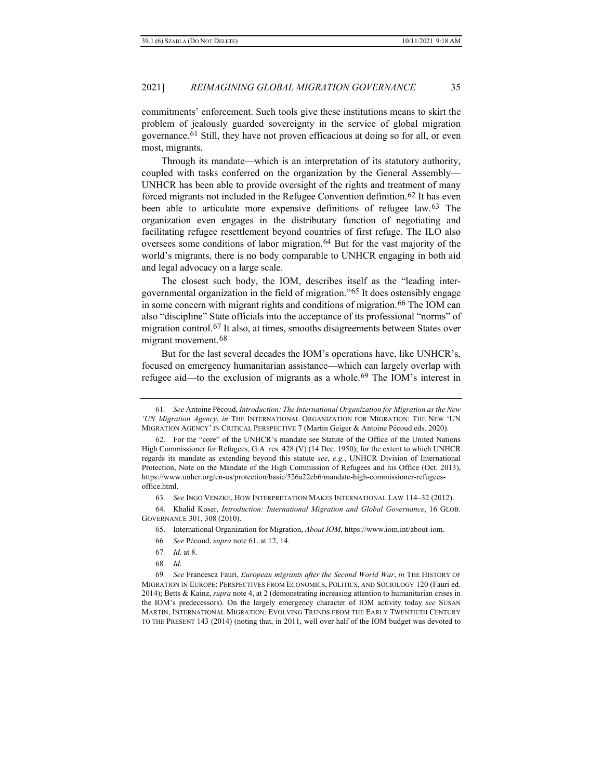<span id="page-16-9"></span>commitments' enforcement. Such tools give these institutions means to skirt the problem of jealously guarded sovereignty in the service of global migration governance.[61](#page-16-0) Still, they have not proven efficacious at doing so for all, or even most, migrants.

<span id="page-16-11"></span>Through its mandate—which is an interpretation of its statutory authority, coupled with tasks conferred on the organization by the General Assembly— UNHCR has been able to provide oversight of the rights and treatment of many forced migrants not included in the Refugee Convention definition.<sup>[62](#page-16-1)</sup> It has even been able to articulate more expensive definitions of refugee law.[63](#page-16-2) The organization even engages in the distributary function of negotiating and facilitating refugee resettlement beyond countries of first refuge. The ILO also oversees some conditions of labor migration.<sup>[64](#page-16-3)</sup> But for the vast majority of the world's migrants, there is no body comparable to UNHCR engaging in both aid and legal advocacy on a large scale.

<span id="page-16-13"></span><span id="page-16-12"></span>The closest such body, the IOM, describes itself as the "leading intergovernmental organization in the field of migration."[65](#page-16-4) It does ostensibly engage in some concern with migrant rights and conditions of migration.<sup>[66](#page-16-5)</sup> The IOM can also "discipline" State officials into the acceptance of its professional "norms" of migration control.[67](#page-16-6) It also, at times, smooths disagreements between States over migrant movement.[68](#page-16-7)

<span id="page-16-10"></span>But for the last several decades the IOM's operations have, like UNHCR's, focused on emergency humanitarian assistance—which can largely overlap with refugee aid—to the exclusion of migrants as a whole.[69](#page-16-8) The IOM's interest in

<span id="page-16-0"></span><sup>61</sup>*. See* Antoine Pécoud, *Introduction: The International Organization for Migration as the New 'UN Migration Agency*, *in* THE INTERNATIONAL ORGANIZATION FOR MIGRATION: THE NEW 'UN MIGRATION AGENCY' IN CRITICAL PERSPECTIVE 7 (Martin Geiger & Antoine Pécoud eds. 2020).

<span id="page-16-1"></span><sup>62.</sup> For the "core" of the UNHCR's mandate see Statute of the Office of the United Nations High Commissioner for Refugees, G.A. res. 428 (V) (14 Dec. 1950); for the extent to which UNHCR regards its mandate as extending beyond this statute *see*, *e.g.*, UNHCR Division of International Protection, Note on the Mandate of the High Commission of Refugees and his Office (Oct. 2013), https://www.unhcr.org/en-us/protection/basic/526a22cb6/mandate-high-commissioner-refugeesoffice.html.

<sup>63</sup>*. See* INGO VENZKE, HOW INTERPRETATION MAKES INTERNATIONAL LAW 114–32 (2012).

<span id="page-16-5"></span><span id="page-16-4"></span><span id="page-16-3"></span><span id="page-16-2"></span><sup>64.</sup> Khalid Koser, *Introduction: International Migration and Global Governance*, 16 GLOB. GOVERNANCE 301, 308 (2010).

<sup>65.</sup> International Organization for Migration, *About IOM*, https://www.iom.int/about-iom.

<sup>66</sup>*. See* Pécoud, *supra* note 61, at 12, 14.

<sup>67</sup>*. Id*. at 8.

<sup>68</sup>*. Id*.

<span id="page-16-8"></span><span id="page-16-7"></span><span id="page-16-6"></span><sup>69</sup>*. See* Francesca Fauri, *European migrants after the Second World War*, *in* THE HISTORY OF MIGRATION IN EUROPE: PERSPECTIVES FROM ECONOMICS, POLITICS, AND SOCIOLOGY 120 (Fauri ed. 2014); Betts & Kainz, *supra* note 4, at 2 (demonstrating increasing attention to humanitarian crises in the IOM's predecessors). On the largely emergency character of IOM activity today *see* SUSAN MARTIN, INTERNATIONAL MIGRATION: EVOLVING TRENDS FROM THE EARLY TWENTIETH CENTURY TO THE PRESENT 143 (2014) (noting that, in 2011, well over half of the IOM budget was devoted to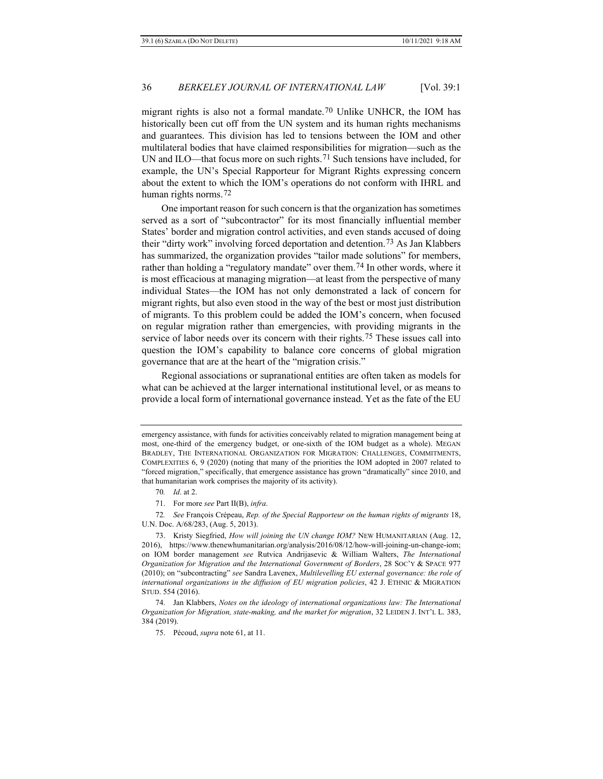migrant rights is also not a formal mandate.[70](#page-17-0) Unlike UNHCR, the IOM has historically been cut off from the UN system and its human rights mechanisms and guarantees. This division has led to tensions between the IOM and other multilateral bodies that have claimed responsibilities for migration—such as the UN and ILO—that focus more on such rights.<sup>[71](#page-17-1)</sup> Such tensions have included, for example, the UN's Special Rapporteur for Migrant Rights expressing concern about the extent to which the IOM's operations do not conform with IHRL and human rights norms.[72](#page-17-2)

<span id="page-17-7"></span><span id="page-17-6"></span>One important reason for such concern is that the organization has sometimes served as a sort of "subcontractor" for its most financially influential member States' border and migration control activities, and even stands accused of doing their "dirty work" involving forced deportation and detention.[73](#page-17-3) As Jan Klabbers has summarized, the organization provides "tailor made solutions" for members, rather than holding a "regulatory mandate" over them.[74](#page-17-4) In other words, where it is most efficacious at managing migration—at least from the perspective of many individual States—the IOM has not only demonstrated a lack of concern for migrant rights, but also even stood in the way of the best or most just distribution of migrants. To this problem could be added the IOM's concern, when focused on regular migration rather than emergencies, with providing migrants in the service of labor needs over its concern with their rights.<sup>[75](#page-17-5)</sup> These issues call into question the IOM's capability to balance core concerns of global migration governance that are at the heart of the "migration crisis."

Regional associations or supranational entities are often taken as models for what can be achieved at the larger international institutional level, or as means to provide a local form of international governance instead. Yet as the fate of the EU

<span id="page-17-2"></span><span id="page-17-1"></span><span id="page-17-0"></span>72*. See* François Crépeau, *Rep. of the Special Rapporteur on the human rights of migrants* 18, U.N. Doc. A/68/283, (Aug. 5, 2013).

emergency assistance, with funds for activities conceivably related to migration management being at most, one-third of the emergency budget, or one-sixth of the IOM budget as a whole). MEGAN BRADLEY, THE INTERNATIONAL ORGANIZATION FOR MIGRATION: CHALLENGES, COMMITMENTS, COMPLEXITIES 6, 9 (2020) (noting that many of the priorities the IOM adopted in 2007 related to "forced migration," specifically, that emergence assistance has grown "dramatically" since 2010, and that humanitarian work comprises the majority of its activity).

<sup>70</sup>*. Id*. at 2.

<sup>71.</sup> For more *see* Part II(B), *infra*.

<span id="page-17-3"></span><sup>73.</sup> Kristy Siegfried, *How will joining the UN change IOM?* NEW HUMANITARIAN (Aug. 12, 2016), https://www.thenewhumanitarian.org/analysis/2016/08/12/how-will-joining-un-change-iom; on IOM border management *see* Rutvica Andrijasevic & William Walters, *The International Organization for Migration and the International Government of Borders*, 28 SOC'Y & SPACE 977 (2010); on "subcontracting" *see* Sandra Lavenex, *Multilevelling EU external governance: the role of international organizations in the diffusion of EU migration policies*, 42 J. ETHNIC & MIGRATION STUD. 554 (2016).

<span id="page-17-5"></span><span id="page-17-4"></span><sup>74.</sup> Jan Klabbers, *Notes on the ideology of international organizations law: The International Organization for Migration, state-making, and the market for migration*, 32 LEIDEN J. INT'L L. 383, 384 (2019).

<sup>75.</sup> Pécoud, *supra* not[e 61,](#page-16-9) at 11.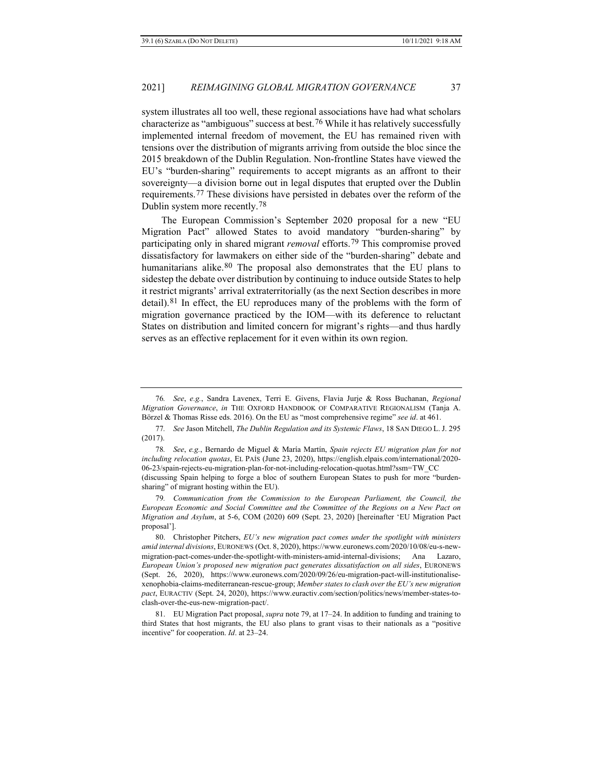<span id="page-18-6"></span>system illustrates all too well, these regional associations have had what scholars characterize as "ambiguous" success at best.[76](#page-18-0) While it has relatively successfully implemented internal freedom of movement, the EU has remained riven with tensions over the distribution of migrants arriving from outside the bloc since the 2015 breakdown of the Dublin Regulation. Non-frontline States have viewed the EU's "burden-sharing" requirements to accept migrants as an affront to their sovereignty—a division borne out in legal disputes that erupted over the Dublin requirements.[77](#page-18-1) These divisions have persisted in debates over the reform of the Dublin system more recently.[78](#page-18-2)

The European Commission's September 2020 proposal for a new "EU Migration Pact" allowed States to avoid mandatory "burden-sharing" by participating only in shared migrant *removal* efforts.[79](#page-18-3) This compromise proved dissatisfactory for lawmakers on either side of the "burden-sharing" debate and humanitarians alike.  $80$  The proposal also demonstrates that the EU plans to sidestep the debate over distribution by continuing to induce outside States to help it restrict migrants' arrival extraterritorially (as the next Section describes in more detail).[81](#page-18-5) In effect, the EU reproduces many of the problems with the form of migration governance practiced by the IOM—with its deference to reluctant States on distribution and limited concern for migrant's rights—and thus hardly serves as an effective replacement for it even within its own region.

<span id="page-18-0"></span><sup>76</sup>*. See*, *e.g.*, Sandra Lavenex, Terri E. Givens, Flavia Jurje & Ross Buchanan, *Regional Migration Governance*, *in* THE OXFORD HANDBOOK OF COMPARATIVE REGIONALISM (Tanja A. Börzel & Thomas Risse eds. 2016). On the EU as "most comprehensive regime" *see id*. at 461.

<span id="page-18-1"></span><sup>77</sup>*. See* Jason Mitchell, *The Dublin Regulation and its Systemic Flaws*, 18 SAN DIEGO L. J. 295 (2017).

<span id="page-18-2"></span><sup>78</sup>*. See*, *e.g.*, Bernardo de Miguel & María Martín, *Spain rejects EU migration plan for not including relocation quotas*, EL PAÍS (June 23, 2020), https://english.elpais.com/international/2020- 06-23/spain-rejects-eu-migration-plan-for-not-including-relocation-quotas.html?ssm=TW\_CC (discussing Spain helping to forge a bloc of southern European States to push for more "burdensharing" of migrant hosting within the EU).

<span id="page-18-3"></span><sup>79</sup>*. Communication from the Commission to the European Parliament, the Council, the European Economic and Social Committee and the Committee of the Regions on a New Pact on Migration and Asylum*, at 5-6, COM (2020) 609 (Sept. 23, 2020) [hereinafter 'EU Migration Pact proposal'].

<span id="page-18-4"></span><sup>80.</sup> Christopher Pitchers, *EU's new migration pact comes under the spotlight with ministers amid internal divisions*, EURONEWS (Oct. 8, 2020), https://www.euronews.com/2020/10/08/eu-s-newmigration-pact-comes-under-the-spotlight-with-ministers-amid-internal-divisions; Ana Lazaro, *European Union's proposed new migration pact generates dissatisfaction on all sides*, EURONEWS (Sept. 26, 2020), https://www.euronews.com/2020/09/26/eu-migration-pact-will-institutionalisexenophobia-claims-mediterranean-rescue-group; *Member states to clash over the EU's new migration pact*, EURACTIV (Sept. 24, 2020), https://www.euractiv.com/section/politics/news/member-states-toclash-over-the-eus-new-migration-pact/.

<span id="page-18-5"></span><sup>81.</sup> EU Migration Pact proposal, *supra* note 79, at 17–24. In addition to funding and training to third States that host migrants, the EU also plans to grant visas to their nationals as a "positive incentive" for cooperation. *Id*. at 23–24.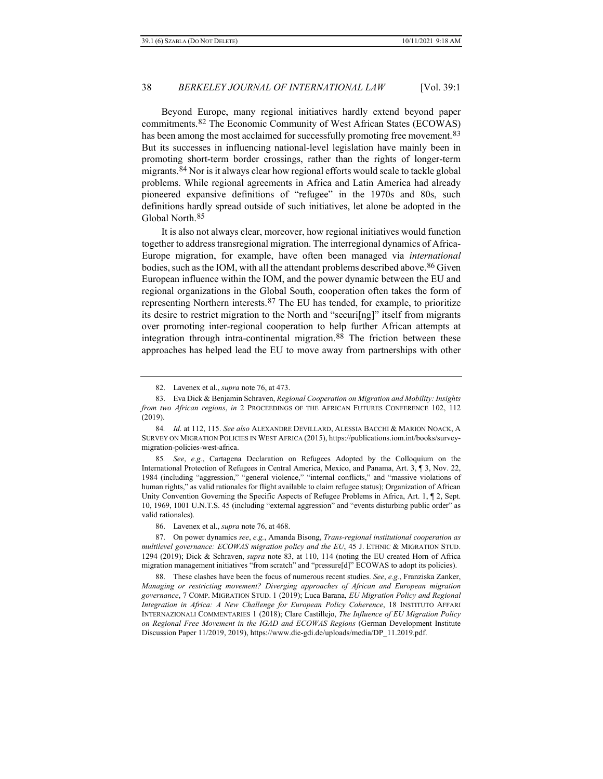<span id="page-19-9"></span><span id="page-19-0"></span>Beyond Europe, many regional initiatives hardly extend beyond paper commitments.[82](#page-19-1) The Economic Community of West African States (ECOWAS) has been among the most acclaimed for successfully promoting free movement.<sup>[83](#page-19-2)</sup> But its successes in influencing national-level legislation have mainly been in promoting short-term border crossings, rather than the rights of longer-term migrants.[84](#page-19-3) Nor is it always clear how regional efforts would scale to tackle global problems. While regional agreements in Africa and Latin America had already pioneered expansive definitions of "refugee" in the 1970s and 80s, such definitions hardly spread outside of such initiatives, let alone be adopted in the Global North.[85](#page-19-4)

It is also not always clear, moreover, how regional initiatives would function together to address transregional migration. The interregional dynamics of Africa-Europe migration, for example, have often been managed via *international* bodies, such as the IOM, with all the attendant problems described above.<sup>[86](#page-19-5)</sup> Given European influence within the IOM, and the power dynamic between the EU and regional organizations in the Global South, cooperation often takes the form of representing Northern interests.[87](#page-19-6) The EU has tended, for example, to prioritize its desire to restrict migration to the North and "securi[ng]" itself from migrants over promoting inter-regional cooperation to help further African attempts at integration through intra-continental migration.<sup>[88](#page-19-7)</sup> The friction between these approaches has helped lead the EU to move away from partnerships with other

<span id="page-19-8"></span><sup>82.</sup> Lavenex et al., *supra* not[e 76,](#page-18-6) at 473.

<span id="page-19-2"></span><span id="page-19-1"></span><sup>83.</sup> Eva Dick & Benjamin Schraven, *Regional Cooperation on Migration and Mobility: Insights from two African regions*, *in* 2 PROCEEDINGS OF THE AFRICAN FUTURES CONFERENCE 102, 112 (2019).

<span id="page-19-3"></span><sup>84</sup>*. Id*. at 112, 115. *See also* ALEXANDRE DEVILLARD, ALESSIA BACCHI & MARION NOACK, A SURVEY ON MIGRATION POLICIES IN WEST AFRICA (2015), https://publications.iom.int/books/surveymigration-policies-west-africa.

<span id="page-19-4"></span><sup>85</sup>*. See*, *e.g.*, Cartagena Declaration on Refugees Adopted by the Colloquium on the International Protection of Refugees in Central America, Mexico, and Panama, Art. 3, ¶ 3, Nov. 22, 1984 (including "aggression," "general violence," "internal conflicts," and "massive violations of human rights," as valid rationales for flight available to claim refugee status); Organization of African Unity Convention Governing the Specific Aspects of Refugee Problems in Africa, Art. 1, ¶ 2, Sept. 10, 1969, 1001 U.N.T.S. 45 (including "external aggression" and "events disturbing public order" as valid rationales).

<sup>86.</sup> Lavenex et al., *supra* not[e 76,](#page-18-6) at 468.

<span id="page-19-6"></span><span id="page-19-5"></span><sup>87.</sup> On power dynamics *see*, *e.g.*, Amanda Bisong, *Trans-regional institutional cooperation as multilevel governance: ECOWAS migration policy and the EU*, 45 J. ETHNIC & MIGRATION STUD. 1294 (2019); Dick & Schraven, *supra* note [83,](#page-19-0) at 110, 114 (noting the EU created Horn of Africa migration management initiatives "from scratch" and "pressure[d]" ECOWAS to adopt its policies).

<span id="page-19-7"></span><sup>88.</sup> These clashes have been the focus of numerous recent studies. *See*, *e.g.*, Franziska Zanker, *Managing or restricting movement? Diverging approaches of African and European migration governance*, 7 COMP. MIGRATION STUD. 1 (2019); Luca Barana, *EU Migration Policy and Regional Integration in Africa: A New Challenge for European Policy Coherence*, 18 INSTITUTO AFFARI INTERNAZIONALI COMMENTARIES 1 (2018); Clare Castillejo, *The Influence of EU Migration Policy on Regional Free Movement in the IGAD and ECOWAS Regions* (German Development Institute Discussion Paper 11/2019, 2019), https://www.die-gdi.de/uploads/media/DP\_11.2019.pdf.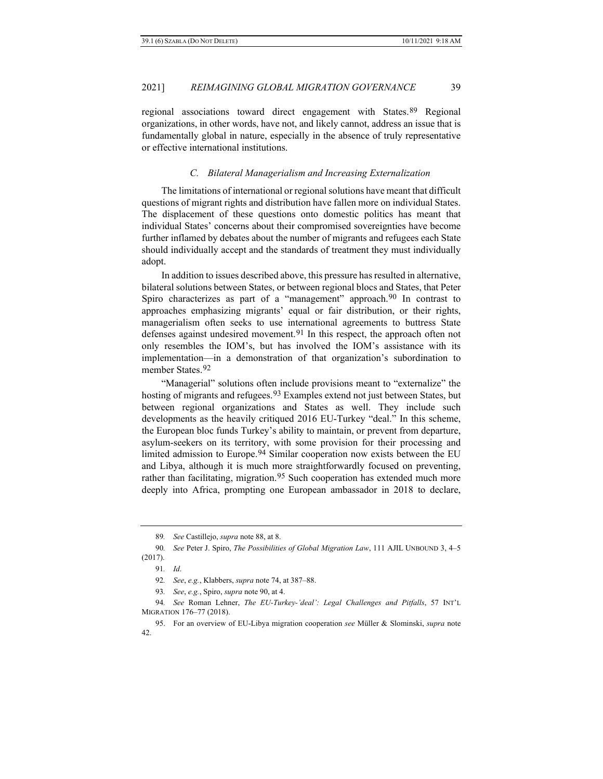regional associations toward direct engagement with States.[89](#page-20-1) Regional organizations, in other words, have not, and likely cannot, address an issue that is fundamentally global in nature, especially in the absence of truly representative or effective international institutions.

#### <span id="page-20-0"></span>*C. Bilateral Managerialism and Increasing Externalization*

The limitations of international or regional solutions have meant that difficult questions of migrant rights and distribution have fallen more on individual States. The displacement of these questions onto domestic politics has meant that individual States' concerns about their compromised sovereignties have become further inflamed by debates about the number of migrants and refugees each State should individually accept and the standards of treatment they must individually adopt.

In addition to issues described above, this pressure has resulted in alternative, bilateral solutions between States, or between regional blocs and States, that Peter Spiro characterizes as part of a "management" approach.<sup>[90](#page-20-2)</sup> In contrast to approaches emphasizing migrants' equal or fair distribution, or their rights, managerialism often seeks to use international agreements to buttress State defenses against undesired movement.<sup>[91](#page-20-3)</sup> In this respect, the approach often not only resembles the IOM's, but has involved the IOM's assistance with its implementation—in a demonstration of that organization's subordination to member States.<sup>[92](#page-20-4)</sup>

"Managerial" solutions often include provisions meant to "externalize" the hosting of migrants and refugees.<sup>[93](#page-20-5)</sup> Examples extend not just between States, but between regional organizations and States as well. They include such developments as the heavily critiqued 2016 EU-Turkey "deal." In this scheme, the European bloc funds Turkey's ability to maintain, or prevent from departure, asylum-seekers on its territory, with some provision for their processing and limited admission to Europe.<sup>[94](#page-20-6)</sup> Similar cooperation now exists between the EU and Libya, although it is much more straightforwardly focused on preventing, rather than facilitating, migration.<sup>[95](#page-20-7)</sup> Such cooperation has extended much more deeply into Africa, prompting one European ambassador in 2018 to declare,

<sup>89</sup>*. See* Castillejo, *supra* note [88,](#page-19-8) at 8.

<span id="page-20-3"></span><span id="page-20-2"></span><span id="page-20-1"></span><sup>90</sup>*. See* Peter J. Spiro, *The Possibilities of Global Migration Law*, 111 AJIL UNBOUND 3, 4–5 (2017).

<sup>91</sup>*. Id*.

<sup>92</sup>*. See*, *e.g.*, Klabbers, *supra* not[e 74,](#page-17-6) at 387–88.

<sup>93</sup>*. See*, *e.g.*, Spiro, *supra* not[e 90,](#page-20-0) at 4.

<span id="page-20-6"></span><span id="page-20-5"></span><span id="page-20-4"></span><sup>94</sup>*. See* Roman Lehner, *The EU-Turkey-'deal': Legal Challenges and Pitfalls*, 57 INT'L MIGRATION 176–77 (2018).

<span id="page-20-7"></span><sup>95.</sup> For an overview of EU-Libya migration cooperation *see* Müller & Slominski, *supra* note [42.](#page-12-7)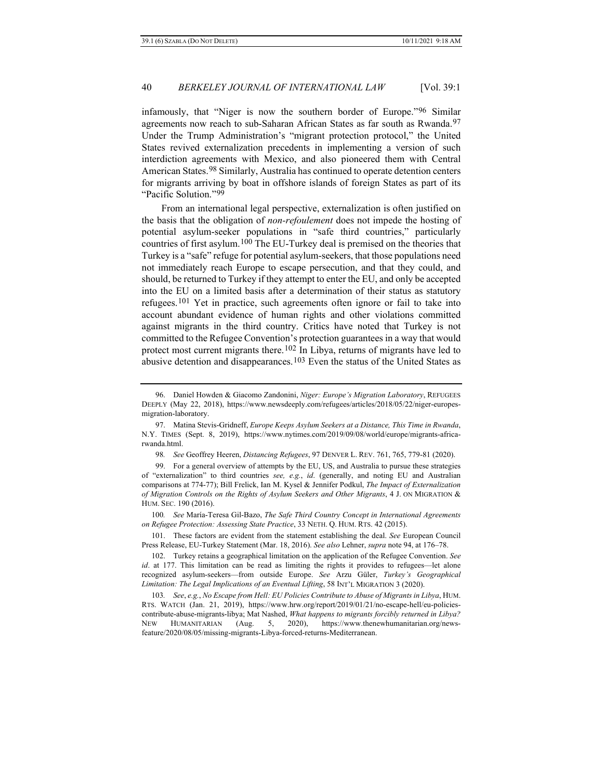infamously, that "Niger is now the southern border of Europe."[96](#page-21-0) Similar agreements now reach to sub-Saharan African States as far south as Rwanda.<sup>[97](#page-21-1)</sup> Under the Trump Administration's "migrant protection protocol," the United States revived externalization precedents in implementing a version of such interdiction agreements with Mexico, and also pioneered them with Central American States.[98](#page-21-2) Similarly, Australia has continued to operate detention centers for migrants arriving by boat in offshore islands of foreign States as part of its "Pacific Solution."[99](#page-21-3)

<span id="page-21-8"></span>From an international legal perspective, externalization is often justified on the basis that the obligation of *non-refoulement* does not impede the hosting of potential asylum-seeker populations in "safe third countries," particularly countries of first asylum.[100](#page-21-4) The EU-Turkey deal is premised on the theories that Turkey is a "safe" refuge for potential asylum-seekers, that those populations need not immediately reach Europe to escape persecution, and that they could, and should, be returned to Turkey if they attempt to enter the EU, and only be accepted into the EU on a limited basis after a determination of their status as statutory refugees.[101](#page-21-5) Yet in practice, such agreements often ignore or fail to take into account abundant evidence of human rights and other violations committed against migrants in the third country. Critics have noted that Turkey is not committed to the Refugee Convention's protection guarantees in a way that would protect most current migrants there.<sup>[102](#page-21-6)</sup> In Libya, returns of migrants have led to abusive detention and disappearances.<sup>[103](#page-21-7)</sup> Even the status of the United States as

<span id="page-21-4"></span>100*. See* María-Teresa Gil-Bazo, *The Safe Third Country Concept in International Agreements on Refugee Protection: Assessing State Practice*, 33 NETH. Q. HUM. RTS. 42 (2015).

<span id="page-21-5"></span>101. These factors are evident from the statement establishing the deal. *See* European Council Press Release, EU-Turkey Statement (Mar. 18, 2016). *See also* Lehner, *supra* note 94, at 176–78.

<span id="page-21-0"></span><sup>96.</sup> Daniel Howden & Giacomo Zandonini, *Niger: Europe's Migration Laboratory*, REFUGEES DEEPLY (May 22, 2018), https://www.newsdeeply.com/refugees/articles/2018/05/22/niger-europesmigration-laboratory.

<span id="page-21-1"></span><sup>97.</sup> Matina Stevis-Gridneff, *Europe Keeps Asylum Seekers at a Distance, This Time in Rwanda*, N.Y. TIMES (Sept. 8, 2019), https://www.nytimes.com/2019/09/08/world/europe/migrants-africarwanda.html.

<sup>98</sup>*. See* Geoffrey Heeren, *Distancing Refugees*, 97 DENVER L. REV. 761, 765, 779-81 (2020).

<span id="page-21-3"></span><span id="page-21-2"></span><sup>99.</sup> For a general overview of attempts by the EU, US, and Australia to pursue these strategies of "externalization" to third countries *see, e.g.*, *id*. (generally, and noting EU and Australian comparisons at 774-77); Bill Frelick, Ian M. Kysel & Jennifer Podkul, *The Impact of Externalization of Migration Controls on the Rights of Asylum Seekers and Other Migrants*, 4 J. ON MIGRATION & HUM. SEC. 190 (2016).

<span id="page-21-6"></span><sup>102.</sup> Turkey retains a geographical limitation on the application of the Refugee Convention. *See id*. at 177. This limitation can be read as limiting the rights it provides to refugees—let alone recognized asylum-seekers—from outside Europe. *See* Arzu Güler, *Turkey's Geographical Limitation: The Legal Implications of an Eventual Lifting*, 58 INT'L MIGRATION 3 (2020).

<span id="page-21-7"></span><sup>103</sup>*. See*, *e.g.*, *No Escape from Hell: EU Policies Contribute to Abuse of Migrants in Libya*, HUM. RTS. WATCH (Jan. 21, 2019), https://www.hrw.org/report/2019/01/21/no-escape-hell/eu-policiescontribute-abuse-migrants-libya; Mat Nashed, *What happens to migrants forcibly returned in Libya?* NEW HUMANITARIAN (Aug. 5, 2020), https://www.thenewhumanitarian.org/newsfeature/2020/08/05/missing-migrants-Libya-forced-returns-Mediterranean.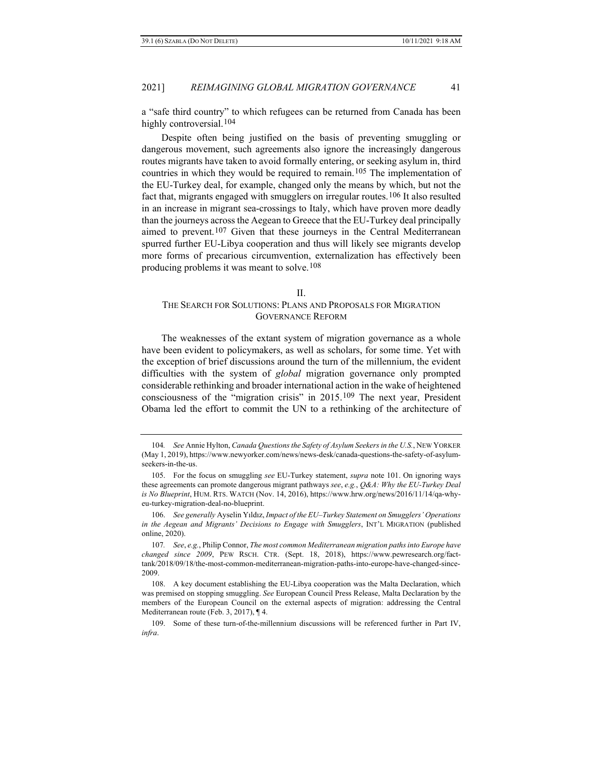a "safe third country" to which refugees can be returned from Canada has been highly controversial.<sup>[104](#page-22-0)</sup>

Despite often being justified on the basis of preventing smuggling or dangerous movement, such agreements also ignore the increasingly dangerous routes migrants have taken to avoid formally entering, or seeking asylum in, third countries in which they would be required to remain.[105](#page-22-1) The implementation of the EU-Turkey deal, for example, changed only the means by which, but not the fact that, migrants engaged with smugglers on irregular routes.[106](#page-22-2) It also resulted in an increase in migrant sea-crossings to Italy, which have proven more deadly than the journeys across the Aegean to Greece that the EU-Turkey deal principally aimed to prevent.<sup>[107](#page-22-3)</sup> Given that these journeys in the Central Mediterranean spurred further EU-Libya cooperation and thus will likely see migrants develop more forms of precarious circumvention, externalization has effectively been producing problems it was meant to solve.[108](#page-22-4)

#### II.

## THE SEARCH FOR SOLUTIONS: PLANS AND PROPOSALS FOR MIGRATION GOVERNANCE REFORM

The weaknesses of the extant system of migration governance as a whole have been evident to policymakers, as well as scholars, for some time. Yet with the exception of brief discussions around the turn of the millennium, the evident difficulties with the system of *global* migration governance only prompted considerable rethinking and broader international action in the wake of heightened consciousness of the "migration crisis" in 2015.[109](#page-22-5) The next year, President Obama led the effort to commit the UN to a rethinking of the architecture of

<span id="page-22-0"></span><sup>104</sup>*. See* Annie Hylton, *Canada Questions the Safety of Asylum Seekers in the U.S.*, NEW YORKER (May 1, 2019), https://www.newyorker.com/news/news-desk/canada-questions-the-safety-of-asylumseekers-in-the-us.

<span id="page-22-1"></span><sup>105.</sup> For the focus on smuggling *see* EU-Turkey statement, *supra* note [101.](#page-21-8) On ignoring ways these agreements can promote dangerous migrant pathways *see*, *e.g.*, *Q&A: Why the EU-Turkey Deal is No Blueprint*, HUM. RTS. WATCH (Nov. 14, 2016), https://www.hrw.org/news/2016/11/14/qa-whyeu-turkey-migration-deal-no-blueprint.

<span id="page-22-2"></span><sup>106.</sup> *See generally* Ayselin Yıldız, *Impact of the EU–Turkey Statement on Smugglers' Operations in the Aegean and Migrants' Decisions to Engage with Smugglers*, INT'L MIGRATION (published online, 2020).

<span id="page-22-3"></span><sup>107</sup>*. See*, *e.g.*, Philip Connor, *The most common Mediterranean migration paths into Europe have changed since 2009*, PEW RSCH. CTR. (Sept. 18, 2018), https://www.pewresearch.org/facttank/2018/09/18/the-most-common-mediterranean-migration-paths-into-europe-have-changed-since-2009.

<span id="page-22-4"></span><sup>108.</sup> A key document establishing the EU-Libya cooperation was the Malta Declaration, which was premised on stopping smuggling. *See* European Council Press Release, Malta Declaration by the members of the European Council on the external aspects of migration: addressing the Central Mediterranean route (Feb. 3, 2017), ¶ 4.

<span id="page-22-5"></span><sup>109.</sup> Some of these turn-of-the-millennium discussions will be referenced further in Part IV, *infra*.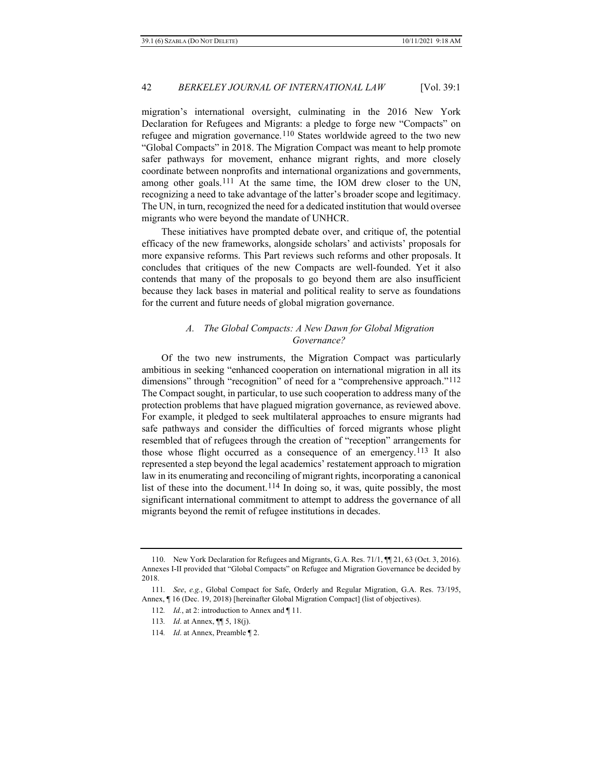migration's international oversight, culminating in the 2016 New York Declaration for Refugees and Migrants: a pledge to forge new "Compacts" on refugee and migration governance.<sup>[110](#page-23-1)</sup> States worldwide agreed to the two new "Global Compacts" in 2018. The Migration Compact was meant to help promote safer pathways for movement, enhance migrant rights, and more closely coordinate between nonprofits and international organizations and governments, among other goals.[111](#page-23-2) At the same time, the IOM drew closer to the UN, recognizing a need to take advantage of the latter's broader scope and legitimacy. The UN, in turn, recognized the need for a dedicated institution that would oversee migrants who were beyond the mandate of UNHCR.

<span id="page-23-6"></span>These initiatives have prompted debate over, and critique of, the potential efficacy of the new frameworks, alongside scholars' and activists' proposals for more expansive reforms. This Part reviews such reforms and other proposals. It concludes that critiques of the new Compacts are well-founded. Yet it also contends that many of the proposals to go beyond them are also insufficient because they lack bases in material and political reality to serve as foundations for the current and future needs of global migration governance.

## *A. The Global Compacts: A New Dawn for Global Migration Governance?*

<span id="page-23-0"></span>Of the two new instruments, the Migration Compact was particularly ambitious in seeking "enhanced cooperation on international migration in all its dimensions" through "recognition" of need for a "comprehensive approach."<sup>[112](#page-23-3)</sup> The Compact sought, in particular, to use such cooperation to address many of the protection problems that have plagued migration governance, as reviewed above. For example, it pledged to seek multilateral approaches to ensure migrants had safe pathways and consider the difficulties of forced migrants whose plight resembled that of refugees through the creation of "reception" arrangements for those whose flight occurred as a consequence of an emergency.<sup>[113](#page-23-4)</sup> It also represented a step beyond the legal academics' restatement approach to migration law in its enumerating and reconciling of migrant rights, incorporating a canonical list of these into the document.<sup>[114](#page-23-5)</sup> In doing so, it was, quite possibly, the most significant international commitment to attempt to address the governance of all migrants beyond the remit of refugee institutions in decades.

<span id="page-23-1"></span><sup>110.</sup> New York Declaration for Refugees and Migrants, G.A. Res. 71/1,  $\P$  21, 63 (Oct. 3, 2016). Annexes I-II provided that "Global Compacts" on Refugee and Migration Governance be decided by 2018.

<span id="page-23-5"></span><span id="page-23-4"></span><span id="page-23-3"></span><span id="page-23-2"></span><sup>111</sup>*. See*, *e.g.*, Global Compact for Safe, Orderly and Regular Migration, G.A. Res. 73/195, Annex, ¶ 16 (Dec. 19, 2018) [hereinafter Global Migration Compact] (list of objectives).

<sup>112</sup>*. Id.*, at 2: introduction to Annex and ¶ 11.

<sup>113</sup>*. Id*. at Annex, ¶¶ 5, 18(j).

<sup>114</sup>*. Id*. at Annex, Preamble ¶ 2.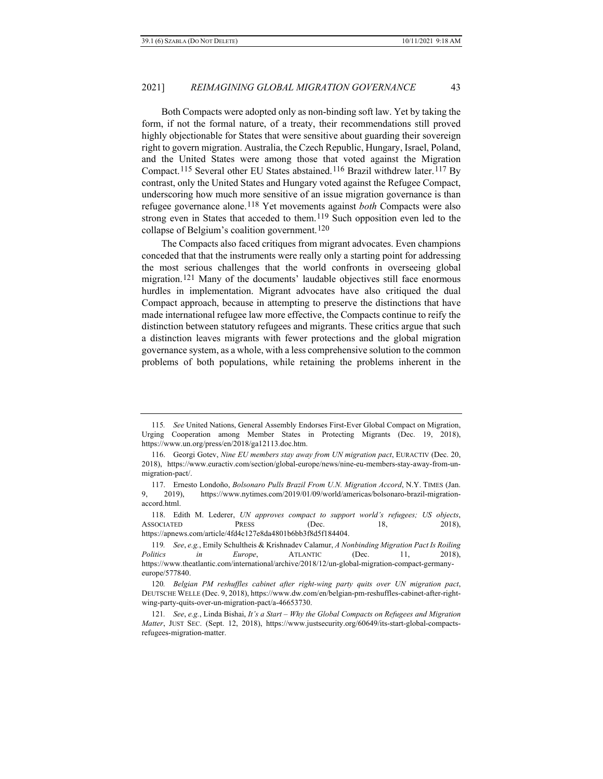Both Compacts were adopted only as non-binding soft law. Yet by taking the form, if not the formal nature, of a treaty, their recommendations still proved highly objectionable for States that were sensitive about guarding their sovereign right to govern migration. Australia, the Czech Republic, Hungary, Israel, Poland, and the United States were among those that voted against the Migration Compact.[115](#page-24-0) Several other EU States abstained.[116](#page-24-1) Brazil withdrew later.[117](#page-24-2) By contrast, only the United States and Hungary voted against the Refugee Compact, underscoring how much more sensitive of an issue migration governance is than refugee governance alone.[118](#page-24-3) Yet movements against *both* Compacts were also strong even in States that acceded to them.[119](#page-24-4) Such opposition even led to the collapse of Belgium's coalition government[.120](#page-24-5)

The Compacts also faced critiques from migrant advocates. Even champions conceded that that the instruments were really only a starting point for addressing the most serious challenges that the world confronts in overseeing global migration.[121](#page-24-6) Many of the documents' laudable objectives still face enormous hurdles in implementation. Migrant advocates have also critiqued the dual Compact approach, because in attempting to preserve the distinctions that have made international refugee law more effective, the Compacts continue to reify the distinction between statutory refugees and migrants. These critics argue that such a distinction leaves migrants with fewer protections and the global migration governance system, as a whole, with a less comprehensive solution to the common problems of both populations, while retaining the problems inherent in the

<span id="page-24-0"></span><sup>115</sup>*. See* United Nations, General Assembly Endorses First-Ever Global Compact on Migration, Urging Cooperation among Member States in Protecting Migrants (Dec. 19, 2018), https://www.un.org/press/en/2018/ga12113.doc.htm.

<span id="page-24-1"></span><sup>116.</sup> Georgi Gotev, *Nine EU members stay away from UN migration pact*, EURACTIV (Dec. 20, 2018), https://www.euractiv.com/section/global-europe/news/nine-eu-members-stay-away-from-unmigration-pact/.

<span id="page-24-2"></span><sup>117.</sup> Ernesto Londoño, *Bolsonaro Pulls Brazil From U.N. Migration Accord*, N.Y. TIMES (Jan. 9, 2019), https://www.nytimes.com/2019/01/09/world/americas/bolsonaro-brazil-migrationaccord.html.

<span id="page-24-3"></span><sup>118.</sup> Edith M. Lederer, *UN approves compact to support world's refugees; US objects*, ASSOCIATED PRESS (Dec. 18, 2018), https://apnews.com/article/4fd4c127e8da4801b6bb3f8d5f184404.

<span id="page-24-4"></span><sup>119</sup>*. See*, *e.g.*, Emily Schultheis & Krishnadev Calamur, *A Nonbinding Migration Pact Is Roiling Politics in Europe*, ATLANTIC (Dec. 11, 2018), https://www.theatlantic.com/international/archive/2018/12/un-global-migration-compact-germanyeurope/577840.

<span id="page-24-5"></span><sup>120</sup>*. Belgian PM reshuffles cabinet after right-wing party quits over UN migration pact*, DEUTSCHE WELLE (Dec. 9, 2018), https://www.dw.com/en/belgian-pm-reshuffles-cabinet-after-rightwing-party-quits-over-un-migration-pact/a-46653730.

<span id="page-24-6"></span><sup>121</sup>*. See*, *e.g.*, Linda Bishai, *It's a Start – Why the Global Compacts on Refugees and Migration Matter*, JUST SEC. (Sept. 12, 2018), https://www.justsecurity.org/60649/its-start-global-compactsrefugees-migration-matter.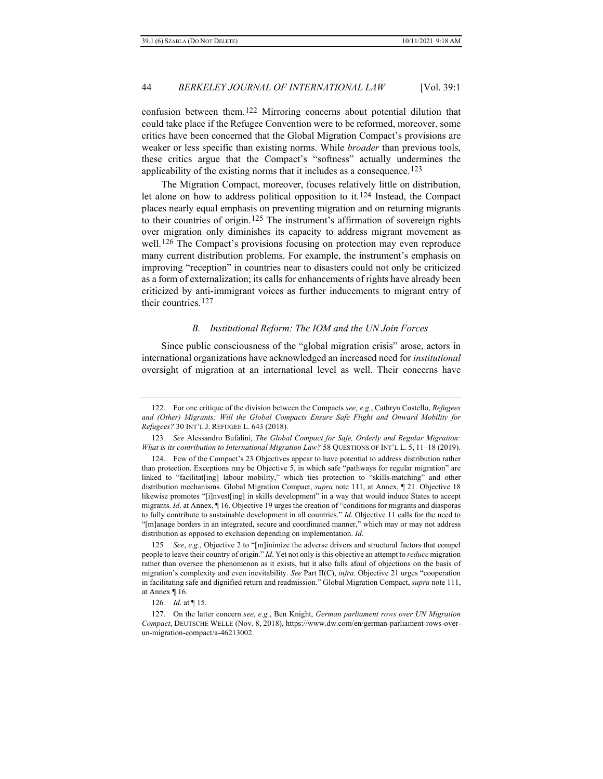confusion between them.[122](#page-25-0) Mirroring concerns about potential dilution that could take place if the Refugee Convention were to be reformed, moreover, some critics have been concerned that the Global Migration Compact's provisions are weaker or less specific than existing norms. While *broader* than previous tools, these critics argue that the Compact's "softness" actually undermines the applicability of the existing norms that it includes as a consequence.[123](#page-25-1)

The Migration Compact, moreover, focuses relatively little on distribution, let alone on how to address political opposition to it.<sup>[124](#page-25-2)</sup> Instead, the Compact places nearly equal emphasis on preventing migration and on returning migrants to their countries of origin.[125](#page-25-3) The instrument's affirmation of sovereign rights over migration only diminishes its capacity to address migrant movement as well.<sup>[126](#page-25-4)</sup> The Compact's provisions focusing on protection may even reproduce many current distribution problems. For example, the instrument's emphasis on improving "reception" in countries near to disasters could not only be criticized as a form of externalization; its calls for enhancements of rights have already been criticized by anti-immigrant voices as further inducements to migrant entry of their countries.<sup>127</sup>

## *B. Institutional Reform: The IOM and the UN Join Forces*

Since public consciousness of the "global migration crisis" arose, actors in international organizations have acknowledged an increased need for *institutional* oversight of migration at an international level as well. Their concerns have

<span id="page-25-0"></span><sup>122.</sup> For one critique of the division between the Compacts *see*, *e.g.*, Cathryn Costello, *Refugees and (Other) Migrants: Will the Global Compacts Ensure Safe Flight and Onward Mobility for Refugees?* 30 INT'L J. REFUGEE L. 643 (2018).

<span id="page-25-1"></span><sup>123</sup>*. See* Alessandro Bufalini, *The Global Compact for Safe, Orderly and Regular Migration: What is its contribution to International Migration Law?* 58 QUESTIONS OF INT'L L. 5, 11–18 (2019).

<span id="page-25-2"></span><sup>124.</sup> Few of the Compact's 23 Objectives appear to have potential to address distribution rather than protection. Exceptions may be Objective 5, in which safe "pathways for regular migration" are linked to "facilitat[ing] labour mobility," which ties protection to "skills-matching" and other distribution mechanisms. Global Migration Compact, *supra* note [111,](#page-23-6) at Annex, ¶ 21. Objective 18 likewise promotes "[i]nvest[ing] in skills development" in a way that would induce States to accept migrants. *Id*. at Annex, ¶ 16. Objective 19 urges the creation of "conditions for migrants and diasporas to fully contribute to sustainable development in all countries." *Id*. Objective 11 calls for the need to "[m]anage borders in an integrated, secure and coordinated manner," which may or may not address distribution as opposed to exclusion depending on implementation. *Id*.

<span id="page-25-3"></span><sup>125</sup>*. See*, *e.g.*, Objective 2 to "[m]inimize the adverse drivers and structural factors that compel people to leave their country of origin." *Id*. Yet not only is this objective an attempt to *reduce* migration rather than oversee the phenomenon as it exists, but it also falls afoul of objections on the basis of migration's complexity and even inevitability. *See* Part II(C), *infra*. Objective 21 urges "cooperation in facilitating safe and dignified return and readmission." Global Migration Compact, *supra* not[e 111,](#page-23-6) at Annex ¶ 16.

<sup>126</sup>*. Id*. at ¶ 15.

<span id="page-25-5"></span><span id="page-25-4"></span><sup>127.</sup> On the latter concern *see*, *e.g.*, Ben Knight, *German parliament rows over UN Migration Compact*, DEUTSCHE WELLE (Nov. 8, 2018), https://www.dw.com/en/german-parliament-rows-overun-migration-compact/a-46213002.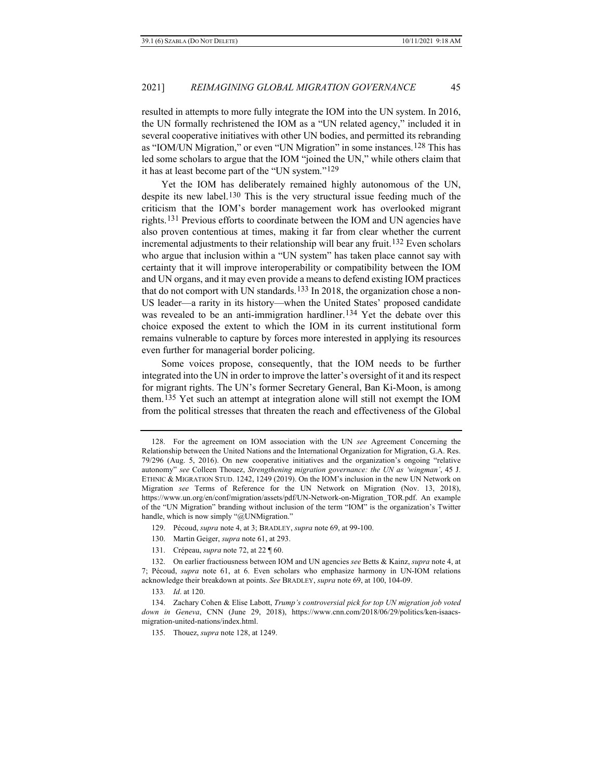<span id="page-26-0"></span>resulted in attempts to more fully integrate the IOM into the UN system. In 2016, the UN formally rechristened the IOM as a "UN related agency," included it in several cooperative initiatives with other UN bodies, and permitted its rebranding as "IOM/UN Migration," or even "UN Migration" in some instances.[128](#page-26-1) This has led some scholars to argue that the IOM "joined the UN," while others claim that it has at least become part of the "UN system."[129](#page-26-2)

Yet the IOM has deliberately remained highly autonomous of the UN, despite its new label.[130](#page-26-3) This is the very structural issue feeding much of the criticism that the IOM's border management work has overlooked migrant rights.[131](#page-26-4) Previous efforts to coordinate between the IOM and UN agencies have also proven contentious at times, making it far from clear whether the current incremental adjustments to their relationship will bear any fruit.<sup>[132](#page-26-5)</sup> Even scholars who argue that inclusion within a "UN system" has taken place cannot say with certainty that it will improve interoperability or compatibility between the IOM and UN organs, and it may even provide a means to defend existing IOM practices that do not comport with UN standards.<sup>[133](#page-26-6)</sup> In 2018, the organization chose a non-US leader—a rarity in its history—when the United States' proposed candidate was revealed to be an anti-immigration hardliner.<sup>[134](#page-26-7)</sup> Yet the debate over this choice exposed the extent to which the IOM in its current institutional form remains vulnerable to capture by forces more interested in applying its resources even further for managerial border policing.

Some voices propose, consequently, that the IOM needs to be further integrated into the UN in order to improve the latter's oversight of it and its respect for migrant rights. The UN's former Secretary General, Ban Ki-Moon, is among them.[135](#page-26-8) Yet such an attempt at integration alone will still not exempt the IOM from the political stresses that threaten the reach and effectiveness of the Global

- 130. Martin Geiger, *supra* not[e 61,](#page-16-9) at 293.
- 131. Crépeau, *supra* not[e 72,](#page-17-7) at 22 ¶ 60.

<span id="page-26-1"></span><sup>128.</sup> For the agreement on IOM association with the UN *see* Agreement Concerning the Relationship between the United Nations and the International Organization for Migration, G.A. Res. 79/296 (Aug. 5, 2016). On new cooperative initiatives and the organization's ongoing "relative autonomy" *see* Colleen Thouez, *Strengthening migration governance: the UN as 'wingman'*, 45 J. ETHNIC & MIGRATION STUD. 1242, 1249 (2019). On the IOM's inclusion in the new UN Network on Migration *see* Terms of Reference for the UN Network on Migration (Nov. 13, 2018), https://www.un.org/en/conf/migration/assets/pdf/UN-Network-on-Migration\_TOR.pdf. An example of the "UN Migration" branding without inclusion of the term "IOM" is the organization's Twitter handle, which is now simply "@UNMigration."

<sup>129.</sup> Pécoud, *supra* note 4, at 3; BRADLEY, *supra* not[e 69,](#page-16-10) at 99-100.

<span id="page-26-5"></span><span id="page-26-4"></span><span id="page-26-3"></span><span id="page-26-2"></span><sup>132.</sup> On earlier fractiousness between IOM and UN agencies *see* Betts & Kainz, *supra* note 4, at 7; Pécoud, *supra* note [61,](#page-16-9) at 6. Even scholars who emphasize harmony in UN-IOM relations acknowledge their breakdown at points. *See* BRADLEY, *supra* not[e 69,](#page-16-10) at 100, 104-09.

<sup>133</sup>*. Id*. at 120.

<span id="page-26-8"></span><span id="page-26-7"></span><span id="page-26-6"></span><sup>134.</sup> Zachary Cohen & Elise Labott, *Trump's controversial pick for top UN migration job voted down in Geneva*, CNN (June 29, 2018), https://www.cnn.com/2018/06/29/politics/ken-isaacsmigration-united-nations/index.html.

<sup>135.</sup> Thouez, *supra* note [128,](#page-26-0) at 1249.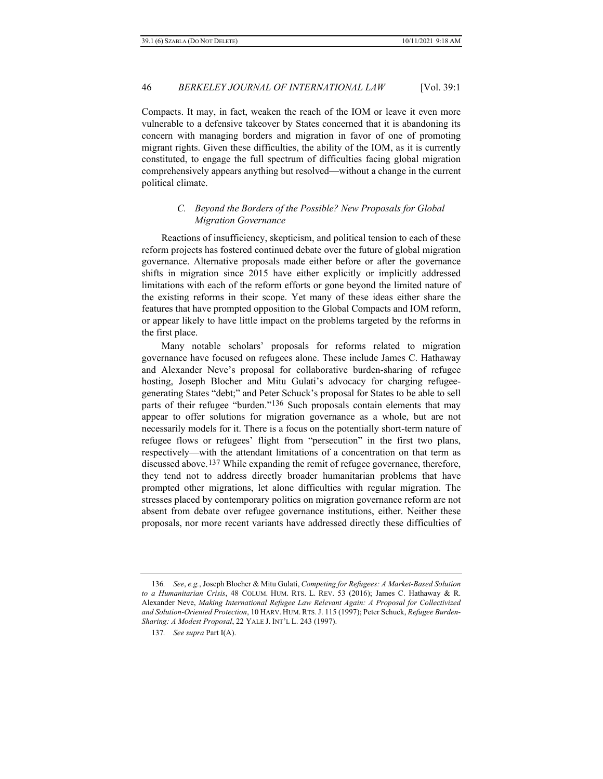Compacts. It may, in fact, weaken the reach of the IOM or leave it even more vulnerable to a defensive takeover by States concerned that it is abandoning its concern with managing borders and migration in favor of one of promoting migrant rights. Given these difficulties, the ability of the IOM, as it is currently constituted, to engage the full spectrum of difficulties facing global migration comprehensively appears anything but resolved—without a change in the current political climate.

## <span id="page-27-0"></span>*C. Beyond the Borders of the Possible? New Proposals for Global Migration Governance*

Reactions of insufficiency, skepticism, and political tension to each of these reform projects has fostered continued debate over the future of global migration governance. Alternative proposals made either before or after the governance shifts in migration since 2015 have either explicitly or implicitly addressed limitations with each of the reform efforts or gone beyond the limited nature of the existing reforms in their scope. Yet many of these ideas either share the features that have prompted opposition to the Global Compacts and IOM reform, or appear likely to have little impact on the problems targeted by the reforms in the first place.

Many notable scholars' proposals for reforms related to migration governance have focused on refugees alone. These include James C. Hathaway and Alexander Neve's proposal for collaborative burden-sharing of refugee hosting, Joseph Blocher and Mitu Gulati's advocacy for charging refugeegenerating States "debt;" and Peter Schuck's proposal for States to be able to sell parts of their refugee "burden."<sup>[136](#page-27-1)</sup> Such proposals contain elements that may appear to offer solutions for migration governance as a whole, but are not necessarily models for it. There is a focus on the potentially short-term nature of refugee flows or refugees' flight from "persecution" in the first two plans, respectively—with the attendant limitations of a concentration on that term as discussed above.[137](#page-27-2) While expanding the remit of refugee governance, therefore, they tend not to address directly broader humanitarian problems that have prompted other migrations, let alone difficulties with regular migration. The stresses placed by contemporary politics on migration governance reform are not absent from debate over refugee governance institutions, either. Neither these proposals, nor more recent variants have addressed directly these difficulties of

<span id="page-27-2"></span><span id="page-27-1"></span><sup>136</sup>*. See*, *e.g.*, Joseph Blocher & Mitu Gulati, *Competing for Refugees: A Market-Based Solution to a Humanitarian Crisis*, 48 COLUM. HUM. RTS. L. REV. 53 (2016); James C. Hathaway & R. Alexander Neve, *Making International Refugee Law Relevant Again: A Proposal for Collectivized and Solution-Oriented Protection*, 10 HARV. HUM. RTS.J. 115 (1997); Peter Schuck, *Refugee Burden-Sharing: A Modest Proposal*, 22 YALE J. INT'L L. 243 (1997).

<sup>137</sup>*. See supra* Part I(A).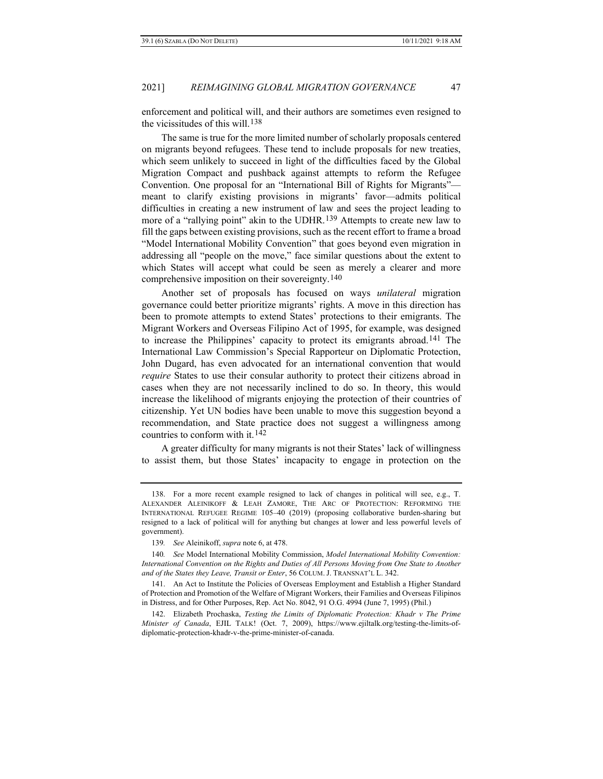enforcement and political will, and their authors are sometimes even resigned to the vicissitudes of this will.[138](#page-28-0)

The same is true for the more limited number of scholarly proposals centered on migrants beyond refugees. These tend to include proposals for new treaties, which seem unlikely to succeed in light of the difficulties faced by the Global Migration Compact and pushback against attempts to reform the Refugee Convention. One proposal for an "International Bill of Rights for Migrants" meant to clarify existing provisions in migrants' favor—admits political difficulties in creating a new instrument of law and sees the project leading to more of a "rallying point" akin to the UDHR.<sup>[139](#page-28-1)</sup> Attempts to create new law to fill the gaps between existing provisions, such as the recent effort to frame a broad "Model International Mobility Convention" that goes beyond even migration in addressing all "people on the move," face similar questions about the extent to which States will accept what could be seen as merely a clearer and more comprehensive imposition on their sovereignty.[140](#page-28-2)

Another set of proposals has focused on ways *unilateral* migration governance could better prioritize migrants' rights. A move in this direction has been to promote attempts to extend States' protections to their emigrants. The Migrant Workers and Overseas Filipino Act of 1995, for example, was designed to increase the Philippines' capacity to protect its emigrants abroad.[141](#page-28-3) The International Law Commission's Special Rapporteur on Diplomatic Protection, John Dugard, has even advocated for an international convention that would *require* States to use their consular authority to protect their citizens abroad in cases when they are not necessarily inclined to do so. In theory, this would increase the likelihood of migrants enjoying the protection of their countries of citizenship. Yet UN bodies have been unable to move this suggestion beyond a recommendation, and State practice does not suggest a willingness among countries to conform with it.[142](#page-28-4)

A greater difficulty for many migrants is not their States' lack of willingness to assist them, but those States' incapacity to engage in protection on the

<span id="page-28-0"></span><sup>138.</sup> For a more recent example resigned to lack of changes in political will see, e.g., T. ALEXANDER ALEINIKOFF & LEAH ZAMORE, THE ARC OF PROTECTION: REFORMING THE INTERNATIONAL REFUGEE REGIME 105–40 (2019) (proposing collaborative burden-sharing but resigned to a lack of political will for anything but changes at lower and less powerful levels of government).

<sup>139</sup>*. See* Aleinikoff, *supra* not[e 6,](#page-3-4) at 478.

<span id="page-28-2"></span><span id="page-28-1"></span><sup>140</sup>*. See* Model International Mobility Commission, *Model International Mobility Convention: International Convention on the Rights and Duties of All Persons Moving from One State to Another and of the States they Leave, Transit or Enter*, 56 COLUM. J. TRANSNAT'L L. 342.

<span id="page-28-3"></span><sup>141.</sup> An Act to Institute the Policies of Overseas Employment and Establish a Higher Standard of Protection and Promotion of the Welfare of Migrant Workers, their Families and Overseas Filipinos in Distress, and for Other Purposes, Rep. Act No. 8042, 91 O.G. 4994 (June 7, 1995) (Phil.)

<span id="page-28-4"></span><sup>142.</sup> Elizabeth Prochaska, *Testing the Limits of Diplomatic Protection: Khadr v The Prime Minister of Canada*, EJIL TALK! (Oct. 7, 2009), https://www.ejiltalk.org/testing-the-limits-ofdiplomatic-protection-khadr-v-the-prime-minister-of-canada.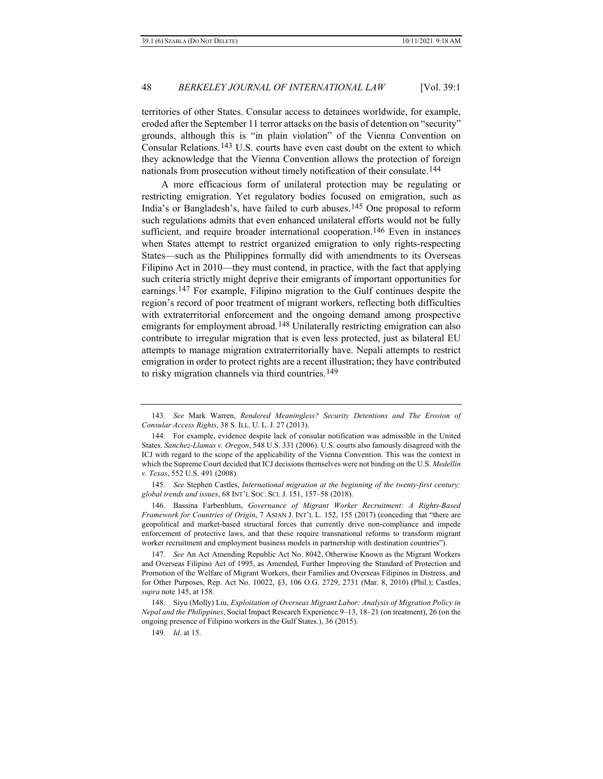territories of other States. Consular access to detainees worldwide, for example, eroded after the September 11 terror attacks on the basis of detention on "security" grounds, although this is "in plain violation" of the Vienna Convention on Consular Relations.[143](#page-29-1) U.S. courts have even cast doubt on the extent to which they acknowledge that the Vienna Convention allows the protection of foreign nationals from prosecution without timely notification of their consulate.[144](#page-29-2)

<span id="page-29-0"></span>A more efficacious form of unilateral protection may be regulating or restricting emigration. Yet regulatory bodies focused on emigration, such as India's or Bangladesh's, have failed to curb abuses.[145](#page-29-3) One proposal to reform such regulations admits that even enhanced unilateral efforts would not be fully sufficient, and require broader international cooperation.<sup>[146](#page-29-4)</sup> Even in instances when States attempt to restrict organized emigration to only rights-respecting States—such as the Philippines formally did with amendments to its Overseas Filipino Act in 2010—they must contend, in practice, with the fact that applying such criteria strictly might deprive their emigrants of important opportunities for earnings.[147](#page-29-5) For example, Filipino migration to the Gulf continues despite the region's record of poor treatment of migrant workers, reflecting both difficulties with extraterritorial enforcement and the ongoing demand among prospective emigrants for employment abroad.<sup>[148](#page-29-6)</sup> Unilaterally restricting emigration can also contribute to irregular migration that is even less protected, just as bilateral EU attempts to manage migration extraterritorially have. Nepali attempts to restrict emigration in order to protect rights are a recent illustration; they have contributed to risky migration channels via third countries.<sup>[149](#page-29-7)</sup>

<span id="page-29-4"></span>146. Bassina Farbenblum, *Governance of Migrant Worker Recruitment: A Rights-Based Framework for Countries of Origin*, 7 ASIAN J. INT'L L. 152, 155 (2017) (conceding that "there are geopolitical and market-based structural forces that currently drive non-compliance and impede enforcement of protective laws, and that these require transnational reforms to transform migrant worker recruitment and employment business models in partnership with destination countries").

<span id="page-29-5"></span>147*. See* An Act Amending Republic Act No. 8042, Otherwise Known as the Migrant Workers and Overseas Filipino Act of 1995, as Amended, Further Improving the Standard of Protection and Promotion of the Welfare of Migrant Workers, their Families and Overseas Filipinos in Distress, and for Other Purposes, Rep. Act No. 10022, §3, 106 O.G. 2729, 2731 (Mar. 8, 2010) (Phil.); Castles, *supra* not[e 145,](#page-29-0) at 158.

<span id="page-29-1"></span><sup>143</sup>*. See* Mark Warren, *Rendered Meaningless? Security Detentions and The Erosion of Consular Access Rights*, 38 S. ILL. U. L. J. 27 (2013).

<span id="page-29-2"></span><sup>144.</sup> For example, evidence despite lack of consular notification was admissible in the United States. *Sanchez-Llamas v. Oregon*, 548 U.S. 331 (2006). U.S. courts also famously disagreed with the ICJ with regard to the scope of the applicability of the Vienna Convention. This was the context in which the Supreme Court decided that ICJ decisions themselves were not binding on the U.S. *Medellín v. Texas*, 552 U.S. 491 (2008).

<span id="page-29-3"></span><sup>145</sup>*. See* Stephen Castles, *International migration at the beginning of the twenty-first century: global trends and issues*, 68 INT'L SOC. SCI. J. 151, 157–58 (2018).

<span id="page-29-7"></span><span id="page-29-6"></span><sup>148.</sup> Siyu (Molly) Liu, *Exploitation of Overseas Migrant Labor: Analysis of Migration Policy in Nepal and the Philippines*, Social Impact Research Experience 9–13, 18–21 (on treatment), 26 (on the ongoing presence of Filipino workers in the Gulf States.), 36 (2015).

<sup>149</sup>*. Id*. at 15.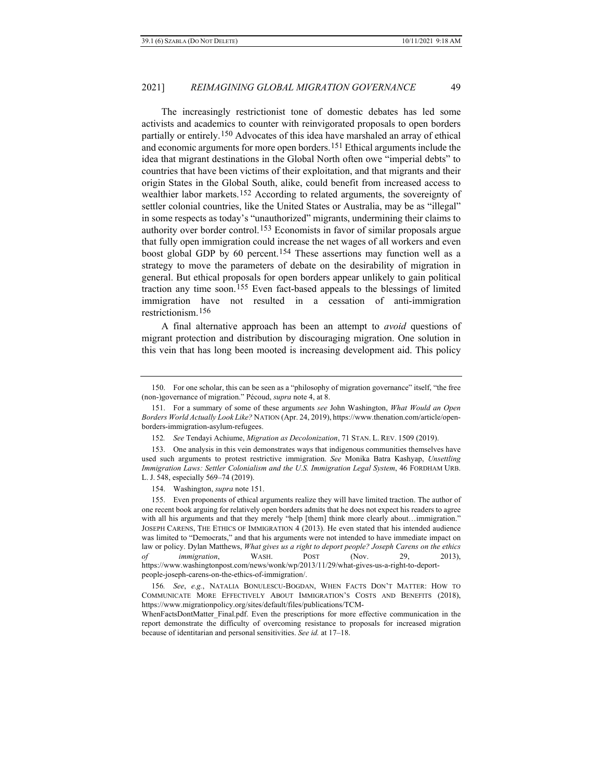<span id="page-30-0"></span>The increasingly restrictionist tone of domestic debates has led some activists and academics to counter with reinvigorated proposals to open borders partially or entirely.[150](#page-30-1) Advocates of this idea have marshaled an array of ethical and economic arguments for more open borders.[151](#page-30-2) Ethical arguments include the idea that migrant destinations in the Global North often owe "imperial debts" to countries that have been victims of their exploitation, and that migrants and their origin States in the Global South, alike, could benefit from increased access to wealthier labor markets.[152](#page-30-3) According to related arguments, the sovereignty of settler colonial countries, like the United States or Australia, may be as "illegal" in some respects as today's "unauthorized" migrants, undermining their claims to authority over border control.[153](#page-30-4) Economists in favor of similar proposals argue that fully open immigration could increase the net wages of all workers and even boost global GDP by 60 percent.[154](#page-30-5) These assertions may function well as a strategy to move the parameters of debate on the desirability of migration in general. But ethical proposals for open borders appear unlikely to gain political traction any time soon.[155](#page-30-6) Even fact-based appeals to the blessings of limited immigration have not resulted in a cessation of anti-immigration restrictionism.[156](#page-30-7)

A final alternative approach has been an attempt to *avoid* questions of migrant protection and distribution by discouraging migration. One solution in this vein that has long been mooted is increasing development aid. This policy

<span id="page-30-1"></span><sup>150.</sup> For one scholar, this can be seen as a "philosophy of migration governance" itself, "the free (non-)governance of migration." Pécoud, *supra* note 4, at 8.

<span id="page-30-2"></span><sup>151.</sup> For a summary of some of these arguments *see* John Washington, *What Would an Open Borders World Actually Look Like?* NATION (Apr. 24, 2019), https://www.thenation.com/article/openborders-immigration-asylum-refugees.

<sup>152</sup>*. See* Tendayi Achiume, *Migration as Decolonization*, 71 STAN. L. REV. 1509 (2019).

<span id="page-30-4"></span><span id="page-30-3"></span><sup>153.</sup> One analysis in this vein demonstrates ways that indigenous communities themselves have used such arguments to protest restrictive immigration. *See* Monika Batra Kashyap, *Unsettling Immigration Laws: Settler Colonialism and the U.S. Immigration Legal System*, 46 FORDHAM URB. L. J. 548, especially 569–74 (2019).

<sup>154.</sup> Washington, *supra* not[e 151.](#page-30-0) 

<span id="page-30-6"></span><span id="page-30-5"></span><sup>155.</sup> Even proponents of ethical arguments realize they will have limited traction. The author of one recent book arguing for relatively open borders admits that he does not expect his readers to agree with all his arguments and that they merely "help [them] think more clearly about...immigration." JOSEPH CARENS, THE ETHICS OF IMMIGRATION 4 (2013). He even stated that his intended audience was limited to "Democrats," and that his arguments were not intended to have immediate impact on law or policy. Dylan Matthews, *What gives us a right to deport people? Joseph Carens on the ethics of immigration*, WASH. POST (Nov. 29, 2013), https://www.washingtonpost.com/news/wonk/wp/2013/11/29/what-gives-us-a-right-to-deportpeople-joseph-carens-on-the-ethics-of-immigration/.

<span id="page-30-7"></span><sup>156</sup>*. See*, *e.g.*, NATALIA BONULESCU-BOGDAN, WHEN FACTS DON'T MATTER: HOW TO COMMUNICATE MORE EFFECTIVELY ABOUT IMMIGRATION'S COSTS AND BENEFITS (2018), https://www.migrationpolicy.org/sites/default/files/publications/TCM-

WhenFactsDontMatter\_Final.pdf. Even the prescriptions for more effective communication in the report demonstrate the difficulty of overcoming resistance to proposals for increased migration because of identitarian and personal sensitivities. *See id.* at 17–18.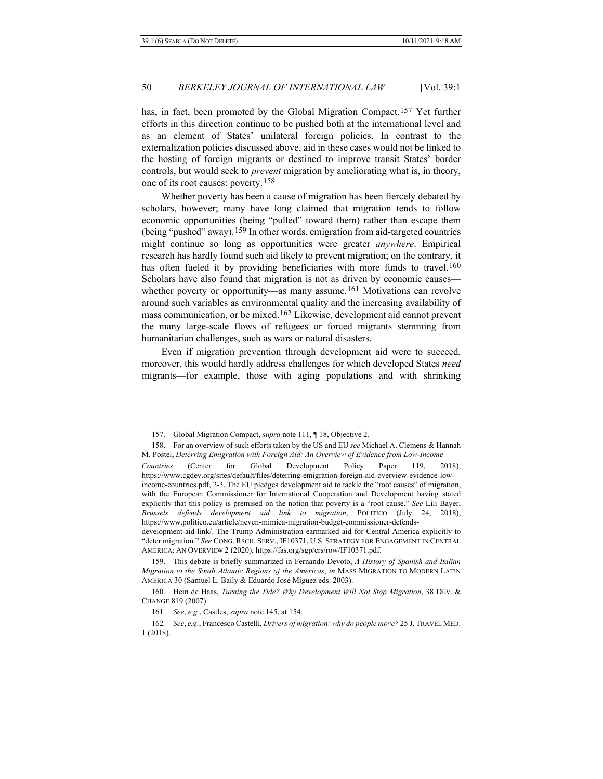has, in fact, been promoted by the Global Migration Compact.[157](#page-31-0) Yet further efforts in this direction continue to be pushed both at the international level and as an element of States' unilateral foreign policies. In contrast to the externalization policies discussed above, aid in these cases would not be linked to the hosting of foreign migrants or destined to improve transit States' border controls, but would seek to *prevent* migration by ameliorating what is, in theory, one of its root causes: poverty.[158](#page-31-1)

<span id="page-31-7"></span><span id="page-31-6"></span>Whether poverty has been a cause of migration has been fiercely debated by scholars, however; many have long claimed that migration tends to follow economic opportunities (being "pulled" toward them) rather than escape them (being "pushed" away).[159](#page-31-2) In other words, emigration from aid-targeted countries might continue so long as opportunities were greater *anywhere*. Empirical research has hardly found such aid likely to prevent migration; on the contrary, it has often fueled it by providing beneficiaries with more funds to travel.<sup>[160](#page-31-3)</sup> Scholars have also found that migration is not as driven by economic causes— whether poverty or opportunity—as many assume.<sup>[161](#page-31-4)</sup> Motivations can revolve around such variables as environmental quality and the increasing availability of mass communication, or be mixed.[162](#page-31-5) Likewise, development aid cannot prevent the many large-scale flows of refugees or forced migrants stemming from humanitarian challenges, such as wars or natural disasters.

<span id="page-31-8"></span>Even if migration prevention through development aid were to succeed, moreover, this would hardly address challenges for which developed States *need* migrants—for example, those with aging populations and with shrinking

<sup>157.</sup> Global Migration Compact, *supra* not[e 111,](#page-23-6) ¶ 18, Objective 2.

<span id="page-31-1"></span><span id="page-31-0"></span><sup>158.</sup> For an overview of such efforts taken by the US and EU *see* Michael A. Clemens & Hannah M. Postel, *Deterring Emigration with Foreign Aid: An Overview of Evidence from Low-Income*

*Countries* (Center for Global Development Policy Paper 119, 2018), https://www.cgdev.org/sites/default/files/deterring-emigration-foreign-aid-overview-evidence-lowincome-countries.pdf, 2-3. The EU pledges development aid to tackle the "root causes" of migration, with the European Commissioner for International Cooperation and Development having stated explicitly that this policy is premised on the notion that poverty is a "root cause." *See* Lili Bayer, *Brussels defends development aid link to migration*, POLITICO (July 24, 2018), https://www.politico.eu/article/neven-mimica-migration-budget-commissioner-defends-

development-aid-link/. The Trump Administration earmarked aid for Central America explicitly to "deter migration." *See* CONG. RSCH. SERV., IF10371, U.S. STRATEGY FOR ENGAGEMENT IN CENTRAL AMERICA: AN OVERVIEW 2 (2020), https://fas.org/sgp/crs/row/IF10371.pdf.

<span id="page-31-2"></span><sup>159.</sup> This debate is briefly summarized in Fernando Devoto, *A History of Spanish and Italian Migration to the South Atlantic Regions of the Americas*, *in* MASS MIGRATION TO MODERN LATIN AMERICA 30 (Samuel L. Baily & Eduardo José Míguez eds. 2003).

<span id="page-31-3"></span><sup>160.</sup> Hein de Haas, *Turning the Tide? Why Development Will Not Stop Migration*, 38 DEV. & CHANGE 819 (2007).

<sup>161</sup>*. See*, *e.g.*, Castles, *supra* note [145,](#page-29-0) at 154.

<span id="page-31-5"></span><span id="page-31-4"></span><sup>162</sup>*. See*, *e.g.*, Francesco Castelli, *Drivers of migration: why do people move?* 25 J. TRAVEL MED. 1 (2018).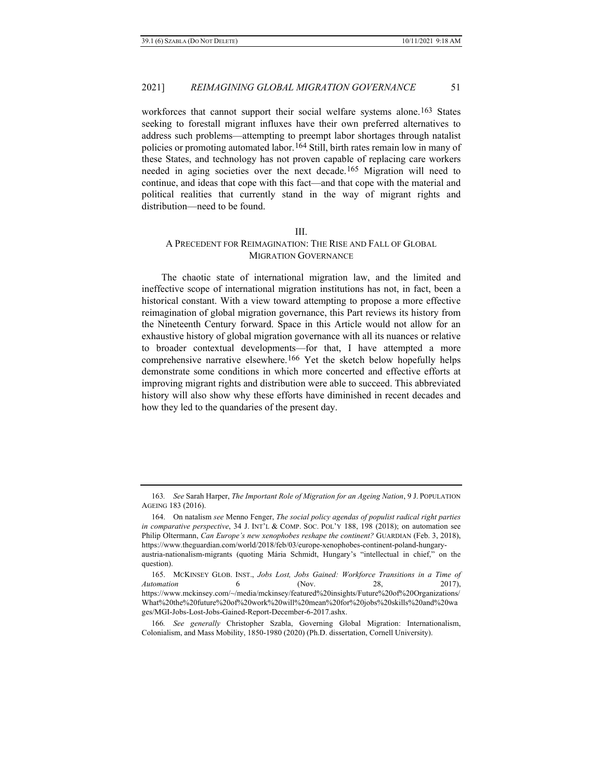workforces that cannot support their social welfare systems alone.<sup>[163](#page-32-0)</sup> States seeking to forestall migrant influxes have their own preferred alternatives to address such problems—attempting to preempt labor shortages through natalist policies or promoting automated labor.[164](#page-32-1) Still, birth rates remain low in many of these States, and technology has not proven capable of replacing care workers needed in aging societies over the next decade.[165](#page-32-2) Migration will need to continue, and ideas that cope with this fact—and that cope with the material and political realities that currently stand in the way of migrant rights and distribution—need to be found.

#### <span id="page-32-4"></span>III.

## A PRECEDENT FOR REIMAGINATION: THE RISE AND FALL OF GLOBAL MIGRATION GOVERNANCE

The chaotic state of international migration law, and the limited and ineffective scope of international migration institutions has not, in fact, been a historical constant. With a view toward attempting to propose a more effective reimagination of global migration governance, this Part reviews its history from the Nineteenth Century forward. Space in this Article would not allow for an exhaustive history of global migration governance with all its nuances or relative to broader contextual developments—for that, I have attempted a more comprehensive narrative elsewhere.[166](#page-32-3) Yet the sketch below hopefully helps demonstrate some conditions in which more concerted and effective efforts at improving migrant rights and distribution were able to succeed. This abbreviated history will also show why these efforts have diminished in recent decades and how they led to the quandaries of the present day.

<span id="page-32-0"></span><sup>163</sup>*. See* Sarah Harper, *The Important Role of Migration for an Ageing Nation*, 9 J. POPULATION AGEING 183 (2016).

<span id="page-32-1"></span><sup>164.</sup> On natalism *see* Menno Fenger, *The social policy agendas of populist radical right parties in comparative perspective*, 34 J. INT'L & COMP. SOC. POL'Y 188, 198 (2018); on automation see Philip Oltermann, *Can Europe's new xenophobes reshape the continent?* GUARDIAN (Feb. 3, 2018), https://www.theguardian.com/world/2018/feb/03/europe-xenophobes-continent-poland-hungaryaustria-nationalism-migrants (quoting Mária Schmidt, Hungary's "intellectual in chief," on the question).

<span id="page-32-2"></span><sup>165.</sup> MCKINSEY GLOB. INST., *Jobs Lost, Jobs Gained: Workforce Transitions in a Time of Automation* 6 (Nov. 28, 2017), https://www.mckinsey.com/~/media/mckinsey/featured%20insights/Future%20of%20Organizations/ What%20the%20future%20of%20work%20will%20mean%20for%20jobs%20skills%20and%20wa ges/MGI-Jobs-Lost-Jobs-Gained-Report-December-6-2017.ashx.

<span id="page-32-3"></span><sup>166</sup>*. See generally* Christopher Szabla, Governing Global Migration: Internationalism, Colonialism, and Mass Mobility, 1850-1980 (2020) (Ph.D. dissertation, Cornell University).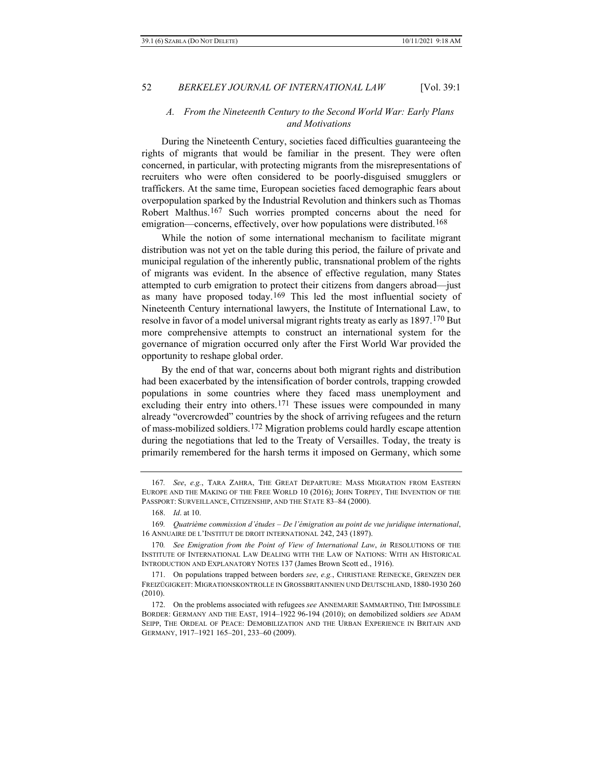## <span id="page-33-0"></span>*A. From the Nineteenth Century to the Second World War: Early Plans and Motivations*

During the Nineteenth Century, societies faced difficulties guaranteeing the rights of migrants that would be familiar in the present. They were often concerned, in particular, with protecting migrants from the misrepresentations of recruiters who were often considered to be poorly-disguised smugglers or traffickers. At the same time, European societies faced demographic fears about overpopulation sparked by the Industrial Revolution and thinkers such as Thomas Robert Malthus.[167](#page-33-1) Such worries prompted concerns about the need for emigration—concerns, effectively, over how populations were distributed.<sup>168</sup>

<span id="page-33-7"></span>While the notion of some international mechanism to facilitate migrant distribution was not yet on the table during this period, the failure of private and municipal regulation of the inherently public, transnational problem of the rights of migrants was evident. In the absence of effective regulation, many States attempted to curb emigration to protect their citizens from dangers abroad—just as many have proposed today.[169](#page-33-3) This led the most influential society of Nineteenth Century international lawyers, the Institute of International Law, to resolve in favor of a model universal migrant rights treaty as early as 1897[.170](#page-33-4) But more comprehensive attempts to construct an international system for the governance of migration occurred only after the First World War provided the opportunity to reshape global order.

By the end of that war, concerns about both migrant rights and distribution had been exacerbated by the intensification of border controls, trapping crowded populations in some countries where they faced mass unemployment and excluding their entry into others.<sup>[171](#page-33-5)</sup> These issues were compounded in many already "overcrowded" countries by the shock of arriving refugees and the return of mass-mobilized soldiers.[172](#page-33-6) Migration problems could hardly escape attention during the negotiations that led to the Treaty of Versailles. Today, the treaty is primarily remembered for the harsh terms it imposed on Germany, which some

<span id="page-33-1"></span><sup>167</sup>*. See*, *e.g.*, TARA ZAHRA, THE GREAT DEPARTURE: MASS MIGRATION FROM EASTERN EUROPE AND THE MAKING OF THE FREE WORLD 10 (2016); JOHN TORPEY, THE INVENTION OF THE PASSPORT: SURVEILLANCE, CITIZENSHIP, AND THE STATE 83–84 (2000).

<sup>168.</sup> *Id*. at 10.

<span id="page-33-3"></span><span id="page-33-2"></span><sup>169</sup>*. Quatrième commission d'études – De l'émigration au point de vue juridique international*, 16 ANNUAIRE DE L'INSTITUT DE DROIT INTERNATIONAL 242, 243 (1897).

<span id="page-33-4"></span><sup>170</sup>*. See Emigration from the Point of View of International Law*, *in* RESOLUTIONS OF THE INSTITUTE OF INTERNATIONAL LAW DEALING WITH THE LAW OF NATIONS: WITH AN HISTORICAL INTRODUCTION AND EXPLANATORY NOTES 137 (James Brown Scott ed., 1916).

<span id="page-33-5"></span><sup>171.</sup> On populations trapped between borders *see*, *e.g.*, CHRISTIANE REINECKE, GRENZEN DER FREIZÜGIGKEIT: MIGRATIONSKONTROLLE IN GROSSBRITANNIEN UND DEUTSCHLAND, 1880-1930 260 (2010).

<span id="page-33-6"></span><sup>172.</sup> On the problems associated with refugees *see* ANNEMARIE SAMMARTINO, THE IMPOSSIBLE BORDER: GERMANY AND THE EAST, 1914–1922 96-194 (2010); on demobilized soldiers *see* ADAM SEIPP, THE ORDEAL OF PEACE: DEMOBILIZATION AND THE URBAN EXPERIENCE IN BRITAIN AND GERMANY, 1917–1921 165–201, 233–60 (2009).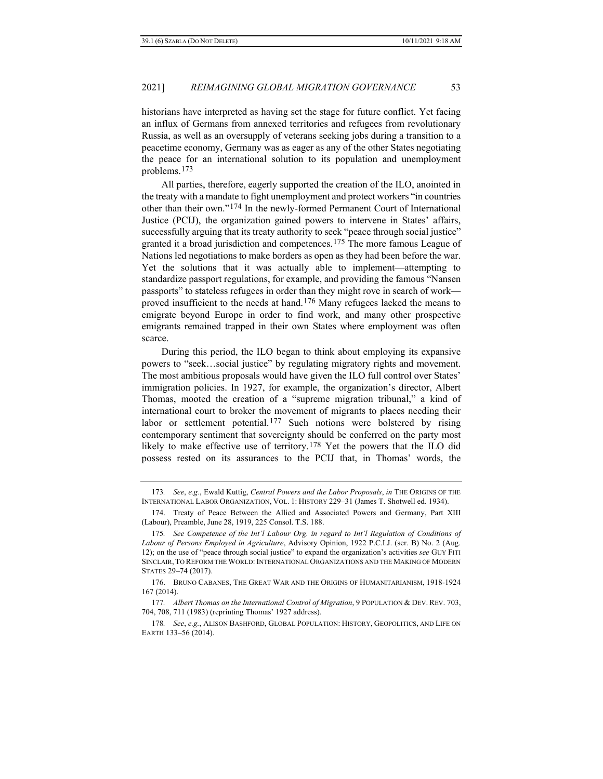historians have interpreted as having set the stage for future conflict. Yet facing an influx of Germans from annexed territories and refugees from revolutionary Russia, as well as an oversupply of veterans seeking jobs during a transition to a peacetime economy, Germany was as eager as any of the other States negotiating the peace for an international solution to its population and unemployment problems.[173](#page-34-0)

<span id="page-34-7"></span>All parties, therefore, eagerly supported the creation of the ILO, anointed in the treaty with a mandate to fight unemployment and protect workers "in countries other than their own.["174](#page-34-1) In the newly-formed Permanent Court of International Justice (PCIJ), the organization gained powers to intervene in States' affairs, successfully arguing that its treaty authority to seek "peace through social justice" granted it a broad jurisdiction and competences.<sup>175</sup> The more famous League of Nations led negotiations to make borders as open as they had been before the war. Yet the solutions that it was actually able to implement—attempting to standardize passport regulations, for example, and providing the famous "Nansen passports" to stateless refugees in order than they might rove in search of work proved insufficient to the needs at hand.[176](#page-34-3) Many refugees lacked the means to emigrate beyond Europe in order to find work, and many other prospective emigrants remained trapped in their own States where employment was often scarce.

<span id="page-34-6"></span>During this period, the ILO began to think about employing its expansive powers to "seek…social justice" by regulating migratory rights and movement. The most ambitious proposals would have given the ILO full control over States' immigration policies. In 1927, for example, the organization's director, Albert Thomas, mooted the creation of a "supreme migration tribunal," a kind of international court to broker the movement of migrants to places needing their labor or settlement potential.<sup>[177](#page-34-4)</sup> Such notions were bolstered by rising contemporary sentiment that sovereignty should be conferred on the party most likely to make effective use of territory.[178](#page-34-5) Yet the powers that the ILO did possess rested on its assurances to the PCIJ that, in Thomas' words, the

<span id="page-34-8"></span><span id="page-34-0"></span><sup>173</sup>*. See*, *e.g.*, Ewald Kuttig, *Central Powers and the Labor Proposals*, *in* THE ORIGINS OF THE INTERNATIONAL LABOR ORGANIZATION, VOL. 1: HISTORY 229–31 (James T. Shotwell ed. 1934).

<span id="page-34-1"></span><sup>174.</sup> Treaty of Peace Between the Allied and Associated Powers and Germany, Part XIII (Labour), Preamble, June 28, 1919, 225 Consol. T.S. 188.

<span id="page-34-2"></span><sup>175</sup>*. See Competence of the Int'l Labour Org. in regard to Int'l Regulation of Conditions of Labour of Persons Employed in Agriculture*, Advisory Opinion, 1922 P.C.I.J. (ser. B) No. 2 (Aug. 12); on the use of "peace through social justice" to expand the organization's activities *see* GUY FITI SINCLAIR, TO REFORM THE WORLD: INTERNATIONAL ORGANIZATIONS AND THE MAKING OF MODERN STATES 29–74 (2017).

<span id="page-34-3"></span><sup>176.</sup> BRUNO CABANES, THE GREAT WAR AND THE ORIGINS OF HUMANITARIANISM, 1918-1924 167 (2014).

<span id="page-34-4"></span><sup>177</sup>*. Albert Thomas on the International Control of Migration*, 9 POPULATION & DEV. REV. 703, 704, 708, 711 (1983) (reprinting Thomas' 1927 address).

<span id="page-34-5"></span><sup>178</sup>*. See*, *e.g.*, ALISON BASHFORD, GLOBAL POPULATION: HISTORY, GEOPOLITICS, AND LIFE ON EARTH 133–56 (2014).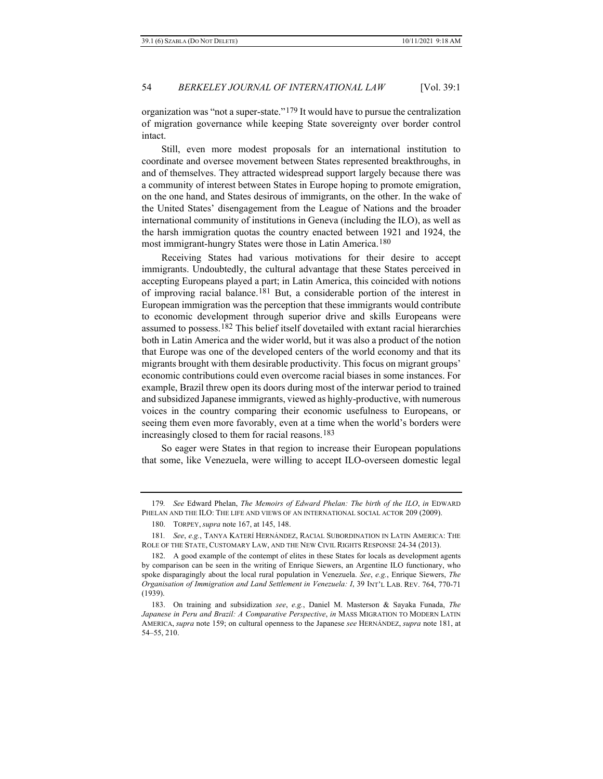<span id="page-35-7"></span>organization was "not a super-state."[179](#page-35-1) It would have to pursue the centralization of migration governance while keeping State sovereignty over border control intact.

Still, even more modest proposals for an international institution to coordinate and oversee movement between States represented breakthroughs, in and of themselves. They attracted widespread support largely because there was a community of interest between States in Europe hoping to promote emigration, on the one hand, and States desirous of immigrants, on the other. In the wake of the United States' disengagement from the League of Nations and the broader international community of institutions in Geneva (including the ILO), as well as the harsh immigration quotas the country enacted between 1921 and 1924, the most immigrant-hungry States were those in Latin America.[180](#page-35-2)

<span id="page-35-6"></span><span id="page-35-0"></span>Receiving States had various motivations for their desire to accept immigrants. Undoubtedly, the cultural advantage that these States perceived in accepting Europeans played a part; in Latin America, this coincided with notions of improving racial balance.[181](#page-35-3) But, a considerable portion of the interest in European immigration was the perception that these immigrants would contribute to economic development through superior drive and skills Europeans were assumed to possess.[182](#page-35-4) This belief itself dovetailed with extant racial hierarchies both in Latin America and the wider world, but it was also a product of the notion that Europe was one of the developed centers of the world economy and that its migrants brought with them desirable productivity. This focus on migrant groups' economic contributions could even overcome racial biases in some instances. For example, Brazil threw open its doors during most of the interwar period to trained and subsidized Japanese immigrants, viewed as highly-productive, with numerous voices in the country comparing their economic usefulness to Europeans, or seeing them even more favorably, even at a time when the world's borders were increasingly closed to them for racial reasons.[183](#page-35-5)

So eager were States in that region to increase their European populations that some, like Venezuela, were willing to accept ILO-overseen domestic legal

<span id="page-35-1"></span><sup>179</sup>*. See* Edward Phelan, *The Memoirs of Edward Phelan: The birth of the ILO*, *in* EDWARD PHELAN AND THE ILO: THE LIFE AND VIEWS OF AN INTERNATIONAL SOCIAL ACTOR 209 (2009).

<sup>180.</sup> TORPEY, *supra* note [167,](#page-33-7) at 145, 148.

<span id="page-35-3"></span><span id="page-35-2"></span><sup>181</sup>*. See*, *e.g.*, TANYA KATERÍ HERNÁNDEZ, RACIAL SUBORDINATION IN LATIN AMERICA: THE ROLE OF THE STATE, CUSTOMARY LAW, AND THE NEW CIVIL RIGHTS RESPONSE 24-34 (2013).

<span id="page-35-4"></span><sup>182.</sup> A good example of the contempt of elites in these States for locals as development agents by comparison can be seen in the writing of Enrique Siewers, an Argentine ILO functionary, who spoke disparagingly about the local rural population in Venezuela. *See*, *e.g.*, Enrique Siewers, *The Organisation of Immigration and Land Settlement in Venezuela: I*, 39 INT'L LAB. REV. 764, 770-71 (1939).

<span id="page-35-5"></span><sup>183.</sup> On training and subsidization *see*, *e.g.*, Daniel M. Masterson & Sayaka Funada, *The Japanese in Peru and Brazil: A Comparative Perspective*, *in* MASS MIGRATION TO MODERN LATIN AMERICA, *supra* not[e 159;](#page-31-6) on cultural openness to the Japanese *see* HERNÁNDEZ, *supra* note [181,](#page-35-0) at 54–55, 210.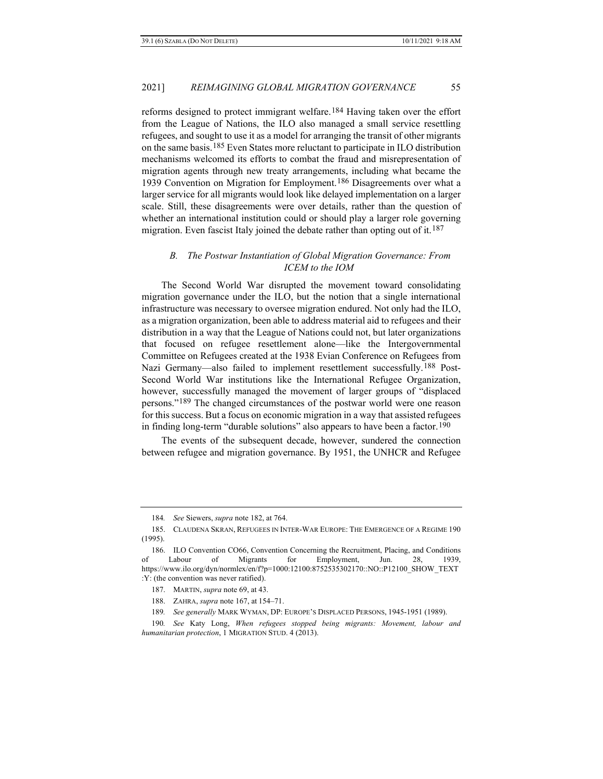reforms designed to protect immigrant welfare.[184](#page-36-1) Having taken over the effort from the League of Nations, the ILO also managed a small service resettling refugees, and sought to use it as a model for arranging the transit of other migrants on the same basis.[185](#page-36-2) Even States more reluctant to participate in ILO distribution mechanisms welcomed its efforts to combat the fraud and misrepresentation of migration agents through new treaty arrangements, including what became the 1939 Convention on Migration for Employment.<sup>186</sup> Disagreements over what a larger service for all migrants would look like delayed implementation on a larger scale. Still, these disagreements were over details, rather than the question of whether an international institution could or should play a larger role governing migration. Even fascist Italy joined the debate rather than opting out of it.<sup>[187](#page-36-4)</sup>

## <span id="page-36-0"></span>*B. The Postwar Instantiation of Global Migration Governance: From ICEM to the IOM*

The Second World War disrupted the movement toward consolidating migration governance under the ILO, but the notion that a single international infrastructure was necessary to oversee migration endured. Not only had the ILO, as a migration organization, been able to address material aid to refugees and their distribution in a way that the League of Nations could not, but later organizations that focused on refugee resettlement alone—like the Intergovernmental Committee on Refugees created at the 1938 Evian Conference on Refugees from Nazi Germany—also failed to implement resettlement successfully.<sup>[188](#page-36-5)</sup> Post-Second World War institutions like the International Refugee Organization, however, successfully managed the movement of larger groups of "displaced persons."[189](#page-36-6) The changed circumstances of the postwar world were one reason for this success. But a focus on economic migration in a way that assisted refugees in finding long-term "durable solutions" also appears to have been a factor.<sup>[190](#page-36-7)</sup>

The events of the subsequent decade, however, sundered the connection between refugee and migration governance. By 1951, the UNHCR and Refugee

<sup>184</sup>*. See* Siewers, *supra* not[e 182,](#page-35-6) at 764.

<span id="page-36-2"></span><span id="page-36-1"></span><sup>185.</sup> CLAUDENA SKRAN, REFUGEES IN INTER-WAR EUROPE: THE EMERGENCE OF A REGIME 190 (1995).

<span id="page-36-3"></span><sup>186.</sup> ILO Convention CO66, Convention Concerning the Recruitment, Placing, and Conditions of Labour of Migrants for Employment, Jun. 28, 1939, https://www.ilo.org/dyn/normlex/en/f?p=1000:12100:8752535302170::NO::P12100\_SHOW\_TEXT :Y: (the convention was never ratified).

<sup>187.</sup> MARTIN, *supra* note [69,](#page-16-10) at 43.

<sup>188.</sup> ZAHRA, *supra* not[e 167,](#page-33-7) at 154–71.

<sup>189</sup>*. See generally* MARK WYMAN, DP: EUROPE'S DISPLACED PERSONS, 1945-1951 (1989).

<span id="page-36-7"></span><span id="page-36-6"></span><span id="page-36-5"></span><span id="page-36-4"></span><sup>190</sup>*. See* Katy Long, *When refugees stopped being migrants: Movement, labour and humanitarian protection*, 1 MIGRATION STUD. 4 (2013).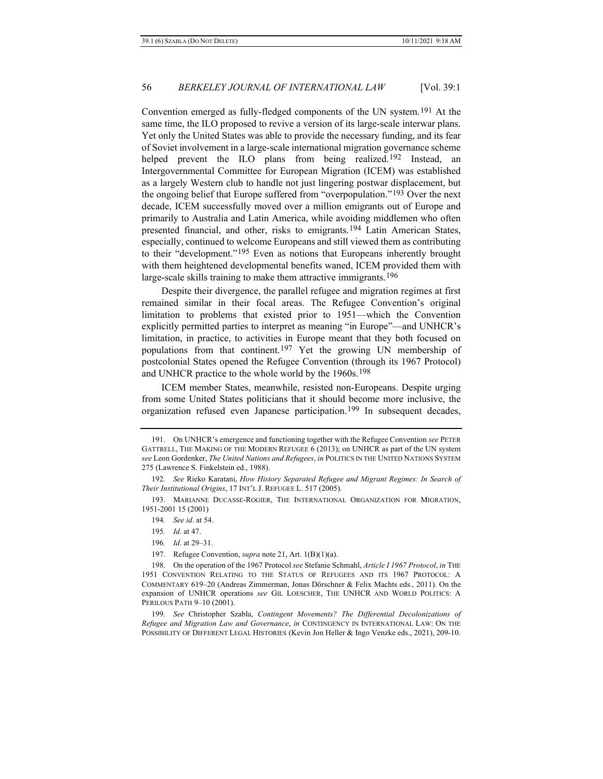<span id="page-37-9"></span>Convention emerged as fully-fledged components of the UN system.[191](#page-37-0) At the same time, the ILO proposed to revive a version of its large-scale interwar plans. Yet only the United States was able to provide the necessary funding, and its fear of Soviet involvement in a large-scale international migration governance scheme helped prevent the ILO plans from being realized.<sup>[192](#page-37-1)</sup> Instead, an Intergovernmental Committee for European Migration (ICEM) was established as a largely Western club to handle not just lingering postwar displacement, but the ongoing belief that Europe suffered from "overpopulation."[193](#page-37-2) Over the next decade, ICEM successfully moved over a million emigrants out of Europe and primarily to Australia and Latin America, while avoiding middlemen who often presented financial, and other, risks to emigrants.[194](#page-37-3) Latin American States, especially, continued to welcome Europeans and still viewed them as contributing to their "development.["195](#page-37-4) Even as notions that Europeans inherently brought with them heightened developmental benefits waned, ICEM provided them with large-scale skills training to make them attractive immigrants.<sup>[196](#page-37-5)</sup>

<span id="page-37-10"></span>Despite their divergence, the parallel refugee and migration regimes at first remained similar in their focal areas. The Refugee Convention's original limitation to problems that existed prior to 1951—which the Convention explicitly permitted parties to interpret as meaning "in Europe"—and UNHCR's limitation, in practice, to activities in Europe meant that they both focused on populations from that continent.[197](#page-37-6) Yet the growing UN membership of postcolonial States opened the Refugee Convention (through its 1967 Protocol) and UNHCR practice to the whole world by the 1960s.<sup>198</sup>

<span id="page-37-11"></span>ICEM member States, meanwhile, resisted non-Europeans. Despite urging from some United States politicians that it should become more inclusive, the organization refused even Japanese participation.[199](#page-37-8) In subsequent decades,

<span id="page-37-0"></span><sup>191.</sup> On UNHCR's emergence and functioning together with the Refugee Convention *see* PETER GATTRELL, THE MAKING OF THE MODERN REFUGEE 6 (2013); on UNHCR as part of the UN system *see* Leon Gordenker, *The United Nations and Refugees*, *in* POLITICS IN THE UNITED NATIONS SYSTEM 275 (Lawrence S. Finkelstein ed., 1988).

<span id="page-37-1"></span><sup>192</sup>*. See* Rieko Karatani, *How History Separated Refugee and Migrant Regimes: In Search of Their Institutional Origins*, 17 INT'L J. REFUGEE L. 517 (2005).

<span id="page-37-3"></span><span id="page-37-2"></span><sup>193.</sup> MARIANNE DUCASSE-ROGIER, THE INTERNATIONAL ORGANIZATION FOR MIGRATION, 1951-2001 15 (2001)

<sup>194</sup>*. See id*. at 54.

<sup>195</sup>*. Id*. at 47.

<sup>196</sup>*. Id*. at 29–31.

<sup>197.</sup> Refugee Convention, *supra* note [21,](#page-9-6) Art. 1(B)(1)(a).

<span id="page-37-7"></span><span id="page-37-6"></span><span id="page-37-5"></span><span id="page-37-4"></span><sup>198.</sup> On the operation of the 1967 Protocol *see* Stefanie Schmahl, *Article I 1967 Protocol*, *in* THE 1951 CONVENTION RELATING TO THE STATUS OF REFUGEES AND ITS 1967 PROTOCOL: A COMMENTARY 619–20 (Andreas Zimmerman, Jonas Dörschner & Felix Machts eds., 2011). On the expansion of UNHCR operations *see* GIL LOESCHER, THE UNHCR AND WORLD POLITICS: A PERILOUS PATH 9–10 (2001).

<span id="page-37-8"></span><sup>199</sup>*. See* Christopher Szabla, *Contingent Movements? The Differential Decolonizations of Refugee and Migration Law and Governance*, *in* CONTINGENCY IN INTERNATIONAL LAW: ON THE POSSIBILITY OF DIFFERENT LEGAL HISTORIES (Kevin Jon Heller & Ingo Venzke eds., 2021), 209-10.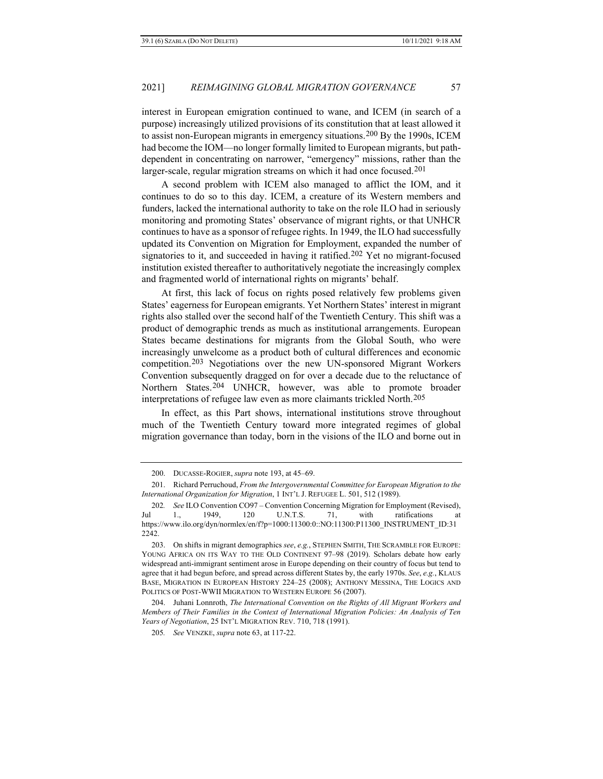interest in European emigration continued to wane, and ICEM (in search of a purpose) increasingly utilized provisions of its constitution that at least allowed it to assist non-European migrants in emergency situations.[200](#page-38-0) By the 1990s, ICEM had become the IOM—no longer formally limited to European migrants, but pathdependent in concentrating on narrower, "emergency" missions, rather than the larger-scale, regular migration streams on which it had once focused.<sup>[201](#page-38-1)</sup>

A second problem with ICEM also managed to afflict the IOM, and it continues to do so to this day. ICEM, a creature of its Western members and funders, lacked the international authority to take on the role ILO had in seriously monitoring and promoting States' observance of migrant rights, or that UNHCR continues to have as a sponsor of refugee rights. In 1949, the ILO had successfully updated its Convention on Migration for Employment, expanded the number of signatories to it, and succeeded in having it ratified.<sup>[202](#page-38-2)</sup> Yet no migrant-focused institution existed thereafter to authoritatively negotiate the increasingly complex and fragmented world of international rights on migrants' behalf.

At first, this lack of focus on rights posed relatively few problems given States' eagerness for European emigrants. Yet Northern States' interest in migrant rights also stalled over the second half of the Twentieth Century. This shift was a product of demographic trends as much as institutional arrangements. European States became destinations for migrants from the Global South, who were increasingly unwelcome as a product both of cultural differences and economic competition.[203](#page-38-3) Negotiations over the new UN-sponsored Migrant Workers Convention subsequently dragged on for over a decade due to the reluctance of Northern States.[204](#page-38-4) UNHCR, however, was able to promote broader interpretations of refugee law even as more claimants trickled North.[205](#page-38-5)

In effect, as this Part shows, international institutions strove throughout much of the Twentieth Century toward more integrated regimes of global migration governance than today, born in the visions of the ILO and borne out in

<sup>200.</sup> DUCASSE-ROGIER, *supra* not[e 193,](#page-37-9) at 45–69.

<span id="page-38-1"></span><span id="page-38-0"></span><sup>201.</sup> Richard Perruchoud, *From the Intergovernmental Committee for European Migration to the International Organization for Migration*, 1 INT'L J. REFUGEE L. 501, 512 (1989).

<span id="page-38-2"></span><sup>202</sup>*. See* ILO Convention CO97 – Convention Concerning Migration for Employment (Revised), Jul 1., 1949, 120 U.N.T.S. 71, with ratifications at https://www.ilo.org/dyn/normlex/en/f?p=1000:11300:0::NO:11300:P11300\_INSTRUMENT\_ID:31 2242.

<span id="page-38-3"></span><sup>203.</sup> On shifts in migrant demographics *see*, *e.g.*, STEPHEN SMITH, THE SCRAMBLE FOR EUROPE: YOUNG AFRICA ON ITS WAY TO THE OLD CONTINENT 97–98 (2019). Scholars debate how early widespread anti-immigrant sentiment arose in Europe depending on their country of focus but tend to agree that it had begun before, and spread across different States by, the early 1970s. *See*, *e.g.*, KLAUS BASE, MIGRATION IN EUROPEAN HISTORY 224–25 (2008); ANTHONY MESSINA, THE LOGICS AND POLITICS OF POST-WWII MIGRATION TO WESTERN EUROPE 56 (2007).

<span id="page-38-5"></span><span id="page-38-4"></span><sup>204.</sup> Juhani Lonnroth, *The International Convention on the Rights of All Migrant Workers and Members of Their Families in the Context of International Migration Policies: An Analysis of Ten Years of Negotiation*, 25 INT'L MIGRATION REV. 710, 718 (1991).

<sup>205</sup>*. See* VENZKE, *supra* not[e 63,](#page-16-11) at 117-22.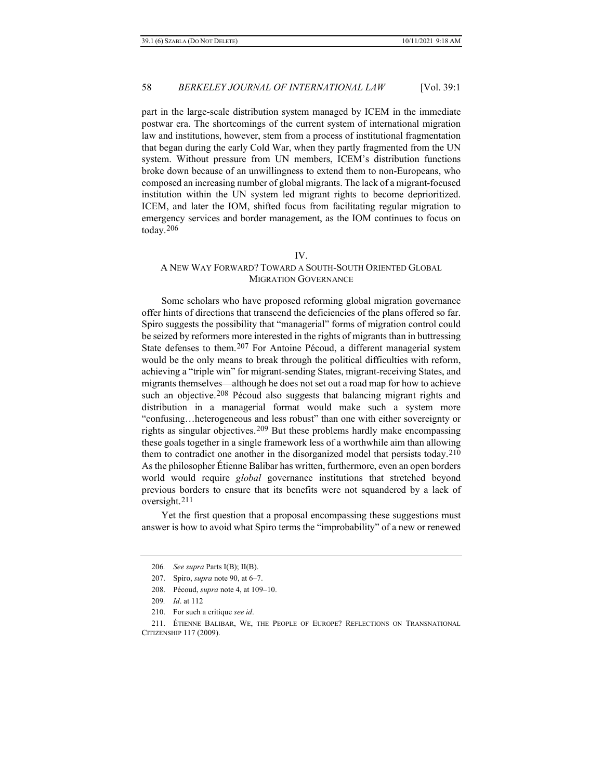part in the large-scale distribution system managed by ICEM in the immediate postwar era. The shortcomings of the current system of international migration law and institutions, however, stem from a process of institutional fragmentation that began during the early Cold War, when they partly fragmented from the UN system. Without pressure from UN members, ICEM's distribution functions broke down because of an unwillingness to extend them to non-Europeans, who composed an increasing number of global migrants. The lack of a migrant-focused institution within the UN system led migrant rights to become deprioritized. ICEM, and later the IOM, shifted focus from facilitating regular migration to emergency services and border management, as the IOM continues to focus on today.[206](#page-39-0)

#### IV.

## A NEW WAY FORWARD? TOWARD A SOUTH-SOUTH ORIENTED GLOBAL MIGRATION GOVERNANCE

Some scholars who have proposed reforming global migration governance offer hints of directions that transcend the deficiencies of the plans offered so far. Spiro suggests the possibility that "managerial" forms of migration control could be seized by reformers more interested in the rights of migrants than in buttressing State defenses to them.[207](#page-39-1) For Antoine Pécoud, a different managerial system would be the only means to break through the political difficulties with reform, achieving a "triple win" for migrant-sending States, migrant-receiving States, and migrants themselves—although he does not set out a road map for how to achieve such an objective.<sup>[208](#page-39-2)</sup> Pécoud also suggests that balancing migrant rights and distribution in a managerial format would make such a system more "confusing…heterogeneous and less robust" than one with either sovereignty or rights as singular objectives.[209](#page-39-3) But these problems hardly make encompassing these goals together in a single framework less of a worthwhile aim than allowing them to contradict one another in the disorganized model that persists today.[210](#page-39-4) As the philosopher Étienne Balibar has written, furthermore, even an open borders world would require *global* governance institutions that stretched beyond previous borders to ensure that its benefits were not squandered by a lack of oversight.[211](#page-39-5)

<span id="page-39-6"></span><span id="page-39-0"></span>Yet the first question that a proposal encompassing these suggestions must answer is how to avoid what Spiro terms the "improbability" of a new or renewed

<sup>206</sup>*. See supra* Parts I(B); II(B).

<sup>207.</sup> Spiro, *supra* not[e 90,](#page-20-0) at 6–7.

<sup>208.</sup> Pécoud, *supra* not[e 4,](#page-3-3) at 109–10.

<sup>209</sup>*. Id*. at 112

<sup>210.</sup> For such a critique *see id*.

<span id="page-39-5"></span><span id="page-39-4"></span><span id="page-39-3"></span><span id="page-39-2"></span><span id="page-39-1"></span><sup>211.</sup> ÉTIENNE BALIBAR, WE, THE PEOPLE OF EUROPE? REFLECTIONS ON TRANSNATIONAL CITIZENSHIP 117 (2009).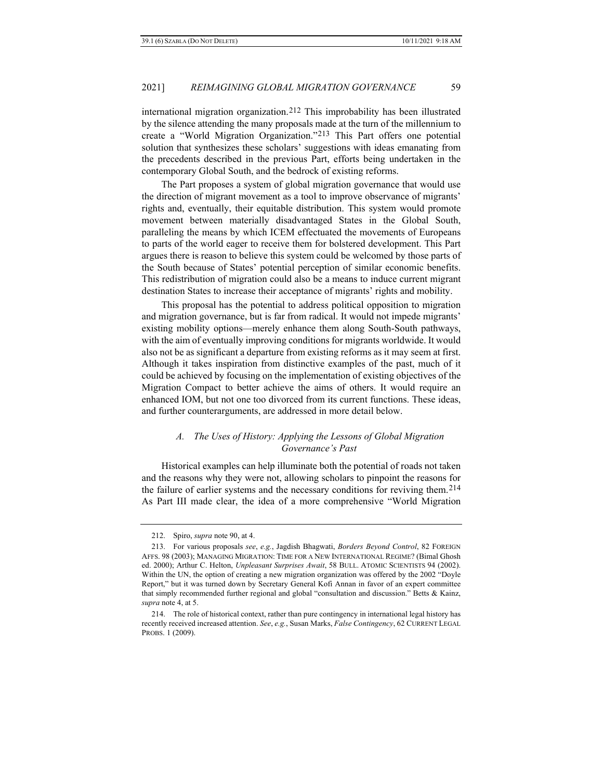international migration organization.[212](#page-40-0) This improbability has been illustrated by the silence attending the many proposals made at the turn of the millennium to create a "World Migration Organization."[213](#page-40-1) This Part offers one potential solution that synthesizes these scholars' suggestions with ideas emanating from the precedents described in the previous Part, efforts being undertaken in the contemporary Global South, and the bedrock of existing reforms.

The Part proposes a system of global migration governance that would use the direction of migrant movement as a tool to improve observance of migrants' rights and, eventually, their equitable distribution. This system would promote movement between materially disadvantaged States in the Global South, paralleling the means by which ICEM effectuated the movements of Europeans to parts of the world eager to receive them for bolstered development. This Part argues there is reason to believe this system could be welcomed by those parts of the South because of States' potential perception of similar economic benefits. This redistribution of migration could also be a means to induce current migrant destination States to increase their acceptance of migrants' rights and mobility.

This proposal has the potential to address political opposition to migration and migration governance, but is far from radical. It would not impede migrants' existing mobility options—merely enhance them along South-South pathways, with the aim of eventually improving conditions for migrants worldwide. It would also not be as significant a departure from existing reforms as it may seem at first. Although it takes inspiration from distinctive examples of the past, much of it could be achieved by focusing on the implementation of existing objectives of the Migration Compact to better achieve the aims of others. It would require an enhanced IOM, but not one too divorced from its current functions. These ideas, and further counterarguments, are addressed in more detail below.

## *A. The Uses of History: Applying the Lessons of Global Migration Governance's Past*

Historical examples can help illuminate both the potential of roads not taken and the reasons why they were not, allowing scholars to pinpoint the reasons for the failure of earlier systems and the necessary conditions for reviving them.[214](#page-40-2) As Part III made clear, the idea of a more comprehensive "World Migration

<sup>212.</sup> Spiro, *supra* not[e 90,](#page-20-0) at 4.

<span id="page-40-1"></span><span id="page-40-0"></span><sup>213.</sup> For various proposals *see*, *e.g.*, Jagdish Bhagwati, *Borders Beyond Control*, 82 FOREIGN AFFS. 98 (2003); MANAGING MIGRATION: TIME FOR A NEW INTERNATIONAL REGIME? (Bimal Ghosh ed. 2000); Arthur C. Helton, *Unpleasant Surprises Await*, 58 BULL. ATOMIC SCIENTISTS 94 (2002). Within the UN, the option of creating a new migration organization was offered by the 2002 "Doyle Report," but it was turned down by Secretary General Kofi Annan in favor of an expert committee that simply recommended further regional and global "consultation and discussion." Betts & Kainz, *supra* not[e 4,](#page-3-3) at 5.

<span id="page-40-2"></span><sup>214.</sup> The role of historical context, rather than pure contingency in international legal history has recently received increased attention. *See*, *e.g.*, Susan Marks, *False Contingency*, 62 CURRENT LEGAL PROBS. 1 (2009).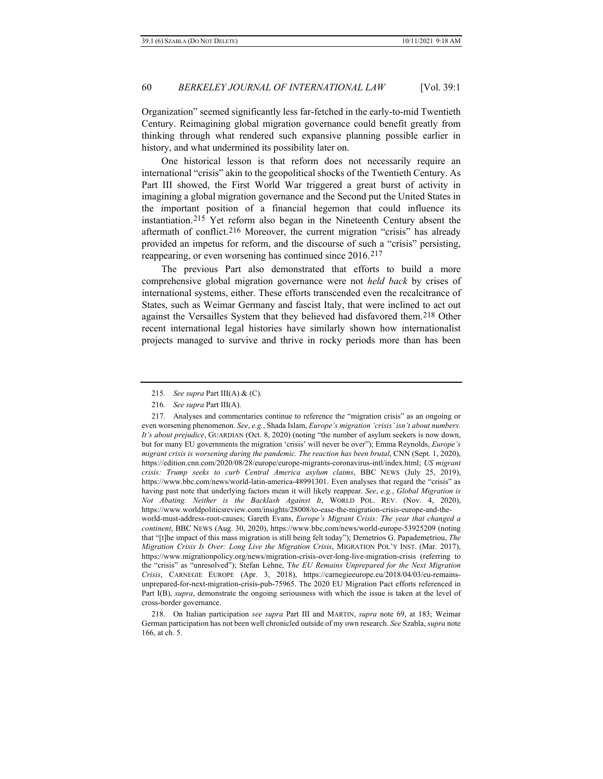Organization" seemed significantly less far-fetched in the early-to-mid Twentieth Century. Reimagining global migration governance could benefit greatly from thinking through what rendered such expansive planning possible earlier in history, and what undermined its possibility later on.

One historical lesson is that reform does not necessarily require an international "crisis" akin to the geopolitical shocks of the Twentieth Century. As Part III showed, the First World War triggered a great burst of activity in imagining a global migration governance and the Second put the United States in the important position of a financial hegemon that could influence its instantiation[.215](#page-41-0) Yet reform also began in the Nineteenth Century absent the aftermath of conflict.<sup>[216](#page-41-1)</sup> Moreover, the current migration "crisis" has already provided an impetus for reform, and the discourse of such a "crisis" persisting, reappearing, or even worsening has continued since 2016.<sup>[217](#page-41-2)</sup>

The previous Part also demonstrated that efforts to build a more comprehensive global migration governance were not *held back* by crises of international systems, either. These efforts transcended even the recalcitrance of States, such as Weimar Germany and fascist Italy, that were inclined to act out against the Versailles System that they believed had disfavored them.[218](#page-41-3) Other recent international legal histories have similarly shown how internationalist projects managed to survive and thrive in rocky periods more than has been

<span id="page-41-3"></span>218. On Italian participation *see supra* Part III and MARTIN, *supra* note [69,](#page-16-10) at 183; Weimar German participation has not been well chronicled outside of my own research. *See* Szabla, *supra* note [166,](#page-32-4) at ch. 5.

<sup>215</sup>*. See supra* Part III(A) & (C).

<sup>216</sup>*. See supra* Part III(A).

<span id="page-41-2"></span><span id="page-41-1"></span><span id="page-41-0"></span><sup>217.</sup> Analyses and commentaries continue to reference the "migration crisis" as an ongoing or even worsening phenomenon. *See*, *e.g.*, Shada Islam, *Europe's migration 'crisis' isn't about numbers. It's about prejudice*, GUARDIAN (Oct. 8, 2020) (noting "the number of asylum seekers is now down, but for many EU governments the migration 'crisis' will never be over"); Emma Reynolds, *Europe's migrant crisis is worsening during the pandemic. The reaction has been brutal*, CNN (Sept. 1, 2020), https://edition.cnn.com/2020/08/28/europe/europe-migrants-coronavirus-intl/index.html; *US migrant crisis: Trump seeks to curb Central America asylum claims*, BBC NEWS (July 25, 2019), https://www.bbc.com/news/world-latin-america-48991301. Even analyses that regard the "crisis" as having past note that underlying factors mean it will likely reappear. *See*, *e.g.*, *Global Migration is Not Abating. Neither is the Backlash Against It*, WORLD POL. REV. (Nov. 4, 2020), https://www.worldpoliticsreview.com/insights/28008/to-ease-the-migration-crisis-europe-and-theworld-must-address-root-causes; Gareth Evans, *Europe's Migrant Crisis: The year that changed a continent*, BBC NEWS (Aug. 30, 2020), https://www.bbc.com/news/world-europe-53925209 (noting that "[t]he impact of this mass migration is still being felt today"); Demetrios G. Papademetriou, *The Migration Crisis Is Over: Long Live the Migration Crisis*, MIGRATION POL'Y INST. (Mar. 2017), <https://www.migrationpolicy.org/news/migration-crisis-over-long-live-migration-crisis> (referring to the "crisis" as "unresolved"); Stefan Lehne, T*he EU Remains Unprepared for the Next Migration Crisis*, CARNEGIE EUROPE (Apr. 3, 2018), https://carnegieeurope.eu/2018/04/03/eu-remainsunprepared-for-next-migration-crisis-pub-75965. The 2020 EU Migration Pact efforts referenced in Part I(B), *supra*, demonstrate the ongoing seriousness with which the issue is taken at the level of cross-border governance.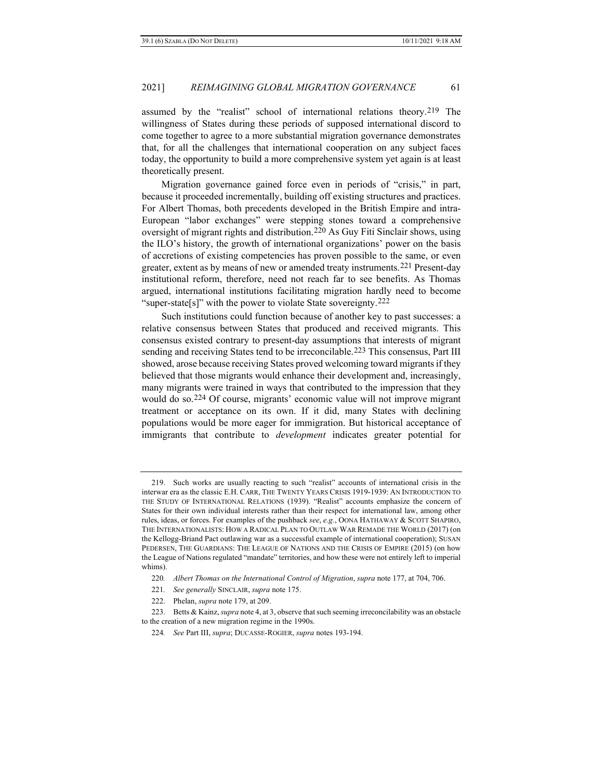assumed by the "realist" school of international relations theory.[219](#page-42-0) The willingness of States during these periods of supposed international discord to come together to agree to a more substantial migration governance demonstrates that, for all the challenges that international cooperation on any subject faces today, the opportunity to build a more comprehensive system yet again is at least theoretically present.

Migration governance gained force even in periods of "crisis," in part, because it proceeded incrementally, building off existing structures and practices. For Albert Thomas, both precedents developed in the British Empire and intra-European "labor exchanges" were stepping stones toward a comprehensive oversight of migrant rights and distribution.[220](#page-42-1) As Guy Fiti Sinclair shows, using the ILO's history, the growth of international organizations' power on the basis of accretions of existing competencies has proven possible to the same, or even greater, extent as by means of new or amended treaty instruments.[221](#page-42-2) Present-day institutional reform, therefore, need not reach far to see benefits. As Thomas argued, international institutions facilitating migration hardly need to become "super-state[s]" with the power to violate State sovereignty.<sup>[222](#page-42-3)</sup>

Such institutions could function because of another key to past successes: a relative consensus between States that produced and received migrants. This consensus existed contrary to present-day assumptions that interests of migrant sending and receiving States tend to be irreconcilable.[223](#page-42-4) This consensus, Part III showed, arose because receiving States proved welcoming toward migrants if they believed that those migrants would enhance their development and, increasingly, many migrants were trained in ways that contributed to the impression that they would do so.[224](#page-42-5) Of course, migrants' economic value will not improve migrant treatment or acceptance on its own. If it did, many States with declining populations would be more eager for immigration. But historical acceptance of immigrants that contribute to *development* indicates greater potential for

<span id="page-42-0"></span><sup>219.</sup> Such works are usually reacting to such "realist" accounts of international crisis in the interwar era as the classic E.H. CARR, THE TWENTY YEARS CRISIS 1919-1939: AN INTRODUCTION TO THE STUDY OF INTERNATIONAL RELATIONS (1939). "Realist" accounts emphasize the concern of States for their own individual interests rather than their respect for international law, among other rules, ideas, or forces. For examples of the pushback *see*, *e.g.*, OONA HATHAWAY & SCOTT SHAPIRO, THE INTERNATIONALISTS: HOW A RADICAL PLAN TO OUTLAW WAR REMADE THE WORLD (2017) (on the Kellogg-Briand Pact outlawing war as a successful example of international cooperation); SUSAN PEDERSEN, THE GUARDIANS: THE LEAGUE OF NATIONS AND THE CRISIS OF EMPIRE (2015) (on how the League of Nations regulated "mandate" territories, and how these were not entirely left to imperial whims).

<sup>220</sup>*. Albert Thomas on the International Control of Migration*, *supra* note [177,](#page-34-6) at 704, 706.

<sup>221</sup>*. See generally* SINCLAIR, *supra* not[e 175.](#page-34-7)

<sup>222.</sup> Phelan, *supra* note [179,](#page-35-7) at 209.

<span id="page-42-5"></span><span id="page-42-4"></span><span id="page-42-3"></span><span id="page-42-2"></span><span id="page-42-1"></span><sup>223.</sup> Betts & Kainz, *supra* not[e 4,](#page-3-3) at 3, observe that such seeming irreconcilability was an obstacle to the creation of a new migration regime in the 1990s.

<sup>224</sup>*. See* Part III, *supra*; DUCASSE-ROGIER, *supra* note[s 193-](#page-37-9)[194.](#page-37-10)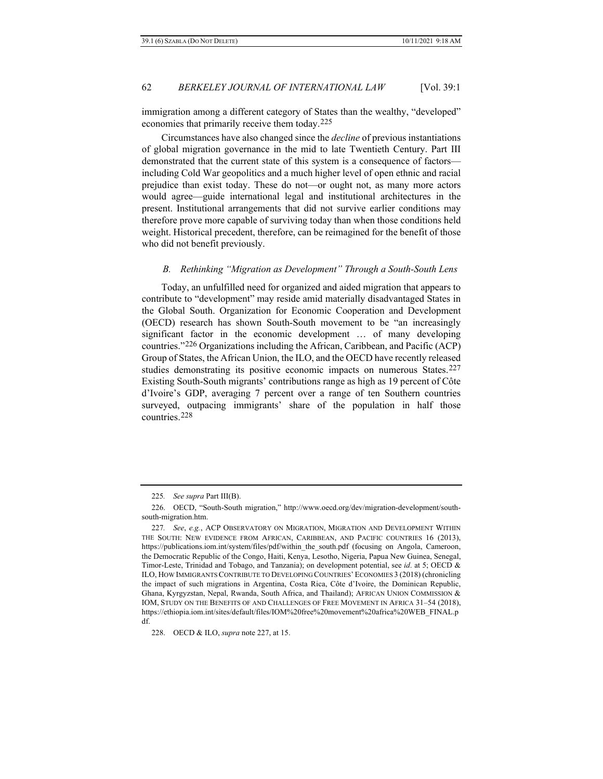immigration among a different category of States than the wealthy, "developed" economies that primarily receive them today.[225](#page-43-0)

Circumstances have also changed since the *decline* of previous instantiations of global migration governance in the mid to late Twentieth Century. Part III demonstrated that the current state of this system is a consequence of factors including Cold War geopolitics and a much higher level of open ethnic and racial prejudice than exist today. These do not—or ought not, as many more actors would agree—guide international legal and institutional architectures in the present. Institutional arrangements that did not survive earlier conditions may therefore prove more capable of surviving today than when those conditions held weight. Historical precedent, therefore, can be reimagined for the benefit of those who did not benefit previously.

## <span id="page-43-4"></span>*B. Rethinking "Migration as Development" Through a South-South Lens*

Today, an unfulfilled need for organized and aided migration that appears to contribute to "development" may reside amid materially disadvantaged States in the Global South. Organization for Economic Cooperation and Development (OECD) research has shown South-South movement to be "an increasingly significant factor in the economic development … of many developing countries."[226](#page-43-1) Organizations including the African, Caribbean, and Pacific (ACP) Group of States, the African Union, the ILO, and the OECD have recently released studies demonstrating its positive economic impacts on numerous States.<sup>[227](#page-43-2)</sup> Existing South-South migrants' contributions range as high as 19 percent of Côte d'Ivoire's GDP, averaging 7 percent over a range of ten Southern countries surveyed, outpacing immigrants' share of the population in half those countries.[228](#page-43-3)

<span id="page-43-3"></span>228. OECD & ILO, *supra* note 227, at 15.

<sup>225</sup>*. See supra* Part III(B).

<span id="page-43-1"></span><span id="page-43-0"></span><sup>226.</sup> OECD, "South-South migration," http://www.oecd.org/dev/migration-development/southsouth-migration.htm.

<span id="page-43-2"></span><sup>227</sup>*. See*, *e.g.*, ACP OBSERVATORY ON MIGRATION, MIGRATION AND DEVELOPMENT WITHIN THE SOUTH: NEW EVIDENCE FROM AFRICAN, CARIBBEAN, AND PACIFIC COUNTRIES 16 (2013), https://publications.iom.int/system/files/pdf/within\_the\_south.pdf (focusing on Angola, Cameroon, the Democratic Republic of the Congo, Haiti, Kenya, Lesotho, Nigeria, Papua New Guinea, Senegal, Timor-Leste, Trinidad and Tobago, and Tanzania); on development potential, see *id*. at 5; OECD & ILO, HOW IMMIGRANTS CONTRIBUTE TO DEVELOPING COUNTRIES' ECONOMIES 3 (2018) (chronicling the impact of such migrations in Argentina, Costa Rica, Côte d'Ivoire, the Dominican Republic, Ghana, Kyrgyzstan, Nepal, Rwanda, South Africa, and Thailand); AFRICAN UNION COMMISSION & IOM, STUDY ON THE BENEFITS OF AND CHALLENGES OF FREE MOVEMENT IN AFRICA 31–54 (2018), https://ethiopia.iom.int/sites/default/files/IOM%20free%20movement%20africa%20WEB\_FINAL.p df.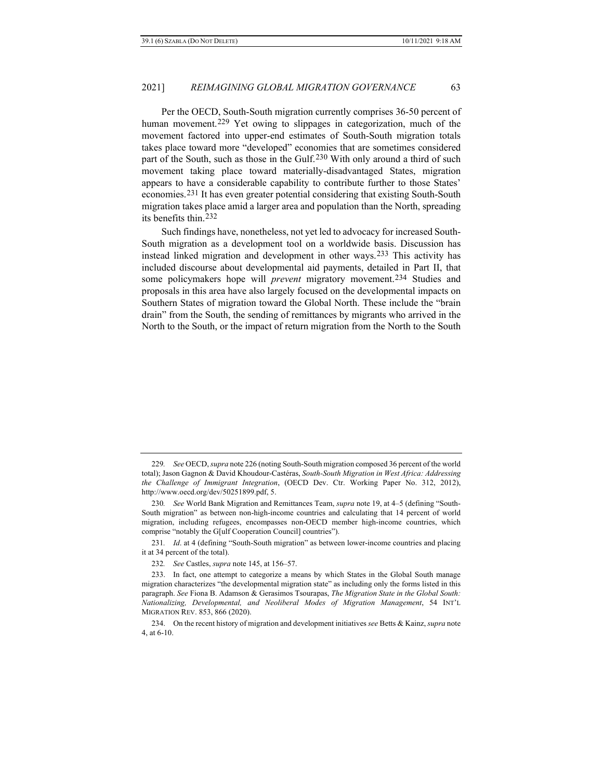<span id="page-44-7"></span>Per the OECD, South-South migration currently comprises 36-50 percent of human movement.[229](#page-44-0) Yet owing to slippages in categorization, much of the movement factored into upper-end estimates of South-South migration totals takes place toward more "developed" economies that are sometimes considered part of the South, such as those in the Gulf.[230](#page-44-1) With only around a third of such movement taking place toward materially-disadvantaged States, migration appears to have a considerable capability to contribute further to those States' economies.[231](#page-44-2) It has even greater potential considering that existing South-South migration takes place amid a larger area and population than the North, spreading its benefits thin.[232](#page-44-3)

<span id="page-44-6"></span>Such findings have, nonetheless, not yet led to advocacy for increased South-South migration as a development tool on a worldwide basis. Discussion has instead linked migration and development in other ways.[233](#page-44-4) This activity has included discourse about developmental aid payments, detailed in Part II, that some policymakers hope will *prevent* migratory movement.[234](#page-44-5) Studies and proposals in this area have also largely focused on the developmental impacts on Southern States of migration toward the Global North. These include the "brain drain" from the South, the sending of remittances by migrants who arrived in the North to the South, or the impact of return migration from the North to the South

<span id="page-44-0"></span><sup>229</sup>*. See* OECD, *supra* note 226 (noting South-South migration composed 36 percent of the world total); Jason Gagnon & David Khoudour-Castéras, *South-South Migration in West Africa: Addressing the Challenge of Immigrant Integration*, (OECD Dev. Ctr. Working Paper No. 312, 2012), http://www.oecd.org/dev/50251899.pdf, 5.

<span id="page-44-1"></span><sup>230</sup>*. See* World Bank Migration and Remittances Team, *supra* note [19,](#page-6-1) at 4–5 (defining "South-South migration" as between non-high-income countries and calculating that 14 percent of world migration, including refugees, encompasses non-OECD member high-income countries, which comprise "notably the G[ulf Cooperation Council] countries").

<span id="page-44-2"></span><sup>231</sup>*. Id*. at 4 (defining "South-South migration" as between lower-income countries and placing it at 34 percent of the total).

<sup>232</sup>*. See* Castles, *supra* not[e 145,](#page-29-0) at 156–57.

<span id="page-44-4"></span><span id="page-44-3"></span><sup>233.</sup> In fact, one attempt to categorize a means by which States in the Global South manage migration characterizes "the developmental migration state" as including only the forms listed in this paragraph. *See* Fiona B. Adamson & Gerasimos Tsourapas, *The Migration State in the Global South: Nationalizing, Developmental, and Neoliberal Modes of Migration Management*, 54 INT'L MIGRATION REV. 853, 866 (2020).

<span id="page-44-5"></span><sup>234.</sup> On the recent history of migration and development initiatives *see* Betts & Kainz, *supra* note 4, at 6-10.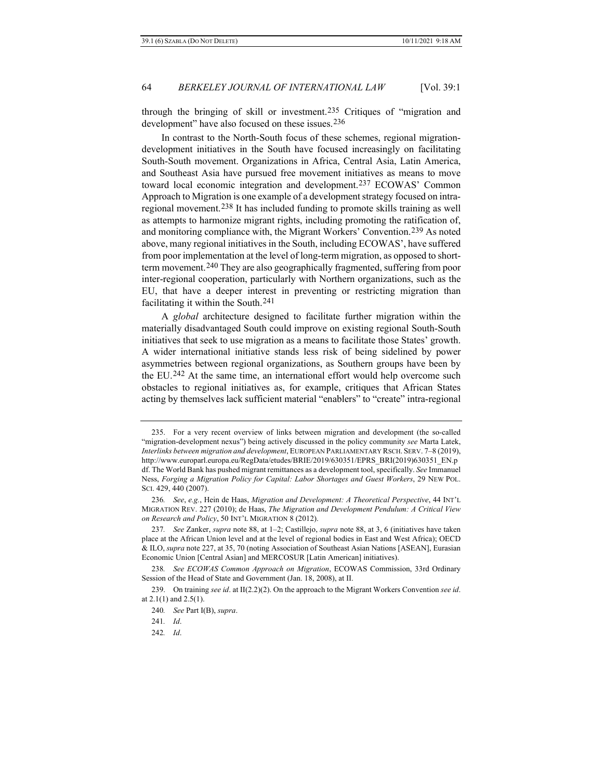<span id="page-45-9"></span><span id="page-45-8"></span>through the bringing of skill or investment.[235](#page-45-0) Critiques of "migration and development" have also focused on these issues.[236](#page-45-1)

In contrast to the North-South focus of these schemes, regional migrationdevelopment initiatives in the South have focused increasingly on facilitating South-South movement. Organizations in Africa, Central Asia, Latin America, and Southeast Asia have pursued free movement initiatives as means to move toward local economic integration and development.[237](#page-45-2) ECOWAS' Common Approach to Migration is one example of a development strategy focused on intraregional movement.[238](#page-45-3) It has included funding to promote skills training as well as attempts to harmonize migrant rights, including promoting the ratification of, and monitoring compliance with, the Migrant Workers' Convention.[239](#page-45-4) As noted above, many regional initiatives in the South, including ECOWAS', have suffered from poor implementation at the level of long-term migration, as opposed to short-term movement.<sup>[240](#page-45-5)</sup> They are also geographically fragmented, suffering from poor inter-regional cooperation, particularly with Northern organizations, such as the EU, that have a deeper interest in preventing or restricting migration than facilitating it within the South.[241](#page-45-6)

A *global* architecture designed to facilitate further migration within the materially disadvantaged South could improve on existing regional South-South initiatives that seek to use migration as a means to facilitate those States' growth. A wider international initiative stands less risk of being sidelined by power asymmetries between regional organizations, as Southern groups have been by the EU.[242](#page-45-7) At the same time, an international effort would help overcome such obstacles to regional initiatives as, for example, critiques that African States acting by themselves lack sufficient material "enablers" to "create" intra-regional

<span id="page-45-0"></span><sup>235.</sup> For a very recent overview of links between migration and development (the so-called "migration-development nexus") being actively discussed in the policy community *see* Marta Latek, *Interlinks between migration and development*, EUROPEAN PARLIAMENTARY RSCH. SERV. 7–8 (2019), http://www.europarl.europa.eu/RegData/etudes/BRIE/2019/630351/EPRS\_BRI(2019)630351\_EN.p df. The World Bank has pushed migrant remittances as a development tool, specifically. *See* Immanuel Ness, *Forging a Migration Policy for Capital: Labor Shortages and Guest Workers*, 29 NEW POL. SCI. 429, 440 (2007).

<span id="page-45-1"></span><sup>236</sup>*. See*, *e.g.*, Hein de Haas, *Migration and Development: A Theoretical Perspective*, 44 INT'L MIGRATION REV. 227 (2010); de Haas, *The Migration and Development Pendulum: A Critical View on Research and Policy*, 50 INT'L MIGRATION 8 (2012).

<span id="page-45-2"></span><sup>237</sup>*. See* Zanker, *supra* note [88,](#page-19-8) at 1–2; Castillejo, *supra* not[e 88,](#page-19-8) at 3, 6 (initiatives have taken place at the African Union level and at the level of regional bodies in East and West Africa); OECD & ILO, *supra* note 227, at 35, 70 (noting Association of Southeast Asian Nations [ASEAN], Eurasian Economic Union [Central Asian] and MERCOSUR [Latin American] initiatives).

<span id="page-45-3"></span><sup>238</sup>*. See ECOWAS Common Approach on Migration*, ECOWAS Commission, 33rd Ordinary Session of the Head of State and Government (Jan. 18, 2008), at II.

<span id="page-45-7"></span><span id="page-45-6"></span><span id="page-45-5"></span><span id="page-45-4"></span><sup>239.</sup> On training *see id*. at II(2.2)(2). On the approach to the Migrant Workers Convention *see id*. at 2.1(1) and 2.5(1).

<sup>240</sup>*. See* Part I(B), *supra*.

<sup>241</sup>*. Id*.

<sup>242</sup>*. Id*.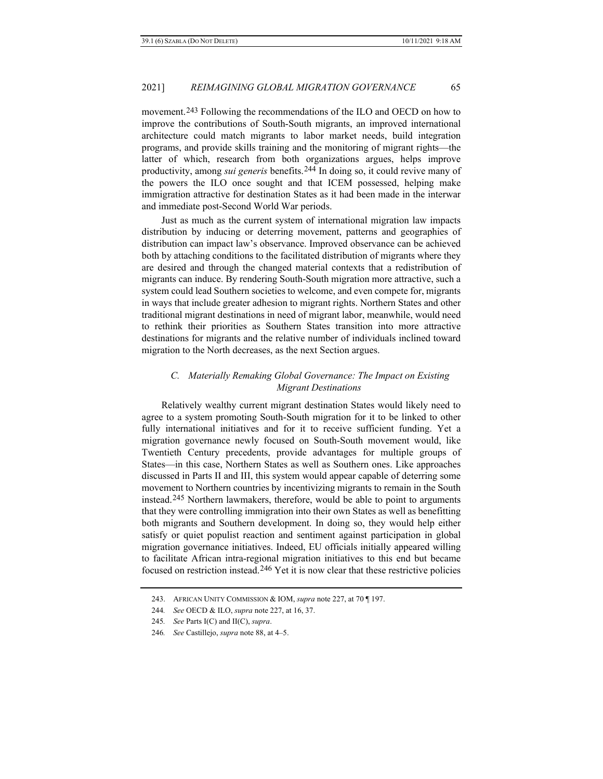movement.[243](#page-46-0) Following the recommendations of the ILO and OECD on how to improve the contributions of South-South migrants, an improved international architecture could match migrants to labor market needs, build integration programs, and provide skills training and the monitoring of migrant rights—the latter of which, research from both organizations argues, helps improve productivity, among *sui generis* benefits.[244](#page-46-1) In doing so, it could revive many of the powers the ILO once sought and that ICEM possessed, helping make immigration attractive for destination States as it had been made in the interwar and immediate post-Second World War periods.

Just as much as the current system of international migration law impacts distribution by inducing or deterring movement, patterns and geographies of distribution can impact law's observance. Improved observance can be achieved both by attaching conditions to the facilitated distribution of migrants where they are desired and through the changed material contexts that a redistribution of migrants can induce. By rendering South-South migration more attractive, such a system could lead Southern societies to welcome, and even compete for, migrants in ways that include greater adhesion to migrant rights. Northern States and other traditional migrant destinations in need of migrant labor, meanwhile, would need to rethink their priorities as Southern States transition into more attractive destinations for migrants and the relative number of individuals inclined toward migration to the North decreases, as the next Section argues.

## *C. Materially Remaking Global Governance: The Impact on Existing Migrant Destinations*

Relatively wealthy current migrant destination States would likely need to agree to a system promoting South-South migration for it to be linked to other fully international initiatives and for it to receive sufficient funding. Yet a migration governance newly focused on South-South movement would, like Twentieth Century precedents, provide advantages for multiple groups of States—in this case, Northern States as well as Southern ones. Like approaches discussed in Parts II and III, this system would appear capable of deterring some movement to Northern countries by incentivizing migrants to remain in the South instead.[245](#page-46-2) Northern lawmakers, therefore, would be able to point to arguments that they were controlling immigration into their own States as well as benefitting both migrants and Southern development. In doing so, they would help either satisfy or quiet populist reaction and sentiment against participation in global migration governance initiatives. Indeed, EU officials initially appeared willing to facilitate African intra-regional migration initiatives to this end but became focused on restriction instead.[246](#page-46-3) Yet it is now clear that these restrictive policies

<span id="page-46-0"></span><sup>243.</sup> AFRICAN UNITY COMMISSION & IOM, *supra* note 227, at 70 ¶ 197.

<span id="page-46-1"></span><sup>244</sup>*. See* OECD & ILO, *supra* note 227, at 16, 37.

<span id="page-46-2"></span><sup>245</sup>*. See* Parts I(C) and II(C), *supra*.

<span id="page-46-3"></span><sup>246</sup>*. See* Castillejo, *supra* note [88,](#page-19-8) at 4–5.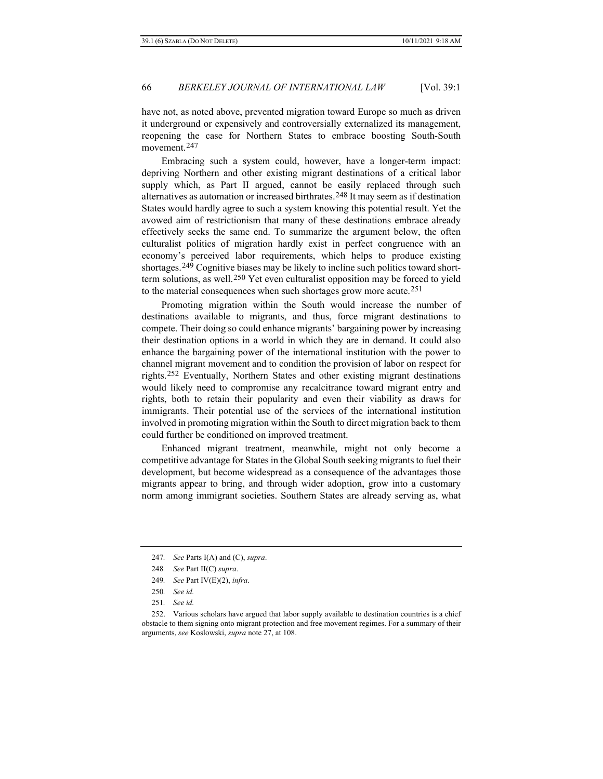have not, as noted above, prevented migration toward Europe so much as driven it underground or expensively and controversially externalized its management, reopening the case for Northern States to embrace boosting South-South movement.[247](#page-47-0)

Embracing such a system could, however, have a longer-term impact: depriving Northern and other existing migrant destinations of a critical labor supply which, as Part II argued, cannot be easily replaced through such alternatives as automation or increased birthrates.[248](#page-47-1) It may seem as if destination States would hardly agree to such a system knowing this potential result. Yet the avowed aim of restrictionism that many of these destinations embrace already effectively seeks the same end. To summarize the argument below, the often culturalist politics of migration hardly exist in perfect congruence with an economy's perceived labor requirements, which helps to produce existing shortages.[249](#page-47-2) Cognitive biases may be likely to incline such politics toward shortterm solutions, as well.[250](#page-47-3) Yet even culturalist opposition may be forced to yield to the material consequences when such shortages grow more acute.[251](#page-47-4)

Promoting migration within the South would increase the number of destinations available to migrants, and thus, force migrant destinations to compete. Their doing so could enhance migrants' bargaining power by increasing their destination options in a world in which they are in demand. It could also enhance the bargaining power of the international institution with the power to channel migrant movement and to condition the provision of labor on respect for rights.[252](#page-47-5) Eventually, Northern States and other existing migrant destinations would likely need to compromise any recalcitrance toward migrant entry and rights, both to retain their popularity and even their viability as draws for immigrants. Their potential use of the services of the international institution involved in promoting migration within the South to direct migration back to them could further be conditioned on improved treatment.

Enhanced migrant treatment, meanwhile, might not only become a competitive advantage for States in the Global South seeking migrants to fuel their development, but become widespread as a consequence of the advantages those migrants appear to bring, and through wider adoption, grow into a customary norm among immigrant societies. Southern States are already serving as, what

<span id="page-47-0"></span><sup>247</sup>*. See* Parts I(A) and (C), *supra*.

<sup>248</sup>*. See* Part II(C) *supra*.

<sup>249</sup>*. See* Part IV(E)(2), *infra*.

<sup>250</sup>*. See id.*

<sup>251</sup>*. See id.*

<span id="page-47-5"></span><span id="page-47-4"></span><span id="page-47-3"></span><span id="page-47-2"></span><span id="page-47-1"></span><sup>252.</sup> Various scholars have argued that labor supply available to destination countries is a chief obstacle to them signing onto migrant protection and free movement regimes. For a summary of their arguments, *see* Koslowski, *supra* note [27,](#page-10-10) at 108.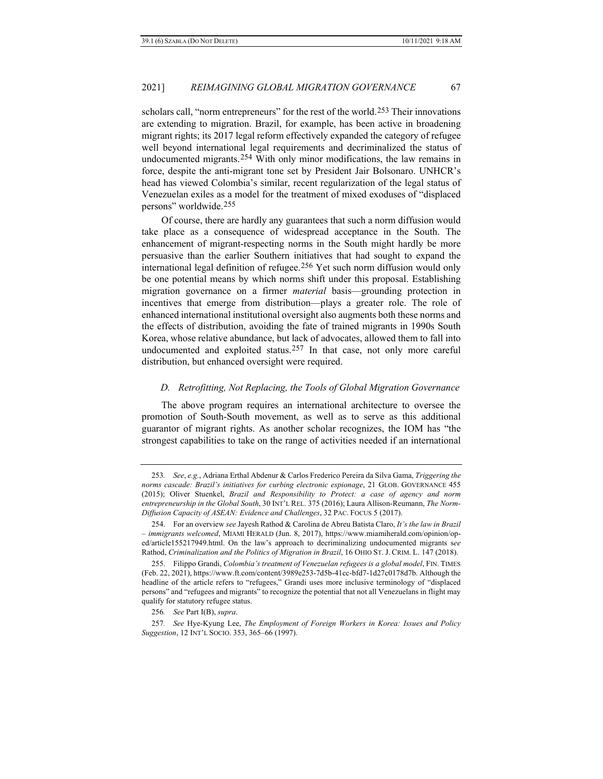scholars call, "norm entrepreneurs" for the rest of the world.[253](#page-48-0) Their innovations are extending to migration. Brazil, for example, has been active in broadening migrant rights; its 2017 legal reform effectively expanded the category of refugee well beyond international legal requirements and decriminalized the status of undocumented migrants.[254](#page-48-1) With only minor modifications, the law remains in force, despite the anti-migrant tone set by President Jair Bolsonaro. UNHCR's head has viewed Colombia's similar, recent regularization of the legal status of Venezuelan exiles as a model for the treatment of mixed exoduses of "displaced persons" worldwide.[255](#page-48-2)

Of course, there are hardly any guarantees that such a norm diffusion would take place as a consequence of widespread acceptance in the South. The enhancement of migrant-respecting norms in the South might hardly be more persuasive than the earlier Southern initiatives that had sought to expand the international legal definition of refugee.[256](#page-48-3) Yet such norm diffusion would only be one potential means by which norms shift under this proposal. Establishing migration governance on a firmer *material* basis—grounding protection in incentives that emerge from distribution—plays a greater role. The role of enhanced international institutional oversight also augments both these norms and the effects of distribution, avoiding the fate of trained migrants in 1990s South Korea, whose relative abundance, but lack of advocates, allowed them to fall into undocumented and exploited status.[257](#page-48-4) In that case, not only more careful distribution, but enhanced oversight were required.

#### *D. Retrofitting, Not Replacing, the Tools of Global Migration Governance*

The above program requires an international architecture to oversee the promotion of South-South movement, as well as to serve as this additional guarantor of migrant rights. As another scholar recognizes, the IOM has "the strongest capabilities to take on the range of activities needed if an international

<span id="page-48-0"></span><sup>253</sup>*. See*, *e.g.*, Adriana Erthal Abdenur & Carlos Frederico Pereira da Silva Gama, *Triggering the norms cascade: Brazil's initiatives for curbing electronic espionage*, 21 GLOB. GOVERNANCE 455 (2015); Oliver Stuenkel, *Brazil and Responsibility to Protect: a case of agency and norm entrepreneurship in the Global South*, 30 INT'L REL. 375 (2016); Laura Allison-Reumann, *The Norm-Diffusion Capacity of ASEAN: Evidence and Challenges*, 32 PAC. FOCUS 5 (2017).

<span id="page-48-1"></span><sup>254.</sup> For an overview *see* Jayesh Rathod & Carolina de Abreu Batista Claro, *It's the law in Brazil – immigrants welcomed*, MIAMI HERALD (Jun. 8, 2017), https://www.miamiherald.com/opinion/oped/article155217949.html. On the law's approach to decriminalizing undocumented migrants s*ee* Rathod, *Criminalization and the Politics of Migration in Brazil*, 16 OHIO ST. J. CRIM. L. 147 (2018).

<span id="page-48-2"></span><sup>255.</sup> Filippo Grandi, *Colombia's treatment of Venezuelan refugees is a global model*, FIN. TIMES (Feb. 22, 2021), https://www.ft.com/content/3989e253-7d5b-41cc-bfd7-1d27c0178d7b. Although the headline of the article refers to "refugees," Grandi uses more inclusive terminology of "displaced persons" and "refugees and migrants" to recognize the potential that not all Venezuelans in flight may qualify for statutory refugee status.

<sup>256</sup>*. See* Part I(B), *supra*.

<span id="page-48-4"></span><span id="page-48-3"></span><sup>257</sup>*. See* Hye-Kyung Lee, *The Employment of Foreign Workers in Korea: Issues and Policy Suggestion*, 12 INT'L SOCIO. 353, 365–66 (1997).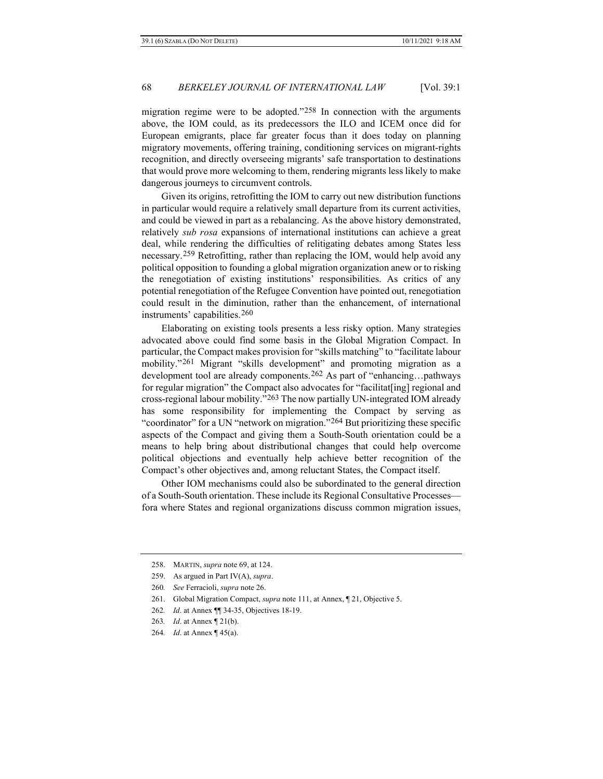migration regime were to be adopted."[258](#page-49-0) In connection with the arguments above, the IOM could, as its predecessors the ILO and ICEM once did for European emigrants, place far greater focus than it does today on planning migratory movements, offering training, conditioning services on migrant-rights recognition, and directly overseeing migrants' safe transportation to destinations that would prove more welcoming to them, rendering migrants less likely to make dangerous journeys to circumvent controls.

Given its origins, retrofitting the IOM to carry out new distribution functions in particular would require a relatively small departure from its current activities, and could be viewed in part as a rebalancing. As the above history demonstrated, relatively *sub rosa* expansions of international institutions can achieve a great deal, while rendering the difficulties of relitigating debates among States less necessary.[259](#page-49-1) Retrofitting, rather than replacing the IOM, would help avoid any political opposition to founding a global migration organization anew or to risking the renegotiation of existing institutions' responsibilities. As critics of any potential renegotiation of the Refugee Convention have pointed out, renegotiation could result in the diminution, rather than the enhancement, of international instruments' capabilities.[260](#page-49-2)

Elaborating on existing tools presents a less risky option. Many strategies advocated above could find some basis in the Global Migration Compact. In particular, the Compact makes provision for "skills matching" to "facilitate labour mobility."[261](#page-49-3) Migrant "skills development" and promoting migration as a development tool are already components.[262](#page-49-4) As part of "enhancing…pathways for regular migration" the Compact also advocates for "facilitat[ing] regional and cross-regional labour mobility."[263](#page-49-5) The now partially UN-integrated IOM already has some responsibility for implementing the Compact by serving as "coordinator" for a UN "network on migration."[264](#page-49-6) But prioritizing these specific aspects of the Compact and giving them a South-South orientation could be a means to help bring about distributional changes that could help overcome political objections and eventually help achieve better recognition of the Compact's other objectives and, among reluctant States, the Compact itself.

Other IOM mechanisms could also be subordinated to the general direction of a South-South orientation. These include its Regional Consultative Processes fora where States and regional organizations discuss common migration issues,

<span id="page-49-0"></span><sup>258.</sup> MARTIN, *supra* note [69,](#page-16-10) at 124.

<span id="page-49-1"></span><sup>259.</sup> As argued in Part IV(A), *supra*.

<span id="page-49-2"></span><sup>260</sup>*. See* Ferracioli, *supra* not[e 26.](#page-9-7)

<sup>261.</sup> Global Migration Compact, *supra* not[e 111,](#page-23-6) at Annex, ¶ 21, Objective 5.

<span id="page-49-4"></span><span id="page-49-3"></span><sup>262</sup>*. Id*. at Annex ¶¶ 34-35, Objectives 18-19.

<span id="page-49-6"></span><span id="page-49-5"></span><sup>263</sup>*. Id*. at Annex ¶ 21(b).

<sup>264</sup>*. Id*. at Annex ¶ 45(a).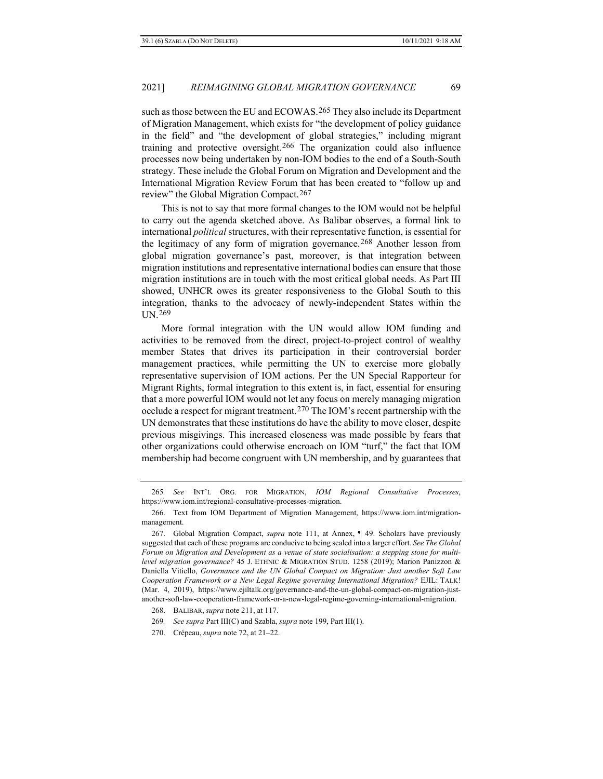such as those between the EU and ECOWAS.[265](#page-50-0) They also include its Department of Migration Management, which exists for "the development of policy guidance in the field" and "the development of global strategies," including migrant training and protective oversight.[266](#page-50-1) The organization could also influence processes now being undertaken by non-IOM bodies to the end of a South-South strategy. These include the Global Forum on Migration and Development and the International Migration Review Forum that has been created to "follow up and review" the Global Migration Compact.[267](#page-50-2)

This is not to say that more formal changes to the IOM would not be helpful to carry out the agenda sketched above. As Balibar observes, a formal link to international *political* structures, with their representative function, is essential for the legitimacy of any form of migration governance.<sup>[268](#page-50-3)</sup> Another lesson from global migration governance's past, moreover, is that integration between migration institutions and representative international bodies can ensure that those migration institutions are in touch with the most critical global needs. As Part III showed, UNHCR owes its greater responsiveness to the Global South to this integration, thanks to the advocacy of newly-independent States within the UN.[269](#page-50-4)

More formal integration with the UN would allow IOM funding and activities to be removed from the direct, project-to-project control of wealthy member States that drives its participation in their controversial border management practices, while permitting the UN to exercise more globally representative supervision of IOM actions. Per the UN Special Rapporteur for Migrant Rights, formal integration to this extent is, in fact, essential for ensuring that a more powerful IOM would not let any focus on merely managing migration occlude a respect for migrant treatment.[270](#page-50-5) The IOM's recent partnership with the UN demonstrates that these institutions do have the ability to move closer, despite previous misgivings. This increased closeness was made possible by fears that other organizations could otherwise encroach on IOM "turf," the fact that IOM membership had become congruent with UN membership, and by guarantees that

<span id="page-50-0"></span><sup>265</sup>*. See* INT'L ORG. FOR MIGRATION, *IOM Regional Consultative Processes*, https://www.iom.int/regional-consultative-processes-migration.

<span id="page-50-1"></span><sup>266.</sup> Text from IOM Department of Migration Management, https://www.iom.int/migrationmanagement.

<span id="page-50-2"></span><sup>267.</sup> Global Migration Compact, *supra* note [111,](#page-23-6) at Annex, ¶ 49. Scholars have previously suggested that each of these programs are conducive to being scaled into a larger effort. *See The Global Forum on Migration and Development as a venue of state socialisation: a stepping stone for multilevel migration governance?* 45 J. ETHNIC & MIGRATION STUD. 1258 (2019); Marion Panizzon & Daniella Vitiello, *Governance and the UN Global Compact on Migration: Just another Soft Law Cooperation Framework or a New Legal Regime governing International Migration?* EJIL: TALK! (Mar. 4, 2019), https://www.ejiltalk.org/governance-and-the-un-global-compact-on-migration-justanother-soft-law-cooperation-framework-or-a-new-legal-regime-governing-international-migration.

<span id="page-50-3"></span><sup>268.</sup> BALIBAR, *supra* not[e 211,](#page-39-6) at 117.

<sup>269</sup>*. See supra* Part III(C) and Szabla, *supra* not[e 199,](#page-37-11) Part III(1).

<span id="page-50-5"></span><span id="page-50-4"></span><sup>270.</sup> Crépeau, *supra* not[e 72,](#page-17-7) at 21–22.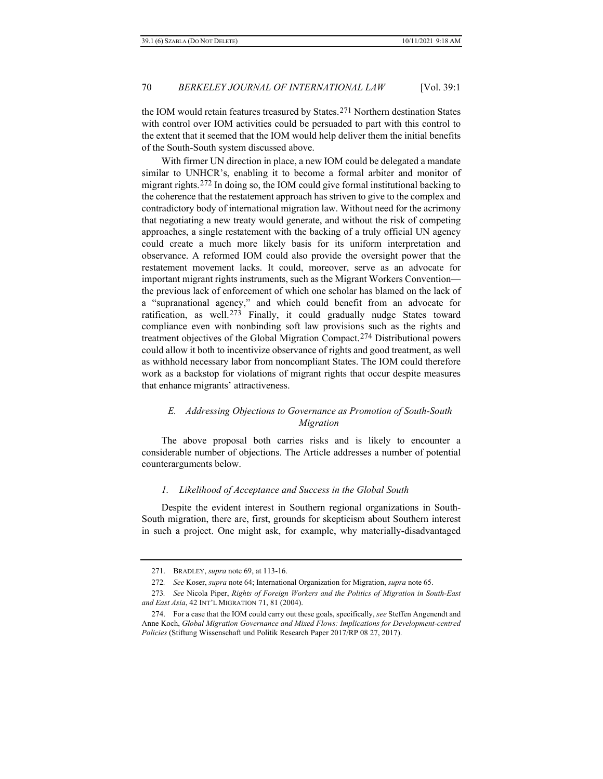the IOM would retain features treasured by States.[271](#page-51-0) Northern destination States with control over IOM activities could be persuaded to part with this control to the extent that it seemed that the IOM would help deliver them the initial benefits of the South-South system discussed above.

With firmer UN direction in place, a new IOM could be delegated a mandate similar to UNHCR's, enabling it to become a formal arbiter and monitor of migrant rights.[272](#page-51-1) In doing so, the IOM could give formal institutional backing to the coherence that the restatement approach has striven to give to the complex and contradictory body of international migration law. Without need for the acrimony that negotiating a new treaty would generate, and without the risk of competing approaches, a single restatement with the backing of a truly official UN agency could create a much more likely basis for its uniform interpretation and observance. A reformed IOM could also provide the oversight power that the restatement movement lacks. It could, moreover, serve as an advocate for important migrant rights instruments, such as the Migrant Workers Convention the previous lack of enforcement of which one scholar has blamed on the lack of a "supranational agency," and which could benefit from an advocate for ratification, as well.[273](#page-51-2) Finally, it could gradually nudge States toward compliance even with nonbinding soft law provisions such as the rights and treatment objectives of the Global Migration Compact.[274](#page-51-3) Distributional powers could allow it both to incentivize observance of rights and good treatment, as well as withhold necessary labor from noncompliant States. The IOM could therefore work as a backstop for violations of migrant rights that occur despite measures that enhance migrants' attractiveness.

## *E. Addressing Objections to Governance as Promotion of South-South Migration*

The above proposal both carries risks and is likely to encounter a considerable number of objections. The Article addresses a number of potential counterarguments below.

#### *1. Likelihood of Acceptance and Success in the Global South*

Despite the evident interest in Southern regional organizations in South-South migration, there are, first, grounds for skepticism about Southern interest in such a project. One might ask, for example, why materially-disadvantaged

<sup>271.</sup> BRADLEY, *supra* not[e 69,](#page-16-10) at 113-16.

<sup>272</sup>*. See* Koser, *supra* not[e 64;](#page-16-12) International Organization for Migration, *supra* not[e 65.](#page-16-13) 

<span id="page-51-2"></span><span id="page-51-1"></span><span id="page-51-0"></span><sup>273</sup>*. See* Nicola Piper, *Rights of Foreign Workers and the Politics of Migration in South‐East and East Asia*, 42 INT'L MIGRATION 71, 81 (2004).

<span id="page-51-3"></span><sup>274.</sup> For a case that the IOM could carry out these goals, specifically, *see* Steffen Angenendt and Anne Koch, *Global Migration Governance and Mixed Flows: Implications for Development-centred Policies* (Stiftung Wissenschaft und Politik Research Paper 2017/RP 08 27, 2017).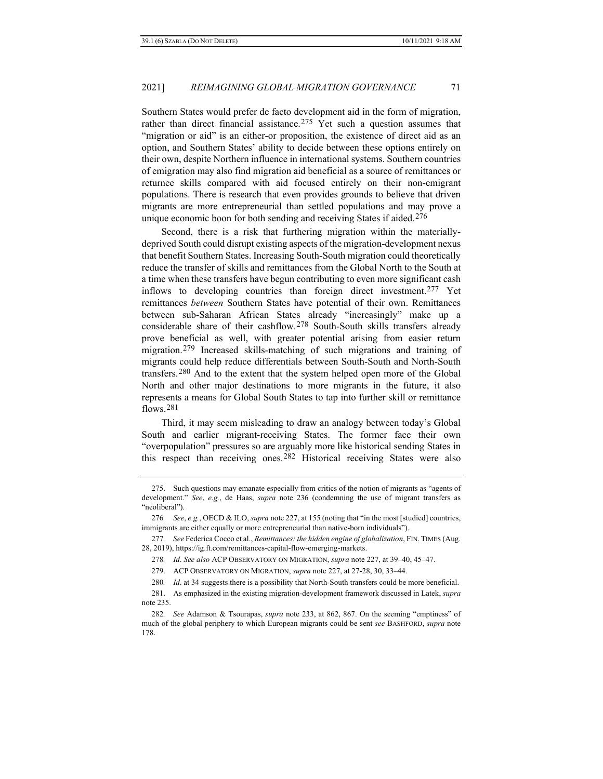Southern States would prefer de facto development aid in the form of migration, rather than direct financial assistance.[275](#page-52-0) Yet such a question assumes that "migration or aid" is an either-or proposition, the existence of direct aid as an option, and Southern States' ability to decide between these options entirely on their own, despite Northern influence in international systems. Southern countries of emigration may also find migration aid beneficial as a source of remittances or returnee skills compared with aid focused entirely on their non-emigrant populations. There is research that even provides grounds to believe that driven migrants are more entrepreneurial than settled populations and may prove a unique economic boon for both sending and receiving States if aided.[276](#page-52-1)

Second, there is a risk that furthering migration within the materiallydeprived South could disrupt existing aspects of the migration-development nexus that benefit Southern States. Increasing South-South migration could theoretically reduce the transfer of skills and remittances from the Global North to the South at a time when these transfers have begun contributing to even more significant cash inflows to developing countries than foreign direct investment.[277](#page-52-2) Yet remittances *between* Southern States have potential of their own. Remittances between sub-Saharan African States already "increasingly" make up a considerable share of their cashflow.[278](#page-52-3) South-South skills transfers already prove beneficial as well, with greater potential arising from easier return migration.[279](#page-52-4) Increased skills-matching of such migrations and training of migrants could help reduce differentials between South-South and North-South transfers.[280](#page-52-5) And to the extent that the system helped open more of the Global North and other major destinations to more migrants in the future, it also represents a means for Global South States to tap into further skill or remittance flows. $281$ 

Third, it may seem misleading to draw an analogy between today's Global South and earlier migrant-receiving States. The former face their own "overpopulation" pressures so are arguably more like historical sending States in this respect than receiving ones.[282](#page-52-7) Historical receiving States were also

<span id="page-52-0"></span><sup>275.</sup> Such questions may emanate especially from critics of the notion of migrants as "agents of development." *See*, *e.g.*, de Haas, *supra* note [236](#page-45-8) (condemning the use of migrant transfers as "neoliberal").

<span id="page-52-1"></span><sup>276</sup>*. See*, *e.g.*, OECD & ILO, *supra* note 227, at 155 (noting that "in the most [studied] countries, immigrants are either equally or more entrepreneurial than native-born individuals").

<span id="page-52-3"></span><span id="page-52-2"></span><sup>277</sup>*. See* Federica Cocco et al., *Remittances: the hidden engine of globalization*, FIN. TIMES (Aug. 28, 2019)[, https://ig.ft.com/remittances-capital-flow-emerging-markets.](https://ig.ft.com/remittances-capital-flow-emerging-markets)

<sup>278</sup>*. Id*. *See also* ACP OBSERVATORY ON MIGRATION, *supra* not[e 227,](#page-43-4) at 39–40, 45–47.

<sup>279.</sup> ACP OBSERVATORY ON MIGRATION, *supra* not[e 227,](#page-43-4) at 27-28, 30, 33–44.

<sup>280</sup>*. Id*. at 34 suggests there is a possibility that North-South transfers could be more beneficial.

<span id="page-52-6"></span><span id="page-52-5"></span><span id="page-52-4"></span><sup>281.</sup> As emphasized in the existing migration-development framework discussed in Latek, *supra* note [235.](#page-45-9)

<span id="page-52-7"></span><sup>282</sup>*. See* Adamson & Tsourapas, *supra* note [233,](#page-44-6) at 862, 867. On the seeming "emptiness" of much of the global periphery to which European migrants could be sent *see* BASHFORD, *supra* note [178.](#page-34-8)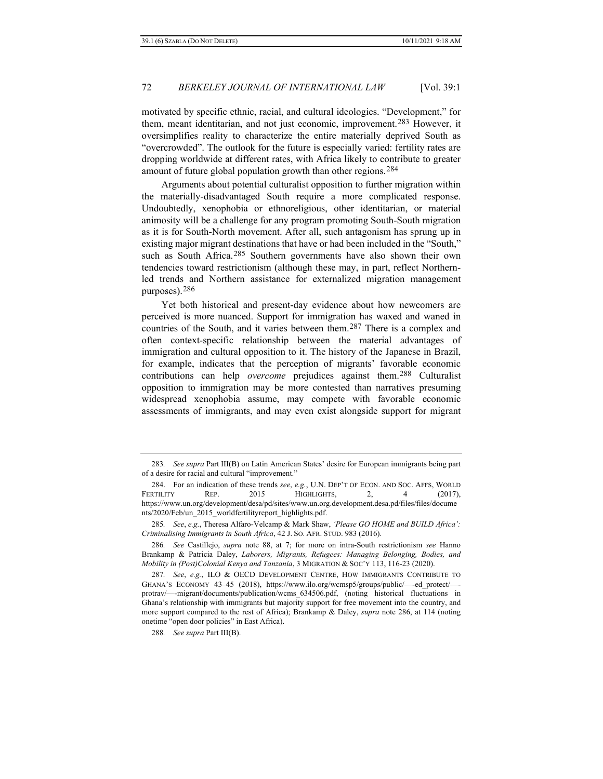motivated by specific ethnic, racial, and cultural ideologies. "Development," for them, meant identitarian, and not just economic, improvement.[283](#page-53-1) However, it oversimplifies reality to characterize the entire materially deprived South as "overcrowded". The outlook for the future is especially varied: fertility rates are dropping worldwide at different rates, with Africa likely to contribute to greater amount of future global population growth than other regions.[284](#page-53-2)

Arguments about potential culturalist opposition to further migration within the materially-disadvantaged South require a more complicated response. Undoubtedly, xenophobia or ethnoreligious, other identitarian, or material animosity will be a challenge for any program promoting South-South migration as it is for South-North movement. After all, such antagonism has sprung up in existing major migrant destinations that have or had been included in the "South," such as South Africa.[285](#page-53-3) Southern governments have also shown their own tendencies toward restrictionism (although these may, in part, reflect Northernled trends and Northern assistance for externalized migration management purposes).[286](#page-53-4)

<span id="page-53-0"></span>Yet both historical and present-day evidence about how newcomers are perceived is more nuanced. Support for immigration has waxed and waned in countries of the South, and it varies between them.[287](#page-53-5) There is a complex and often context-specific relationship between the material advantages of immigration and cultural opposition to it. The history of the Japanese in Brazil, for example, indicates that the perception of migrants' favorable economic contributions can help *overcome* prejudices against them.[288](#page-53-6) Culturalist opposition to immigration may be more contested than narratives presuming widespread xenophobia assume, may compete with favorable economic assessments of immigrants, and may even exist alongside support for migrant

<span id="page-53-6"></span>288*. See supra* Part III(B).

<span id="page-53-1"></span><sup>283</sup>*. See supra* Part III(B) on Latin American States' desire for European immigrants being part of a desire for racial and cultural "improvement."

<span id="page-53-2"></span><sup>284.</sup> For an indication of these trends *see*, *e.g.*, U.N. DEP'T OF ECON. AND SOC. AFFS, WORLD FERTILITY REP. 2015 HIGHLIGHTS, 2, 4 (2017), https://www.un.org/development/desa/pd/sites/www.un.org.development.desa.pd/files/files/docume nts/2020/Feb/un\_2015\_worldfertilityreport\_highlights.pdf.

<span id="page-53-3"></span><sup>285</sup>*. See*, *e.g.*, Theresa Alfaro-Velcamp & Mark Shaw, *'Please GO HOME and BUILD Africa': Criminalising Immigrants in South Africa*, 42 J. SO. AFR. STUD. 983 (2016).

<span id="page-53-4"></span><sup>286</sup>*. See* Castillejo, *supra* note [88,](#page-19-8) at 7; for more on intra-South restrictionism *see* Hanno Brankamp & Patricia Daley, *Laborers, Migrants, Refugees: Managing Belonging, Bodies, and Mobility in (Post)Colonial Kenya and Tanzania*, 3 MIGRATION & SOC'Y 113, 116-23 (2020).

<span id="page-53-5"></span><sup>287</sup>*. See*, *e.g.*, ILO & OECD DEVELOPMENT CENTRE, HOW IMMIGRANTS CONTRIBUTE TO GHANA'S ECONOMY 43–45 (2018), https://www.ilo.org/wcmsp5/groups/public/—-ed\_protect/— protrav/—-migrant/documents/publication/wcms\_634506.pdf, (noting historical fluctuations in Ghana's relationship with immigrants but majority support for free movement into the country, and more support compared to the rest of Africa); Brankamp & Daley, *supra* note [286,](#page-53-0) at 114 (noting onetime "open door policies" in East Africa).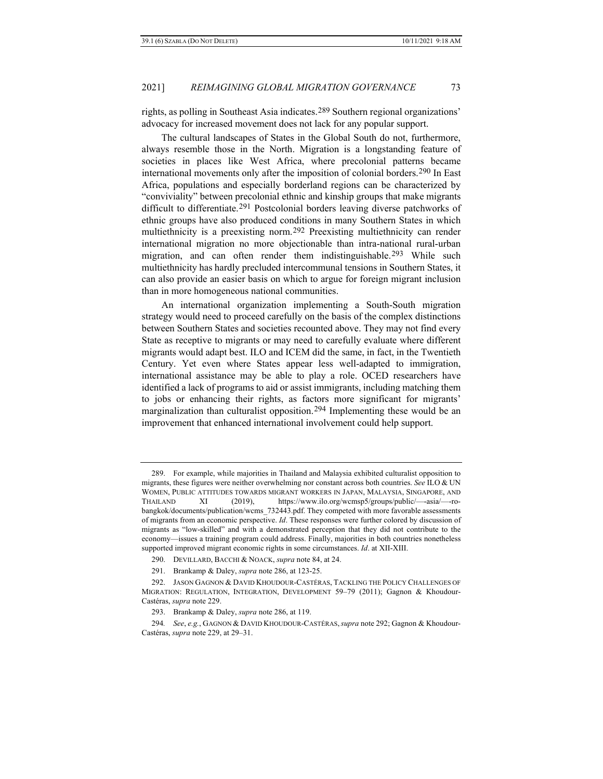rights, as polling in Southeast Asia indicates.[289](#page-54-1) Southern regional organizations' advocacy for increased movement does not lack for any popular support.

The cultural landscapes of States in the Global South do not, furthermore, always resemble those in the North. Migration is a longstanding feature of societies in places like West Africa, where precolonial patterns became international movements only after the imposition of colonial borders.<sup>[290](#page-54-2)</sup> In East Africa, populations and especially borderland regions can be characterized by "conviviality" between precolonial ethnic and kinship groups that make migrants difficult to differentiate.<sup>[291](#page-54-3)</sup> Postcolonial borders leaving diverse patchworks of ethnic groups have also produced conditions in many Southern States in which multiethnicity is a preexisting norm.[292](#page-54-4) Preexisting multiethnicity can render international migration no more objectionable than intra-national rural-urban migration, and can often render them indistinguishable.<sup>[293](#page-54-5)</sup> While such multiethnicity has hardly precluded intercommunal tensions in Southern States, it can also provide an easier basis on which to argue for foreign migrant inclusion than in more homogeneous national communities.

<span id="page-54-0"></span>An international organization implementing a South-South migration strategy would need to proceed carefully on the basis of the complex distinctions between Southern States and societies recounted above. They may not find every State as receptive to migrants or may need to carefully evaluate where different migrants would adapt best. ILO and ICEM did the same, in fact, in the Twentieth Century. Yet even where States appear less well-adapted to immigration, international assistance may be able to play a role. OCED researchers have identified a lack of programs to aid or assist immigrants, including matching them to jobs or enhancing their rights, as factors more significant for migrants' marginalization than culturalist opposition.[294](#page-54-6) Implementing these would be an improvement that enhanced international involvement could help support.

<span id="page-54-1"></span><sup>289.</sup> For example, while majorities in Thailand and Malaysia exhibited culturalist opposition to migrants, these figures were neither overwhelming nor constant across both countries. *See* ILO & UN WOMEN, PUBLIC ATTITUDES TOWARDS MIGRANT WORKERS IN JAPAN, MALAYSIA, SINGAPORE, AND THAILAND XI (2019), https://www.ilo.org/wcmsp5/groups/public/—-asia/—-robangkok/documents/publication/wcms\_732443.pdf. They competed with more favorable assessments of migrants from an economic perspective. *Id*. These responses were further colored by discussion of migrants as "low-skilled" and with a demonstrated perception that they did not contribute to the economy—issues a training program could address. Finally, majorities in both countries nonetheless supported improved migrant economic rights in some circumstances. *Id*. at XII-XIII.

<sup>290.</sup> DEVILLARD, BACCHI & NOACK, *supra* not[e 84,](#page-19-9) at 24.

<sup>291.</sup> Brankamp & Daley, *supra* not[e 286,](#page-53-0) at 123-25.

<span id="page-54-4"></span><span id="page-54-3"></span><span id="page-54-2"></span><sup>292.</sup> JASON GAGNON & DAVID KHOUDOUR-CASTÉRAS, TACKLING THE POLICY CHALLENGES OF MIGRATION: REGULATION, INTEGRATION, DEVELOPMENT 59–79 (2011); Gagnon & Khoudour-Castéras, *supra* not[e 229.](#page-44-7)

<sup>293.</sup> Brankamp & Daley, *supra* not[e 286,](#page-53-0) at 119.

<span id="page-54-6"></span><span id="page-54-5"></span><sup>294</sup>*. See*, *e.g.*, GAGNON & DAVID KHOUDOUR-CASTÉRAS,*supra* not[e 292;](#page-54-0) Gagnon & Khoudour-Castéras, *supra* not[e 229,](#page-44-7) at 29–31.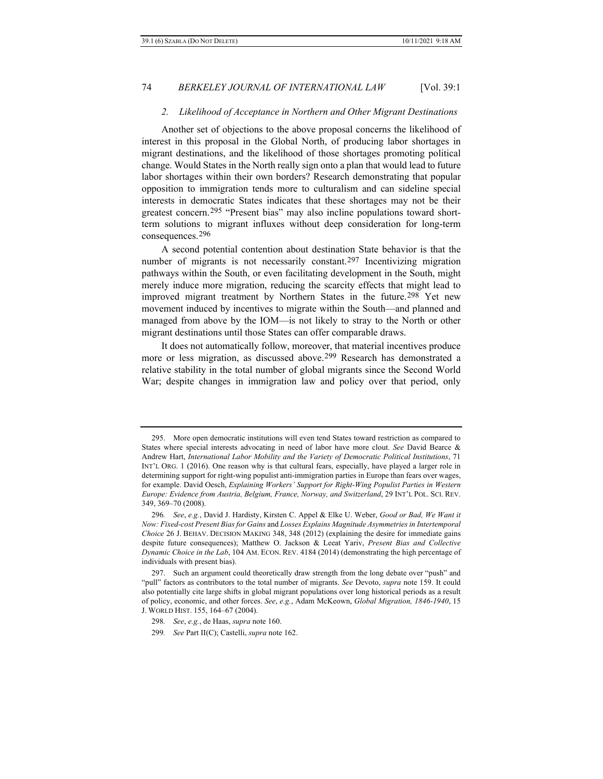## *2. Likelihood of Acceptance in Northern and Other Migrant Destinations*

Another set of objections to the above proposal concerns the likelihood of interest in this proposal in the Global North, of producing labor shortages in migrant destinations, and the likelihood of those shortages promoting political change. Would States in the North really sign onto a plan that would lead to future labor shortages within their own borders? Research demonstrating that popular opposition to immigration tends more to culturalism and can sideline special interests in democratic States indicates that these shortages may not be their greatest concern.[295](#page-55-0) "Present bias" may also incline populations toward shortterm solutions to migrant influxes without deep consideration for long-term consequences.[296](#page-55-1)

<span id="page-55-5"></span>A second potential contention about destination State behavior is that the number of migrants is not necessarily constant.[297](#page-55-2) Incentivizing migration pathways within the South, or even facilitating development in the South, might merely induce more migration, reducing the scarcity effects that might lead to improved migrant treatment by Northern States in the future.<sup>[298](#page-55-3)</sup> Yet new movement induced by incentives to migrate within the South—and planned and managed from above by the IOM—is not likely to stray to the North or other migrant destinations until those States can offer comparable draws.

It does not automatically follow, moreover, that material incentives produce more or less migration, as discussed above.[299](#page-55-4) Research has demonstrated a relative stability in the total number of global migrants since the Second World War; despite changes in immigration law and policy over that period, only

<span id="page-55-4"></span>299*. See* Part II(C); Castelli, *supra* not[e 162.](#page-31-8)

<span id="page-55-0"></span><sup>295.</sup> More open democratic institutions will even tend States toward restriction as compared to States where special interests advocating in need of labor have more clout. *See* David Bearce & Andrew Hart, *International Labor Mobility and the Variety of Democratic Political Institutions*, 71 INT'L ORG. 1 (2016). One reason why is that cultural fears, especially, have played a larger role in determining support for right-wing populist anti-immigration parties in Europe than fears over wages, for example. David Oesch, *Explaining Workers' Support for Right-Wing Populist Parties in Western Europe: Evidence from Austria, Belgium, France, Norway, and Switzerland*, 29 INT'L POL. SCI. REV. 349, 369–70 (2008).

<span id="page-55-1"></span><sup>296</sup>*. See*, *e.g.*, David J. Hardisty, Kirsten C. Appel & Elke U. Weber, *Good or Bad, We Want it Now: Fixed-cost Present Bias for Gains* and *Losses Explains Magnitude Asymmetries in Intertemporal Choice* 26 J. BEHAV. DECISION MAKING 348, 348 (2012) (explaining the desire for immediate gains despite future consequences); Matthew O. Jackson & Leeat Yariv, *Present Bias and Collective Dynamic Choice in the Lab*, 104 AM. ECON. REV. 4184 (2014) (demonstrating the high percentage of individuals with present bias).

<span id="page-55-3"></span><span id="page-55-2"></span><sup>297.</sup> Such an argument could theoretically draw strength from the long debate over "push" and "pull" factors as contributors to the total number of migrants. *See* Devoto, *supra* note [159.](#page-31-6) It could also potentially cite large shifts in global migrant populations over long historical periods as a result of policy, economic, and other forces. *See*, *e.g.*, Adam McKeown, *Global Migration, 1846-1940*, 15 J. WORLD HIST. 155, 164–67 (2004).

<sup>298</sup>*. See*, *e.g.*, de Haas, *supra* not[e 160.](#page-31-7)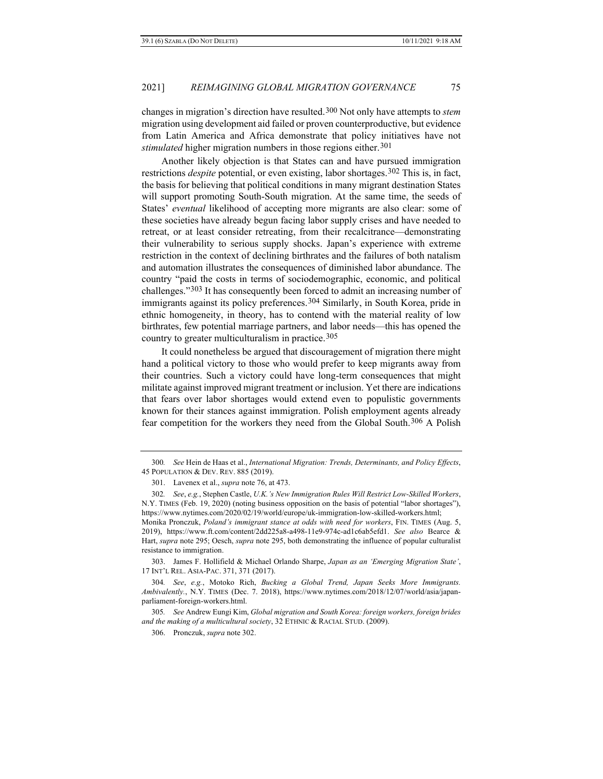changes in migration's direction have resulted.[300](#page-56-1) Not only have attempts to *stem* migration using development aid failed or proven counterproductive, but evidence from Latin America and Africa demonstrate that policy initiatives have not *stimulated* higher migration numbers in those regions either.<sup>[301](#page-56-2)</sup>

Another likely objection is that States can and have pursued immigration restrictions *despite* potential, or even existing, labor shortages.<sup>[302](#page-56-3)</sup> This is, in fact, the basis for believing that political conditions in many migrant destination States will support promoting South-South migration. At the same time, the seeds of States' *eventual* likelihood of accepting more migrants are also clear: some of these societies have already begun facing labor supply crises and have needed to retreat, or at least consider retreating, from their recalcitrance—demonstrating their vulnerability to serious supply shocks. Japan's experience with extreme restriction in the context of declining birthrates and the failures of both natalism and automation illustrates the consequences of diminished labor abundance. The country "paid the costs in terms of sociodemographic, economic, and political challenges."[303](#page-56-4) It has consequently been forced to admit an increasing number of immigrants against its policy preferences.<sup>[304](#page-56-5)</sup> Similarly, in South Korea, pride in ethnic homogeneity, in theory, has to contend with the material reality of low birthrates, few potential marriage partners, and labor needs—this has opened the country to greater multiculturalism in practice.<sup>[305](#page-56-6)</sup>

It could nonetheless be argued that discouragement of migration there might hand a political victory to those who would prefer to keep migrants away from their countries. Such a victory could have long-term consequences that might militate against improved migrant treatment or inclusion. Yet there are indications that fears over labor shortages would extend even to populistic governments known for their stances against immigration. Polish employment agents already fear competition for the workers they need from the Global South.[306](#page-56-7) A Polish

<span id="page-56-4"></span>303. James F. Hollifield & Michael Orlando Sharpe, *Japan as an 'Emerging Migration State'*, 17 INT'L REL. ASIA-PAC. 371, 371 (2017).

<span id="page-56-0"></span>

<span id="page-56-1"></span><sup>300</sup>*. See* Hein de Haas et al., *International Migration: Trends, Determinants, and Policy Effects*, 45 POPULATION & DEV. REV. 885 (2019).

<sup>301.</sup> Lavenex et al., *supra* not[e 76,](#page-18-6) at 473.

<span id="page-56-3"></span><span id="page-56-2"></span><sup>302</sup>*. See*, *e.g.*, Stephen Castle, *U.K.'s New Immigration Rules Will Restrict Low-Skilled Workers*, N.Y. TIMES (Feb. 19, 2020) (noting business opposition on the basis of potential "labor shortages"), https://www.nytimes.com/2020/02/19/world/europe/uk-immigration-low-skilled-workers.html; Monika Pronczuk, *Poland's immigrant stance at odds with need for workers*, FIN. TIMES (Aug. 5, 2019), https://www.ft.com/content/2dd225a8-a498-11e9-974c-ad1c6ab5efd1. *See also* Bearce & Hart, *supra* note [295;](#page-55-5) Oesch, *supra* note [295,](#page-55-5) both demonstrating the influence of popular culturalist resistance to immigration.

<span id="page-56-5"></span><sup>304</sup>*. See*, *e.g.*, Motoko Rich, *Bucking a Global Trend, Japan Seeks More Immigrants. Ambivalently.*, N.Y. TIMES (Dec. 7. 2018), https://www.nytimes.com/2018/12/07/world/asia/japanparliament-foreign-workers.html.

<span id="page-56-7"></span><span id="page-56-6"></span><sup>305</sup>*. See* Andrew Eungi Kim, *Global migration and South Korea: foreign workers, foreign brides and the making of a multicultural society*, 32 ETHNIC & RACIAL STUD. (2009).

<sup>306.</sup> Pronczuk, *supra* not[e 302.](#page-56-0)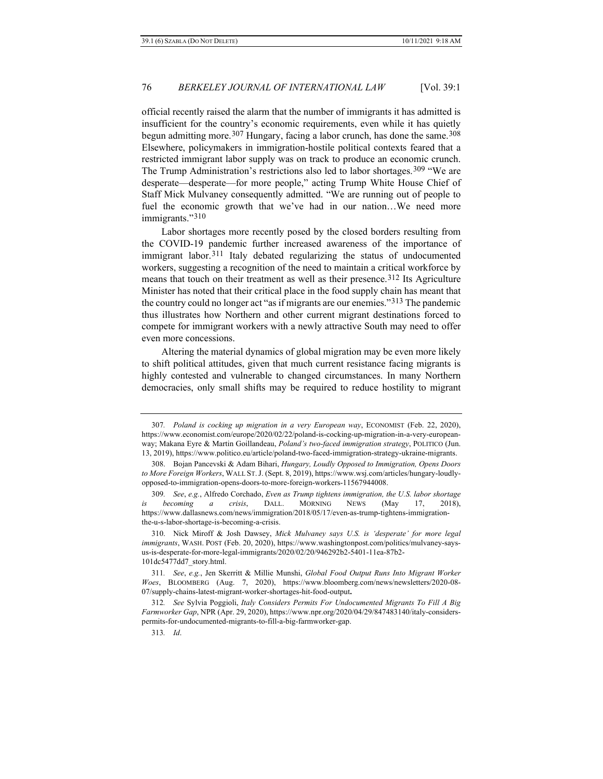official recently raised the alarm that the number of immigrants it has admitted is insufficient for the country's economic requirements, even while it has quietly begun admitting more.<sup>[307](#page-57-0)</sup> Hungary, facing a labor crunch, has done the same.<sup>[308](#page-57-1)</sup> Elsewhere, policymakers in immigration-hostile political contexts feared that a restricted immigrant labor supply was on track to produce an economic crunch. The Trump Administration's restrictions also led to labor shortages.[309](#page-57-2) "We are desperate—desperate—for more people," acting Trump White House Chief of Staff Mick Mulvaney consequently admitted. "We are running out of people to fuel the economic growth that we've had in our nation…We need more immigrants."[310](#page-57-3)

Labor shortages more recently posed by the closed borders resulting from the COVID-19 pandemic further increased awareness of the importance of immigrant labor.[311](#page-57-4) Italy debated regularizing the status of undocumented workers, suggesting a recognition of the need to maintain a critical workforce by means that touch on their treatment as well as their presence.<sup>[312](#page-57-5)</sup> Its Agriculture Minister has noted that their critical place in the food supply chain has meant that the country could no longer act "as if migrants are our enemies."[313](#page-57-6) The pandemic thus illustrates how Northern and other current migrant destinations forced to compete for immigrant workers with a newly attractive South may need to offer even more concessions.

Altering the material dynamics of global migration may be even more likely to shift political attitudes, given that much current resistance facing migrants is highly contested and vulnerable to changed circumstances. In many Northern democracies, only small shifts may be required to reduce hostility to migrant

<span id="page-57-0"></span><sup>307</sup>*. Poland is cocking up migration in a very European way*, ECONOMIST (Feb. 22, 2020), https://www.economist.com/europe/2020/02/22/poland-is-cocking-up-migration-in-a-very-europeanway; Makana Eyre & Martin Goillandeau, *Poland's two-faced immigration strategy*, POLITICO (Jun. 13, 2019), https://www.politico.eu/article/poland-two-faced-immigration-strategy-ukraine-migrants.

<span id="page-57-1"></span><sup>308.</sup> Bojan Pancevski & Adam Bihari, *Hungary, Loudly Opposed to Immigration, Opens Doors to More Foreign Workers*, WALL ST.J. (Sept. 8, 2019), https://www.wsj.com/articles/hungary-loudlyopposed-to-immigration-opens-doors-to-more-foreign-workers-11567944008.

<span id="page-57-2"></span><sup>309</sup>*. See*, *e.g.*, Alfredo Corchado, *Even as Trump tightens immigration, the U.S. labor shortage is becoming a crisis*, DALL. MORNING NEWS (May 17, 2018), https://www.dallasnews.com/news/immigration/2018/05/17/even-as-trump-tightens-immigrationthe-u-s-labor-shortage-is-becoming-a-crisis.

<span id="page-57-3"></span><sup>310.</sup> Nick Miroff & Josh Dawsey, *Mick Mulvaney says U.S. is 'desperate' for more legal immigrants*, WASH. POST (Feb. 20, 2020), https://www.washingtonpost.com/politics/mulvaney-saysus-is-desperate-for-more-legal-immigrants/2020/02/20/946292b2-5401-11ea-87b2- 101dc5477dd7\_story.html.

<span id="page-57-4"></span><sup>311</sup>*. See*, *e.g.*, Jen Skerritt & Millie Munshi, *Global Food Output Runs Into Migrant Worker Woes*, BLOOMBERG (Aug. 7, 2020), https://www.bloomberg.com/news/newsletters/2020-08- 07/supply-chains-latest-migrant-worker-shortages-hit-food-output**.**

<span id="page-57-6"></span><span id="page-57-5"></span><sup>312</sup>*. See* Sylvia Poggioli, *Italy Considers Permits For Undocumented Migrants To Fill A Big Farmworker Gap*, NPR (Apr. 29, 2020), https://www.npr.org/2020/04/29/847483140/italy-considerspermits-for-undocumented-migrants-to-fill-a-big-farmworker-gap.

<sup>313</sup>*. Id*.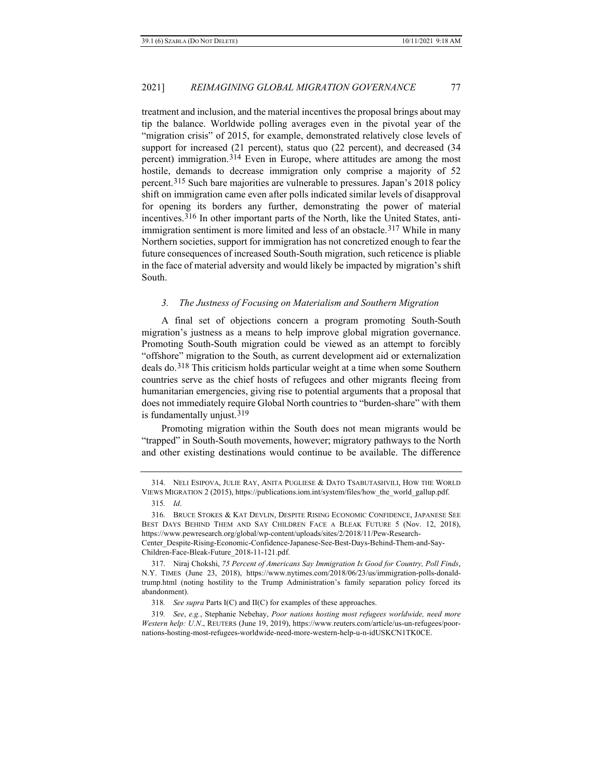treatment and inclusion, and the material incentives the proposal brings about may tip the balance. Worldwide polling averages even in the pivotal year of the "migration crisis" of 2015, for example, demonstrated relatively close levels of support for increased (21 percent), status quo (22 percent), and decreased (34 percent) immigration.[314](#page-58-0) Even in Europe, where attitudes are among the most hostile, demands to decrease immigration only comprise a majority of 52 percent.[315](#page-58-1) Such bare majorities are vulnerable to pressures. Japan's 2018 policy shift on immigration came even after polls indicated similar levels of disapproval for opening its borders any further, demonstrating the power of material incentives.[316](#page-58-2) In other important parts of the North, like the United States, anti-immigration sentiment is more limited and less of an obstacle.<sup>[317](#page-58-3)</sup> While in many Northern societies, support for immigration has not concretized enough to fear the future consequences of increased South-South migration, such reticence is pliable in the face of material adversity and would likely be impacted by migration's shift South.

#### *3. The Justness of Focusing on Materialism and Southern Migration*

A final set of objections concern a program promoting South-South migration's justness as a means to help improve global migration governance. Promoting South-South migration could be viewed as an attempt to forcibly "offshore" migration to the South, as current development aid or externalization deals do.[318](#page-58-4) This criticism holds particular weight at a time when some Southern countries serve as the chief hosts of refugees and other migrants fleeing from humanitarian emergencies, giving rise to potential arguments that a proposal that does not immediately require Global North countries to "burden-share" with them is fundamentally unjust.[319](#page-58-5)

Promoting migration within the South does not mean migrants would be "trapped" in South-South movements, however; migratory pathways to the North and other existing destinations would continue to be available. The difference

<span id="page-58-0"></span><sup>314.</sup> NELI ESIPOVA, JULIE RAY, ANITA PUGLIESE & DATO TSABUTASHVILI, HOW THE WORLD VIEWS MIGRATION 2 (2015), https://publications.iom.int/system/files/how\_the\_world\_gallup.pdf.

<sup>315</sup>*. Id*.

<span id="page-58-2"></span><span id="page-58-1"></span><sup>316.</sup> BRUCE STOKES & KAT DEVLIN, DESPITE RISING ECONOMIC CONFIDENCE, JAPANESE SEE BEST DAYS BEHIND THEM AND SAY CHILDREN FACE A BLEAK FUTURE 5 (Nov. 12, 2018), https://www.pewresearch.org/global/wp-content/uploads/sites/2/2018/11/Pew-Research-Center\_Despite-Rising-Economic-Confidence-Japanese-See-Best-Days-Behind-Them-and-Say-Children-Face-Bleak-Future\_2018-11-121.pdf.

<span id="page-58-3"></span><sup>317.</sup> Niraj Chokshi, *75 Percent of Americans Say Immigration Is Good for Country, Poll Finds*, N.Y. TIMES (June 23, 2018), https://www.nytimes.com/2018/06/23/us/immigration-polls-donaldtrump.html (noting hostility to the Trump Administration's family separation policy forced its abandonment).

<sup>318</sup>*. See supra* Parts I(C) and II(C) for examples of these approaches.

<span id="page-58-5"></span><span id="page-58-4"></span><sup>319</sup>*. See*, *e.g.*, Stephanie Nebehay, *Poor nations hosting most refugees worldwide, need more Western help: U.N*., REUTERS (June 19, 2019), https://www.reuters.com/article/us-un-refugees/poornations-hosting-most-refugees-worldwide-need-more-western-help-u-n-idUSKCN1TK0CE.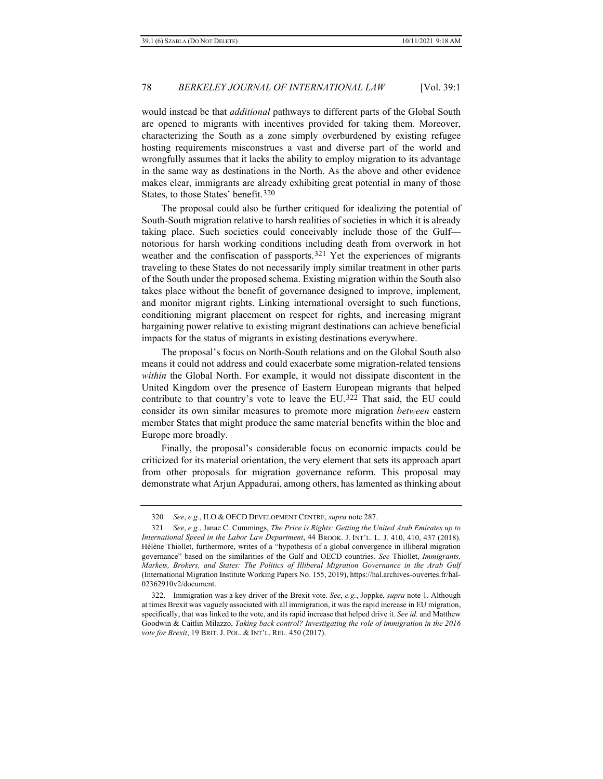would instead be that *additional* pathways to different parts of the Global South are opened to migrants with incentives provided for taking them. Moreover, characterizing the South as a zone simply overburdened by existing refugee hosting requirements misconstrues a vast and diverse part of the world and wrongfully assumes that it lacks the ability to employ migration to its advantage in the same way as destinations in the North. As the above and other evidence makes clear, immigrants are already exhibiting great potential in many of those States, to those States' benefit.[320](#page-59-0)

The proposal could also be further critiqued for idealizing the potential of South-South migration relative to harsh realities of societies in which it is already taking place. Such societies could conceivably include those of the Gulf notorious for harsh working conditions including death from overwork in hot weather and the confiscation of passports.[321](#page-59-1) Yet the experiences of migrants traveling to these States do not necessarily imply similar treatment in other parts of the South under the proposed schema. Existing migration within the South also takes place without the benefit of governance designed to improve, implement, and monitor migrant rights. Linking international oversight to such functions, conditioning migrant placement on respect for rights, and increasing migrant bargaining power relative to existing migrant destinations can achieve beneficial impacts for the status of migrants in existing destinations everywhere.

The proposal's focus on North-South relations and on the Global South also means it could not address and could exacerbate some migration-related tensions *within* the Global North. For example, it would not dissipate discontent in the United Kingdom over the presence of Eastern European migrants that helped contribute to that country's vote to leave the EU.[322](#page-59-2) That said, the EU could consider its own similar measures to promote more migration *between* eastern member States that might produce the same material benefits within the bloc and Europe more broadly.

Finally, the proposal's considerable focus on economic impacts could be criticized for its material orientation, the very element that sets its approach apart from other proposals for migration governance reform. This proposal may demonstrate what Arjun Appadurai, among others, has lamented as thinking about

<sup>320</sup>*. See*, *e.g.*, ILO & OECD DEVELOPMENT CENTRE, *supra* note 287.

<span id="page-59-1"></span><span id="page-59-0"></span><sup>321</sup>*. See*, *e.g.*, Janae C. Cummings, *The Price is Rights: Getting the United Arab Emirates up to International Speed in the Labor Law Department*, 44 BROOK. J. INT'L. L. J. 410, 410, 437 (2018). Hélène Thiollet, furthermore, writes of a "hypothesis of a global convergence in illiberal migration governance" based on the similarities of the Gulf and OECD countries. *See* Thiollet, *Immigrants, Markets, Brokers, and States: The Politics of Illiberal Migration Governance in the Arab Gulf* (International Migration Institute Working Papers No. 155, 2019), https://hal.archives-ouvertes.fr/hal-02362910v2/document.

<span id="page-59-2"></span><sup>322.</sup> Immigration was a key driver of the Brexit vote. *See*, *e.g.*, Joppke, *supra* note 1. Although at times Brexit was vaguely associated with all immigration, it was the rapid increase in EU migration, specifically, that was linked to the vote, and its rapid increase that helped drive it. *See id.* and Matthew Goodwin & Caitlin Milazzo, *Taking back control? Investigating the role of immigration in the 2016 vote for Brexit*, 19 BRIT. J. POL. & INT'L. REL. 450 (2017).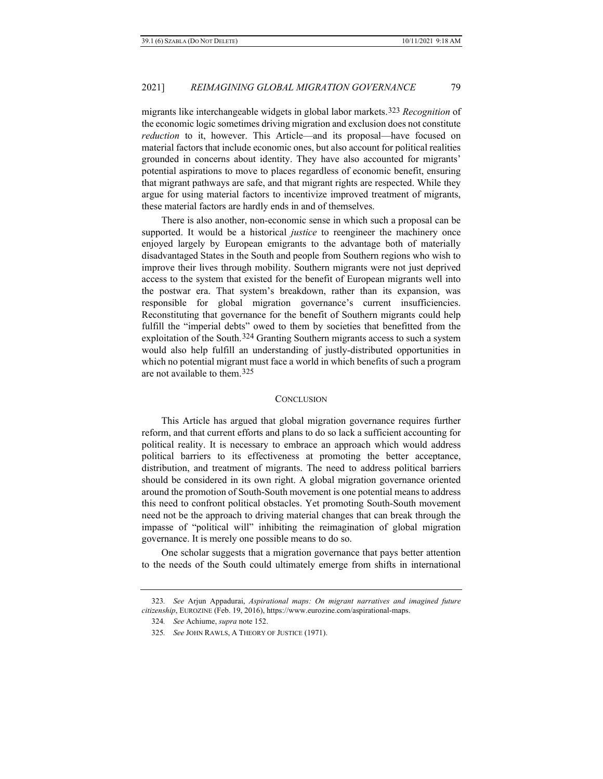migrants like interchangeable widgets in global labor markets.[323](#page-60-0) *Recognition* of the economic logic sometimes driving migration and exclusion does not constitute *reduction* to it, however. This Article—and its proposal—have focused on material factors that include economic ones, but also account for political realities grounded in concerns about identity. They have also accounted for migrants' potential aspirations to move to places regardless of economic benefit, ensuring that migrant pathways are safe, and that migrant rights are respected. While they argue for using material factors to incentivize improved treatment of migrants, these material factors are hardly ends in and of themselves.

There is also another, non-economic sense in which such a proposal can be supported. It would be a historical *justice* to reengineer the machinery once enjoyed largely by European emigrants to the advantage both of materially disadvantaged States in the South and people from Southern regions who wish to improve their lives through mobility. Southern migrants were not just deprived access to the system that existed for the benefit of European migrants well into the postwar era. That system's breakdown, rather than its expansion, was responsible for global migration governance's current insufficiencies. Reconstituting that governance for the benefit of Southern migrants could help fulfill the "imperial debts" owed to them by societies that benefitted from the exploitation of the South.<sup>[324](#page-60-1)</sup> Granting Southern migrants access to such a system would also help fulfill an understanding of justly-distributed opportunities in which no potential migrant must face a world in which benefits of such a program are not available to them.[325](#page-60-2)

#### **CONCLUSION**

This Article has argued that global migration governance requires further reform, and that current efforts and plans to do so lack a sufficient accounting for political reality. It is necessary to embrace an approach which would address political barriers to its effectiveness at promoting the better acceptance, distribution, and treatment of migrants. The need to address political barriers should be considered in its own right. A global migration governance oriented around the promotion of South-South movement is one potential means to address this need to confront political obstacles. Yet promoting South-South movement need not be the approach to driving material changes that can break through the impasse of "political will" inhibiting the reimagination of global migration governance. It is merely one possible means to do so.

One scholar suggests that a migration governance that pays better attention to the needs of the South could ultimately emerge from shifts in international

<span id="page-60-2"></span><span id="page-60-1"></span><span id="page-60-0"></span><sup>323</sup>*. See* Arjun Appadurai, *Aspirational maps: On migrant narratives and imagined future citizenship*, EUROZINE (Feb. 19, 2016), https://www.eurozine.com/aspirational-maps.

<sup>324</sup>*. See* Achiume, *supra* note 152.

<sup>325</sup>*. See* JOHN RAWLS, A THEORY OF JUSTICE (1971).